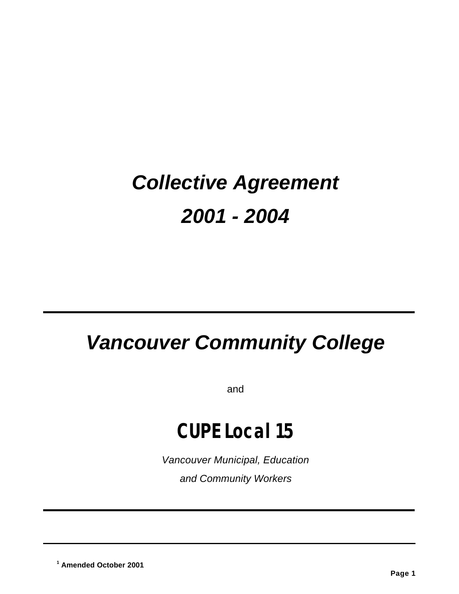# *Collective Agreement 2001 - 2004*

## *Vancouver Community College*

and

## *CUPE Local 15*

*Vancouver Municipal, Education and Community Workers*

**1 Amended October 2001**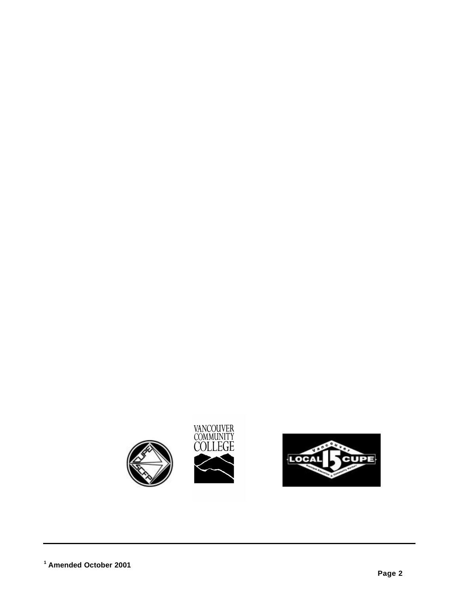

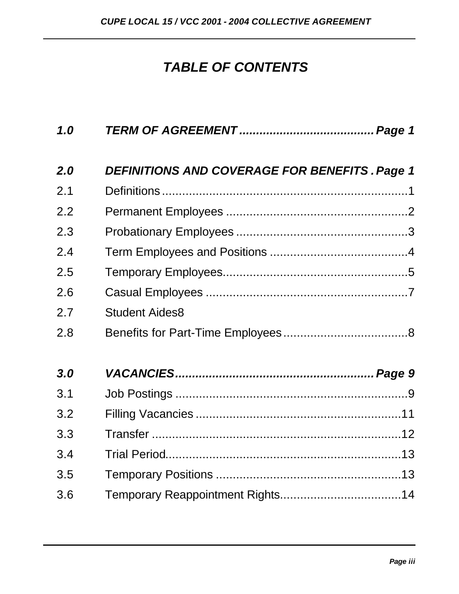## *TABLE OF CONTENTS*

| 1.0 |                                                      |  |
|-----|------------------------------------------------------|--|
| 2.0 | <b>DEFINITIONS AND COVERAGE FOR BENEFITS. Page 1</b> |  |
| 2.1 |                                                      |  |
| 2.2 |                                                      |  |
| 2.3 |                                                      |  |
| 2.4 |                                                      |  |
| 2.5 |                                                      |  |
| 2.6 |                                                      |  |
| 2.7 | <b>Student Aides8</b>                                |  |
| 2.8 |                                                      |  |
| 3.0 |                                                      |  |
| 3.1 |                                                      |  |
| 3.2 |                                                      |  |
| 3.3 |                                                      |  |
| 3.4 |                                                      |  |
| 3.5 |                                                      |  |
| 3.6 |                                                      |  |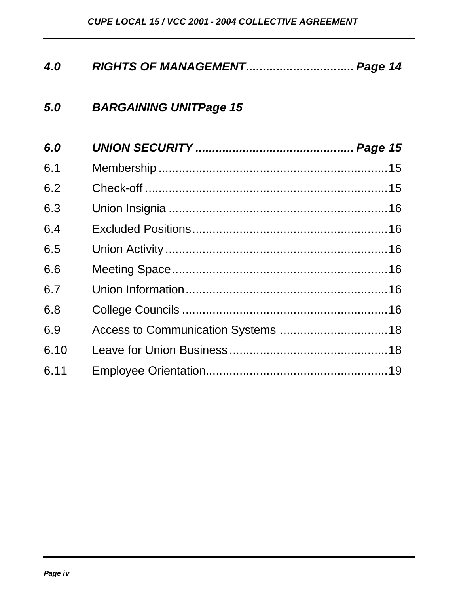| 4.0 |  |  |
|-----|--|--|
|-----|--|--|

#### *5.0 BARGAINING UNITPage 15*

| 6.0  |  |
|------|--|
| 6.1  |  |
| 6.2  |  |
| 6.3  |  |
| 6.4  |  |
| 6.5  |  |
| 6.6  |  |
| 6.7  |  |
| 6.8  |  |
| 6.9  |  |
| 6.10 |  |
| 6.11 |  |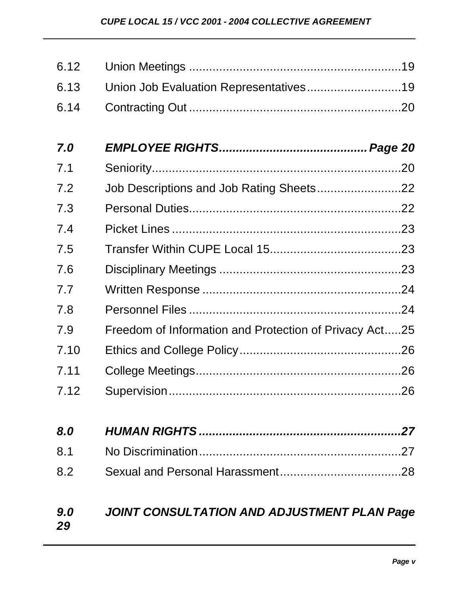| 9.0<br>29 | JOINT CONSULTATION AND ADJUSTMENT PLAN Page            |
|-----------|--------------------------------------------------------|
| 8.2       |                                                        |
| 8.1       |                                                        |
| 8.0       |                                                        |
| 7.12      |                                                        |
| 7.11      |                                                        |
| 7.10      |                                                        |
| 7.9       | Freedom of Information and Protection of Privacy Act25 |
| 7.8       |                                                        |
| 7.7       |                                                        |
| 7.6       |                                                        |
| 7.5       |                                                        |
| 7.4       |                                                        |
| 7.3       |                                                        |
| 7.2       | Job Descriptions and Job Rating Sheets22               |
| 7.1       |                                                        |
| 7.0       |                                                        |
| 6.14      |                                                        |
| 6.13      |                                                        |
| 6.12      |                                                        |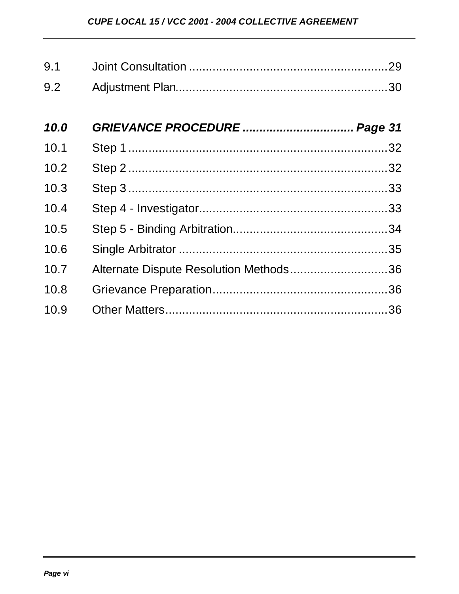| GRIEVANCE PROCEDURE  Page 31<br>Alternate Dispute Resolution Methods36 |
|------------------------------------------------------------------------|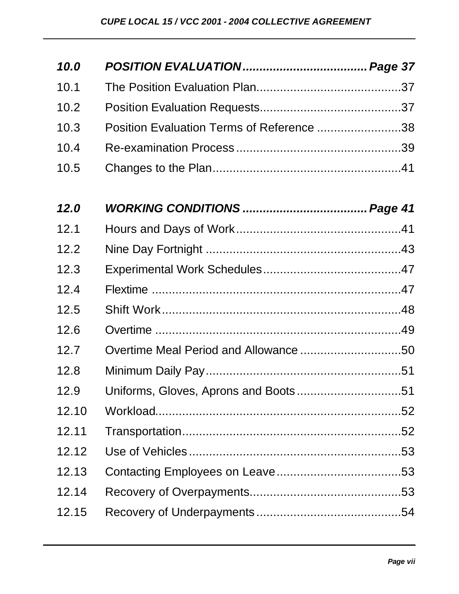| 10.0  |                                           |  |
|-------|-------------------------------------------|--|
| 10.1  |                                           |  |
| 10.2  |                                           |  |
| 10.3  | Position Evaluation Terms of Reference 38 |  |
| 10.4  |                                           |  |
| 10.5  |                                           |  |
| 12.0  |                                           |  |
| 12.1  |                                           |  |
| 12.2  |                                           |  |
| 12.3  |                                           |  |
| 12.4  |                                           |  |
| 12.5  |                                           |  |
| 12.6  |                                           |  |
| 12.7  | Overtime Meal Period and Allowance 50     |  |
| 12.8  |                                           |  |
| 12.9  |                                           |  |
| 12.10 |                                           |  |
| 12.11 |                                           |  |
| 12.12 |                                           |  |
| 12.13 |                                           |  |
| 12.14 |                                           |  |
| 12.15 |                                           |  |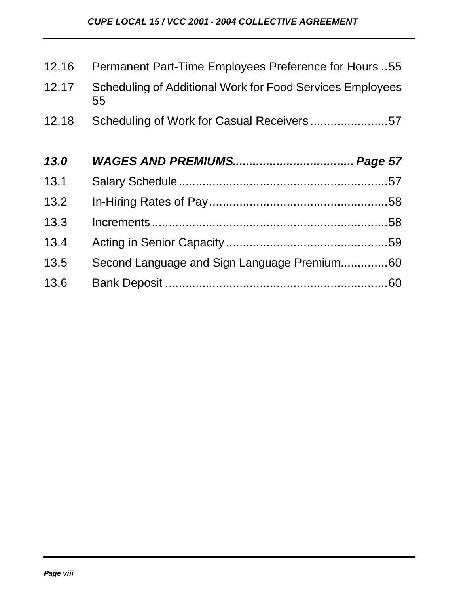| 12.16 | <b>Permanent Part-Time Employees Preference for Hours55</b>     |
|-------|-----------------------------------------------------------------|
| 12.17 | Scheduling of Additional Work for Food Services Employees<br>55 |
| 12.18 | Scheduling of Work for Casual Receivers57                       |
| 13.0  |                                                                 |
| 13.1  |                                                                 |
| 13.2  |                                                                 |
| 13.3  |                                                                 |
| 13.4  |                                                                 |
| 13.5  | Second Language and Sign Language Premium60                     |
| 13.6  |                                                                 |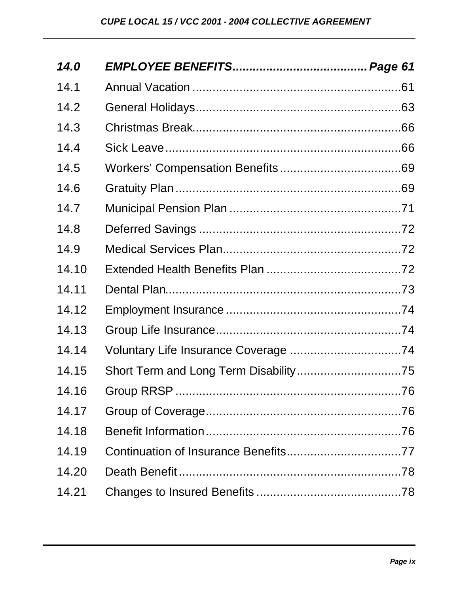| 14.0  |                                       |  |
|-------|---------------------------------------|--|
| 14.1  |                                       |  |
| 14.2  |                                       |  |
| 14.3  |                                       |  |
| 14.4  |                                       |  |
| 14.5  |                                       |  |
| 14.6  |                                       |  |
| 14.7  |                                       |  |
| 14.8  |                                       |  |
| 14.9  |                                       |  |
| 14.10 |                                       |  |
| 14.11 |                                       |  |
| 14.12 |                                       |  |
| 14.13 |                                       |  |
| 14.14 |                                       |  |
| 14.15 | Short Term and Long Term Disability75 |  |
| 14.16 |                                       |  |
| 14.17 |                                       |  |
| 14.18 |                                       |  |
| 14.19 |                                       |  |
| 14.20 |                                       |  |
| 14.21 |                                       |  |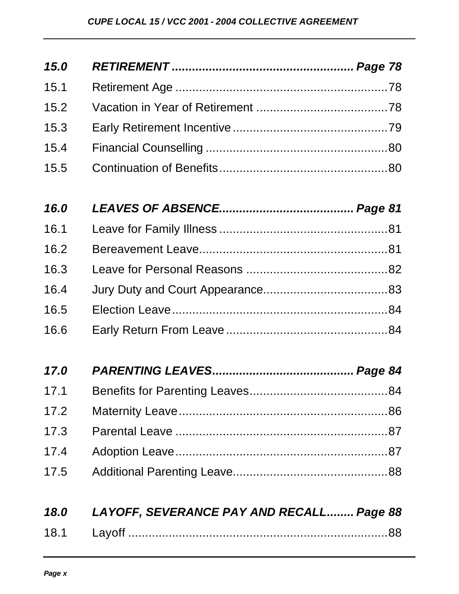| 15.0 |                                          |  |
|------|------------------------------------------|--|
| 15.1 |                                          |  |
| 15.2 |                                          |  |
| 15.3 |                                          |  |
| 15.4 |                                          |  |
| 15.5 |                                          |  |
| 16.0 |                                          |  |
| 16.1 |                                          |  |
| 16.2 |                                          |  |
| 16.3 |                                          |  |
| 16.4 |                                          |  |
| 16.5 |                                          |  |
| 16.6 |                                          |  |
| 17.0 |                                          |  |
| 17.1 |                                          |  |
| 17.2 |                                          |  |
| 17.3 |                                          |  |
| 17.4 |                                          |  |
| 17.5 |                                          |  |
| 18.0 | LAYOFF, SEVERANCE PAY AND RECALL Page 88 |  |
| 18.1 |                                          |  |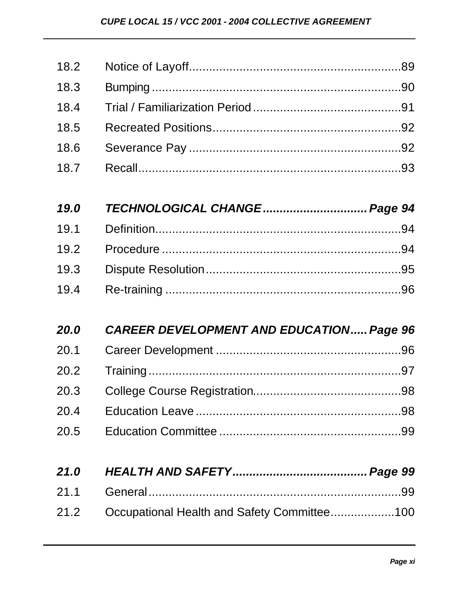| 18.2 |                                                 |  |
|------|-------------------------------------------------|--|
| 18.3 |                                                 |  |
| 18.4 |                                                 |  |
| 18.5 |                                                 |  |
| 18.6 |                                                 |  |
| 18.7 |                                                 |  |
| 19.0 | TECHNOLOGICAL CHANGE Page 94                    |  |
| 19.1 |                                                 |  |
| 19.2 |                                                 |  |
| 19.3 |                                                 |  |
| 19.4 |                                                 |  |
| 20.0 | <b>CAREER DEVELOPMENT AND EDUCATION Page 96</b> |  |
| 20.1 |                                                 |  |
| 20.2 |                                                 |  |
| 20.3 |                                                 |  |
| 20.4 |                                                 |  |
| 20.5 |                                                 |  |
| 21.0 |                                                 |  |
| 21.1 |                                                 |  |
| 21.2 | Occupational Health and Safety Committee100     |  |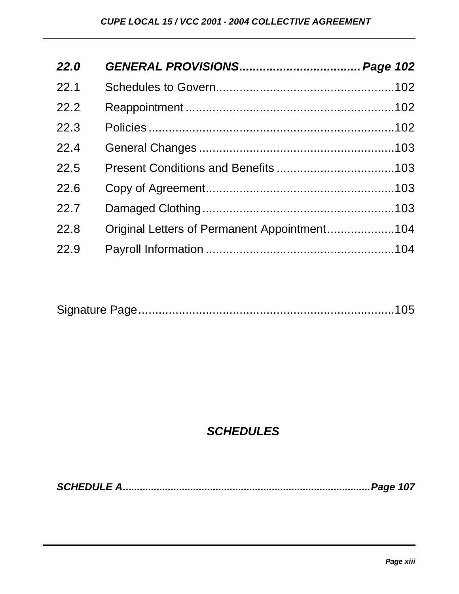| 22.0 |                                              |  |
|------|----------------------------------------------|--|
| 22.1 |                                              |  |
| 22.2 |                                              |  |
| 22.3 |                                              |  |
| 22.4 |                                              |  |
| 22.5 |                                              |  |
| 22.6 |                                              |  |
| 22.7 |                                              |  |
| 22.8 | Original Letters of Permanent Appointment104 |  |
| 22.9 |                                              |  |
|      |                                              |  |

### *SCHEDULES*

*SCHEDULE A........................................................................................Page 107*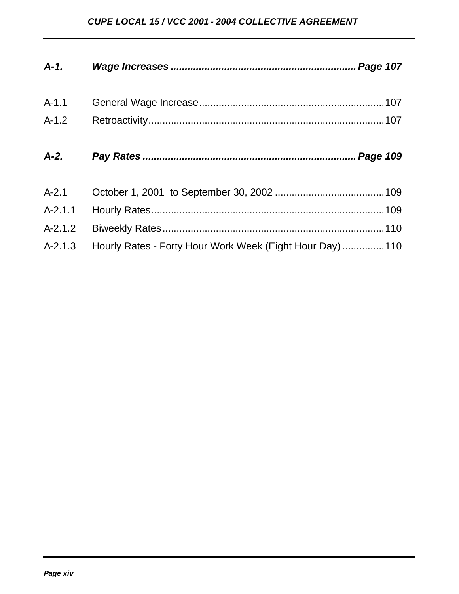#### *CUPE LOCAL 15 / VCC 2001 - 2004 COLLECTIVE AGREEMENT*

| $A-1$ .     |                                                           |
|-------------|-----------------------------------------------------------|
| $A-1.1$     |                                                           |
| $A-1.2$     |                                                           |
| $A-2.$      |                                                           |
| $A - 2.1$   |                                                           |
| $A-2.1.1$   |                                                           |
| $A-2.1.2$   |                                                           |
| $A - 2.1.3$ | Hourly Rates - Forty Hour Work Week (Eight Hour Day)  110 |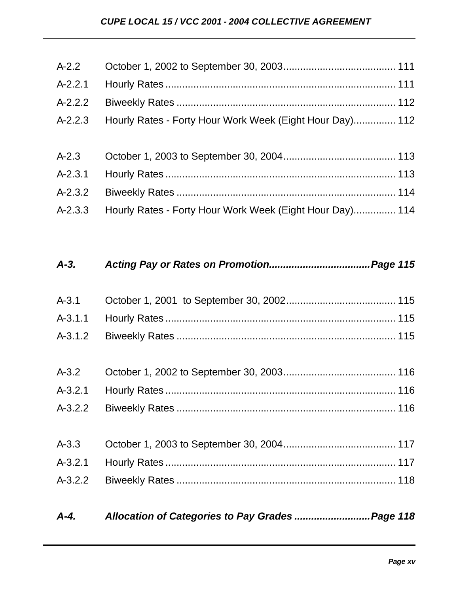| $A - 2.2$   |                                                          |
|-------------|----------------------------------------------------------|
| $A-2.2.1$   |                                                          |
| $A-2.2.2$   |                                                          |
| $A-2.2.3$   | Hourly Rates - Forty Hour Work Week (Eight Hour Day) 112 |
|             |                                                          |
| $A - 2.3$   |                                                          |
| $A-2.3.1$   |                                                          |
| $A - 2.3.2$ |                                                          |
| $A - 2.3.3$ | Hourly Rates - Forty Hour Work Week (Eight Hour Day) 114 |
|             |                                                          |

| $A-3.$ |  |
|--------|--|
|        |  |

| $A-4.$ | Allocation of Categories to Pay Grades  Page 118 |  |
|--------|--------------------------------------------------|--|
|        |                                                  |  |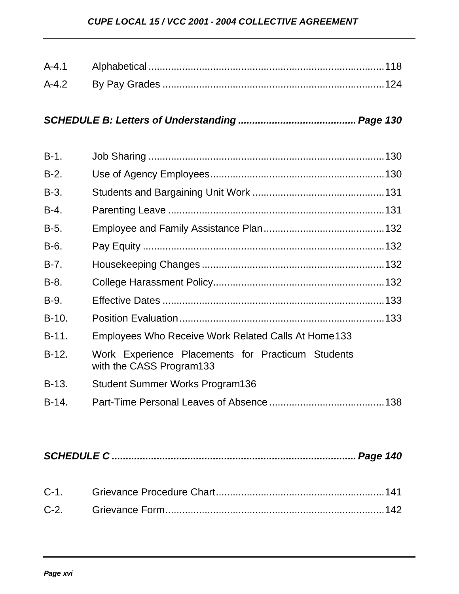| $A - 4.1$ |  |
|-----------|--|
| A-4.2     |  |

#### *SCHEDULE B: Letters of Understanding ..........................................Page 130*

| $B-1.$  |                                                                               |
|---------|-------------------------------------------------------------------------------|
| $B-2.$  |                                                                               |
| $B-3$ . |                                                                               |
| $B-4.$  |                                                                               |
| $B-5.$  |                                                                               |
| B-6.    |                                                                               |
| $B-7.$  |                                                                               |
| B-8.    |                                                                               |
| B-9.    |                                                                               |
| $B-10.$ |                                                                               |
| $B-11.$ | Employees Who Receive Work Related Calls At Home 133                          |
| $B-12.$ | Work Experience Placements for Practicum Students<br>with the CASS Program133 |
| $B-13.$ | <b>Student Summer Works Program136</b>                                        |
| $B-14.$ |                                                                               |
|         |                                                                               |
|         |                                                                               |

|--|--|--|--|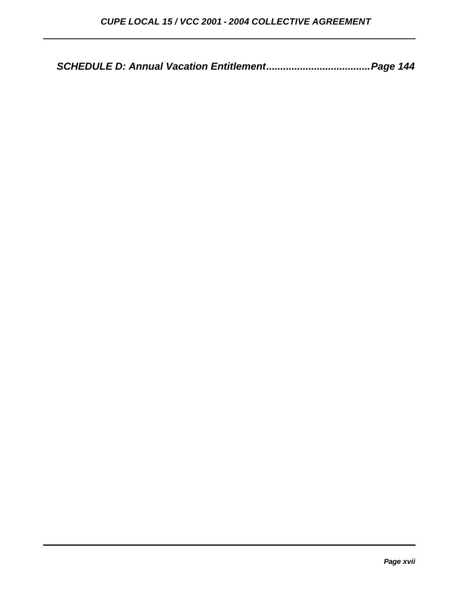*SCHEDULE D: Annual Vacation Entitlement.....................................Page 144*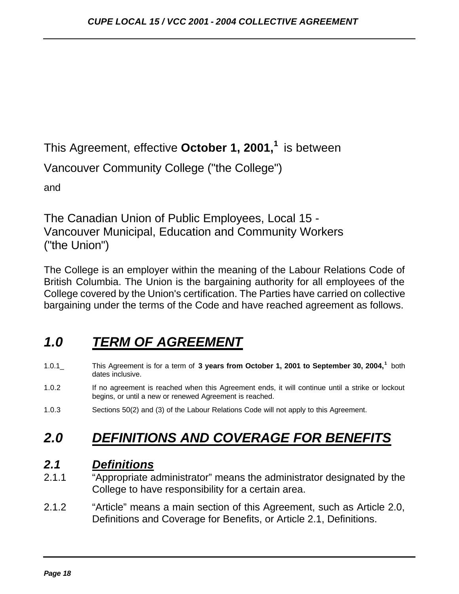This Agreement, effective **October 1, 2001,<sup>1</sup>**is between

Vancouver Community College ("the College")

and

The Canadian Union of Public Employees, Local 15 - Vancouver Municipal, Education and Community Workers ("the Union")

The College is an employer within the meaning of the Labour Relations Code of British Columbia. The Union is the bargaining authority for all employees of the College covered by the Union's certification. The Parties have carried on collective bargaining under the terms of the Code and have reached agreement as follows.

## *1.0 TERM OF AGREEMENT*

- 1.0.1\_ This Agreement is for a term of **3 years from October 1, 2001 to September 30, 2004,<sup>1</sup>** both dates inclusive.
- 1.0.2 If no agreement is reached when this Agreement ends, it will continue until a strike or lockout begins, or until a new or renewed Agreement is reached.
- 1.0.3 Sections 50(2) and (3) of the Labour Relations Code will not apply to this Agreement.

## *2.0 DEFINITIONS AND COVERAGE FOR BENEFITS*

#### *2.1 Definitions*

- 2.1.1 "Appropriate administrator" means the administrator designated by the College to have responsibility for a certain area.
- 2.1.2 "Article" means a main section of this Agreement, such as Article 2.0, Definitions and Coverage for Benefits, or Article 2.1, Definitions.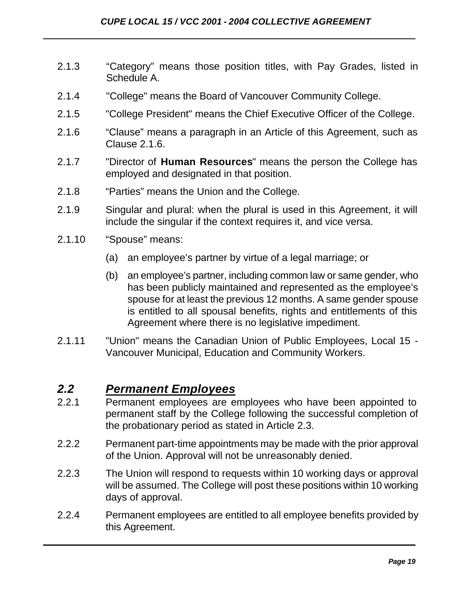- 2.1.3 "Category" means those position titles, with Pay Grades, listed in Schedule A.
- 2.1.4 "College" means the Board of Vancouver Community College.
- 2.1.5 "College President" means the Chief Executive Officer of the College.
- 2.1.6 "Clause" means a paragraph in an Article of this Agreement, such as Clause 2.1.6.
- 2.1.7 "Director of **Human Resources**" means the person the College has employed and designated in that position.
- 2.1.8 "Parties" means the Union and the College.
- 2.1.9 Singular and plural: when the plural is used in this Agreement, it will include the singular if the context requires it, and vice versa.
- 2.1.10 "Spouse" means:
	- (a) an employee's partner by virtue of a legal marriage; or
	- (b) an employee's partner, including common law or same gender, who has been publicly maintained and represented as the employee's spouse for at least the previous 12 months. A same gender spouse is entitled to all spousal benefits, rights and entitlements of this Agreement where there is no legislative impediment.
- 2.1.11 "Union" means the Canadian Union of Public Employees, Local 15 Vancouver Municipal, Education and Community Workers.

#### *2.2 Permanent Employees*

- 2.2.1 Permanent employees are employees who have been appointed to permanent staff by the College following the successful completion of the probationary period as stated in Article 2.3.
- 2.2.2 Permanent part-time appointments may be made with the prior approval of the Union. Approval will not be unreasonably denied.
- 2.2.3 The Union will respond to requests within 10 working days or approval will be assumed. The College will post these positions within 10 working days of approval.
- 2.2.4 Permanent employees are entitled to all employee benefits provided by this Agreement.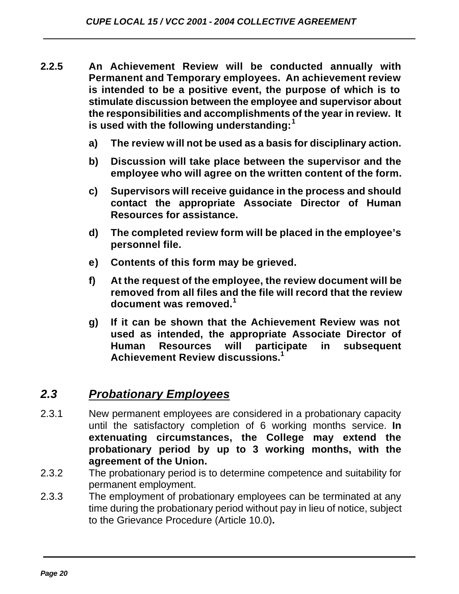- **2.2.5 An Achievement Review will be conducted annually with Permanent and Temporary employees. An achievement review is intended to be a positive event, the purpose of which is to stimulate discussion between the employee and supervisor about the responsibilities and accomplishments of the year in review. It is used with the following understanding:<sup>1</sup>**
	- **a) The review will not be used as a basis for disciplinary action.**
	- **b) Discussion will take place between the supervisor and the employee who will agree on the written content of the form.**
	- **c) Supervisors will receive guidance in the process and should contact the appropriate Associate Director of Human Resources for assistance.**
	- **d) The completed review form will be placed in the employee's personnel file.**
	- **e) Contents of this form may be grieved.**
	- **f) At the request of the employee, the review document will be removed from all files and the file will record that the review document was removed.<sup>1</sup>**
	- **g) If it can be shown that the Achievement Review was not used as intended, the appropriate Associate Director of Human Resources will participate in subsequent Achievement Review discussions.**

#### *2.3 Probationary Employees*

- 2.3.1 New permanent employees are considered in a probationary capacity until the satisfactory completion of 6 working months service. **In extenuating circumstances, the College may extend the probationary period by up to 3 working months, with the agreement of the Union.**
- 2.3.2 The probationary period is to determine competence and suitability for permanent employment.
- 2.3.3 The employment of probationary employees can be terminated at any time during the probationary period without pay in lieu of notice, subject to the Grievance Procedure (Article 10.0)**.**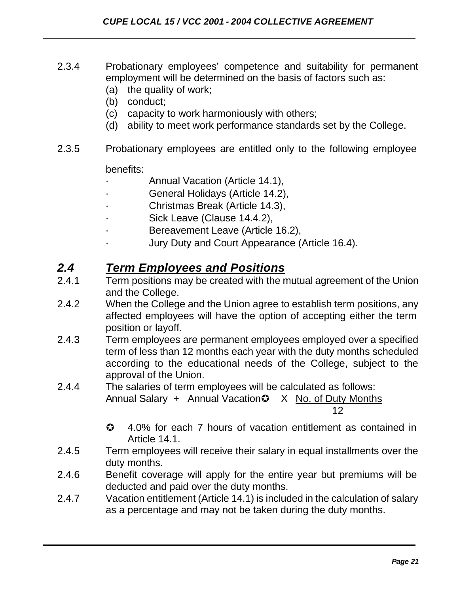- 2.3.4 Probationary employees' competence and suitability for permanent employment will be determined on the basis of factors such as:
	- (a) the quality of work;
	- (b) conduct;
	- (c) capacity to work harmoniously with others;
	- (d) ability to meet work performance standards set by the College.
- 2.3.5 Probationary employees are entitled only to the following employee

benefits:

- Annual Vacation (Article 14.1),
- General Holidays (Article 14.2),
- · Christmas Break (Article 14.3),
- Sick Leave (Clause 14.4.2),
- Bereavement Leave (Article 16.2),
- · Jury Duty and Court Appearance (Article 16.4).

#### *2.4 Term Employees and Positions*

- 2.4.1 Term positions may be created with the mutual agreement of the Union and the College.
- 2.4.2 When the College and the Union agree to establish term positions, any affected employees will have the option of accepting either the term position or layoff.
- 2.4.3 Term employees are permanent employees employed over a specified term of less than 12 months each year with the duty months scheduled according to the educational needs of the College, subject to the approval of the Union.
- 2.4.4 The salaries of term employees will be calculated as follows: Annual Salary + Annual Vacation $\heartsuit$  X No. of Duty Months

12

- µ 4.0% for each 7 hours of vacation entitlement as contained in Article 14.1.
- 2.4.5 Term employees will receive their salary in equal installments over the duty months.
- 2.4.6 Benefit coverage will apply for the entire year but premiums will be deducted and paid over the duty months.
- 2.4.7 Vacation entitlement (Article 14.1) is included in the calculation of salary as a percentage and may not be taken during the duty months.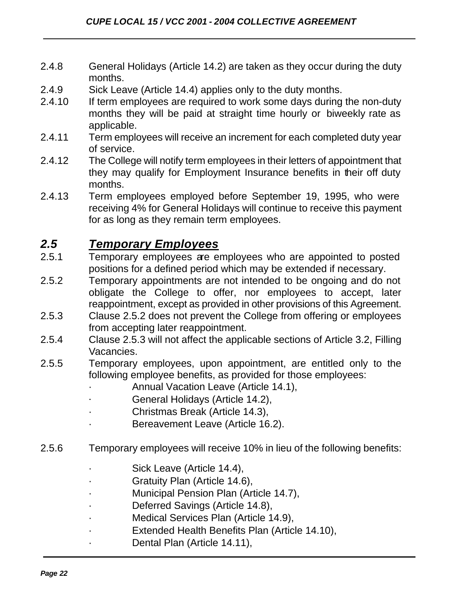- 2.4.8 General Holidays (Article 14.2) are taken as they occur during the duty months.
- 2.4.9 Sick Leave (Article 14.4) applies only to the duty months.
- 2.4.10 If term employees are required to work some days during the non-duty months they will be paid at straight time hourly or biweekly rate as applicable.
- 2.4.11 Term employees will receive an increment for each completed duty year of service.
- 2.4.12 The College will notify term employees in their letters of appointment that they may qualify for Employment Insurance benefits in their off duty months.
- 2.4.13 Term employees employed before September 19, 1995, who were receiving 4% for General Holidays will continue to receive this payment for as long as they remain term employees.

#### *2.5 Temporary Employees*

- 2.5.1 Temporary employees are employees who are appointed to posted positions for a defined period which may be extended if necessary.
- 2.5.2 Temporary appointments are not intended to be ongoing and do not obligate the College to offer, nor employees to accept, later reappointment, except as provided in other provisions of this Agreement.
- 2.5.3 Clause 2.5.2 does not prevent the College from offering or employees from accepting later reappointment.
- 2.5.4 Clause 2.5.3 will not affect the applicable sections of Article 3.2, Filling Vacancies.
- 2.5.5 Temporary employees, upon appointment, are entitled only to the following employee benefits, as provided for those employees:
	- · Annual Vacation Leave (Article 14.1),
	- General Holidays (Article 14.2),
	- · Christmas Break (Article 14.3),
	- Bereavement Leave (Article 16.2).
- 2.5.6 Temporary employees will receive 10% in lieu of the following benefits:
	- Sick Leave (Article 14.4),
	- Gratuity Plan (Article 14.6),
	- Municipal Pension Plan (Article 14.7),
	- Deferred Savings (Article 14.8),
	- Medical Services Plan (Article 14.9),
	- Extended Health Benefits Plan (Article 14.10),
	- Dental Plan (Article 14.11),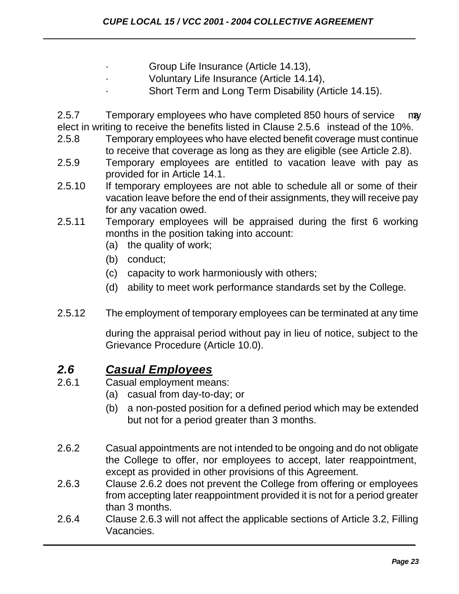- Group Life Insurance (Article 14.13),
- · Voluntary Life Insurance (Article 14.14),
- Short Term and Long Term Disability (Article 14.15).

2.5.7 Temporary employees who have completed 850 hours of service may elect in writing to receive the benefits listed in Clause 2.5.6 instead of the 10%.

- 2.5.8 Temporary employees who have elected benefit coverage must continue to receive that coverage as long as they are eligible (see Article 2.8).
- 2.5.9 Temporary employees are entitled to vacation leave with pay as provided for in Article 14.1.
- 2.5.10 If temporary employees are not able to schedule all or some of their vacation leave before the end of their assignments, they will receive pay for any vacation owed.
- 2.5.11 Temporary employees will be appraised during the first 6 working months in the position taking into account:
	- (a) the quality of work;
	- (b) conduct;
	- (c) capacity to work harmoniously with others;
	- (d) ability to meet work performance standards set by the College.
- 2.5.12 The employment of temporary employees can be terminated at any time

during the appraisal period without pay in lieu of notice, subject to the Grievance Procedure (Article 10.0).

#### *2.6 Casual Employees*

- 2.6.1 Casual employment means:
	- (a) casual from day-to-day; or
	- (b) a non-posted position for a defined period which may be extended but not for a period greater than 3 months.
- 2.6.2 Casual appointments are not intended to be ongoing and do not obligate the College to offer, nor employees to accept, later reappointment, except as provided in other provisions of this Agreement.
- 2.6.3 Clause 2.6.2 does not prevent the College from offering or employees from accepting later reappointment provided it is not for a period greater than 3 months.
- 2.6.4 Clause 2.6.3 will not affect the applicable sections of Article 3.2, Filling Vacancies.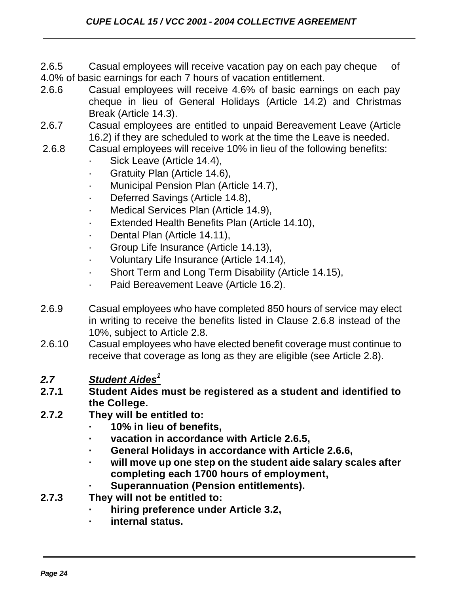2.6.5 Casual employees will receive vacation pay on each pay cheque of 4.0% of basic earnings for each 7 hours of vacation entitlement.

- 2.6.6 Casual employees will receive 4.6% of basic earnings on each pay cheque in lieu of General Holidays (Article 14.2) and Christmas Break (Article 14.3).
- 2.6.7 Casual employees are entitled to unpaid Bereavement Leave (Article 16.2) if they are scheduled to work at the time the Leave is needed.
- 2.6.8 Casual employees will receive 10% in lieu of the following benefits:
	- Sick Leave (Article 14.4),
	- Gratuity Plan (Article 14.6),
	- · Municipal Pension Plan (Article 14.7),
	- Deferred Savings (Article 14.8),
	- Medical Services Plan (Article 14.9),
	- Extended Health Benefits Plan (Article 14.10),
	- Dental Plan (Article 14.11),
	- Group Life Insurance (Article 14.13),
	- · Voluntary Life Insurance (Article 14.14),
	- Short Term and Long Term Disability (Article 14.15),
	- Paid Bereavement Leave (Article 16.2).
- 2.6.9 Casual employees who have completed 850 hours of service may elect in writing to receive the benefits listed in Clause 2.6.8 instead of the 10%, subject to Article 2.8.
- 2.6.10 Casual employees who have elected benefit coverage must continue to receive that coverage as long as they are eligible (see Article 2.8).

#### *2.7 Student Aides<sup>1</sup>*

- **2.7.1 Student Aides must be registered as a student and identified to the College.**
- **2.7.2 They will be entitled to:**
	- **· 10% in lieu of benefits,**
	- **· vacation in accordance with Article 2.6.5,**
	- **· General Holidays in accordance with Article 2.6.6,**
	- **· will move up one step on the student aide salary scales after completing each 1700 hours of employment,**
	- **· Superannuation (Pension entitlements).**
- **2.7.3 They will not be entitled to:**
	- **· hiring preference under Article 3.2,**
	- **· internal status.**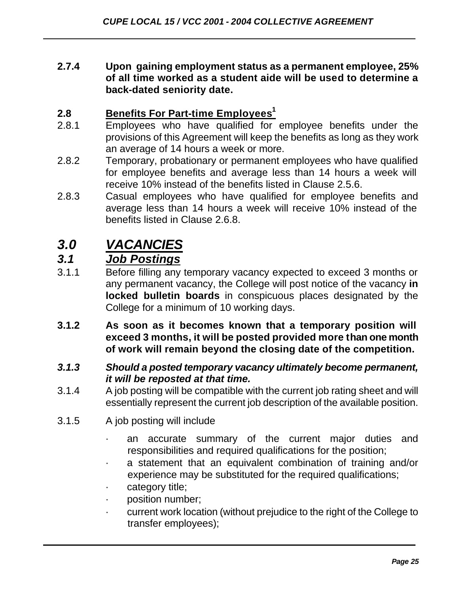**2.7.4 Upon gaining employment status as a permanent employee, 25% of all time worked as a student aide will be used to determine a back-dated seniority date.**

#### **2.8 Benefits For Part-time Employees<sup>1</sup>**

- 2.8.1 Employees who have qualified for employee benefits under the provisions of this Agreement will keep the benefits as long as they work an average of 14 hours a week or more.
- 2.8.2 Temporary, probationary or permanent employees who have qualified for employee benefits and average less than 14 hours a week will receive 10% instead of the benefits listed in Clause 2.5.6.
- 2.8.3 Casual employees who have qualified for employee benefits and average less than 14 hours a week will receive 10% instead of the benefits listed in Clause 2.6.8.

## *3.0 VACANCIES*

#### *3.1 Job Postings*

- 3.1.1 Before filling any temporary vacancy expected to exceed 3 months or any permanent vacancy, the College will post notice of the vacancy **in locked bulletin boards** in conspicuous places designated by the College for a minimum of 10 working days.
- **3.1.2 As soon as it becomes known that a temporary position will exceed 3 months, it will be posted provided more than one month of work will remain beyond the closing date of the competition.**
- *3.1.3 Should a posted temporary vacancy ultimately become permanent, it will be reposted at that time.*
- 3.1.4 A job posting will be compatible with the current job rating sheet and will essentially represent the current job description of the available position.
- 3.1.5 A job posting will include
	- an accurate summary of the current major duties and responsibilities and required qualifications for the position;
	- a statement that an equivalent combination of training and/or experience may be substituted for the required qualifications;
	- · category title;
	- position number;
	- · current work location (without prejudice to the right of the College to transfer employees);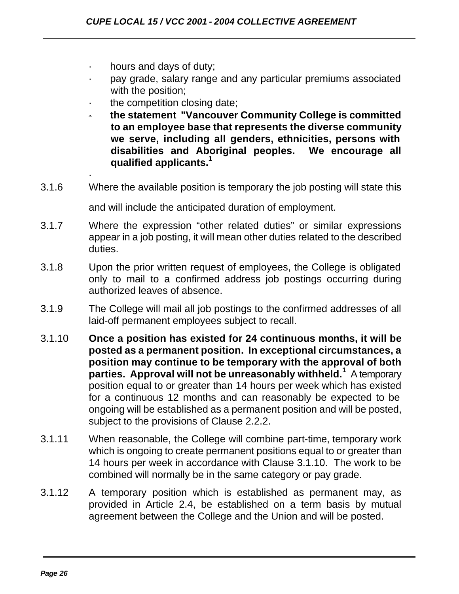hours and days of duty;

·

- pay grade, salary range and any particular premiums associated with the position;
- the competition closing date;
- · **the statement "Vancouver Community College is committed to an employee base that represents the diverse community we serve, including all genders, ethnicities, persons with disabilities and Aboriginal peoples. We encourage all qualified applicants.<sup>1</sup>**
- 3.1.6 Where the available position is temporary the job posting will state this

and will include the anticipated duration of employment.

- 3.1.7 Where the expression "other related duties" or similar expressions appear in a job posting, it will mean other duties related to the described duties.
- 3.1.8 Upon the prior written request of employees, the College is obligated only to mail to a confirmed address job postings occurring during authorized leaves of absence.
- 3.1.9 The College will mail all job postings to the confirmed addresses of all laid-off permanent employees subject to recall.
- 3.1.10 **Once a position has existed for 24 continuous months, it will be posted as a permanent position. In exceptional circumstances, a position may continue to be temporary with the approval of both parties. Approval will not be unreasonably withheld.<sup>1</sup> A temporary** position equal to or greater than 14 hours per week which has existed for a continuous 12 months and can reasonably be expected to be ongoing will be established as a permanent position and will be posted, subject to the provisions of Clause 2.2.2.
- 3.1.11 When reasonable, the College will combine part-time, temporary work which is ongoing to create permanent positions equal to or greater than 14 hours per week in accordance with Clause 3.1.10. The work to be combined will normally be in the same category or pay grade.
- 3.1.12 A temporary position which is established as permanent may, as provided in Article 2.4, be established on a term basis by mutual agreement between the College and the Union and will be posted.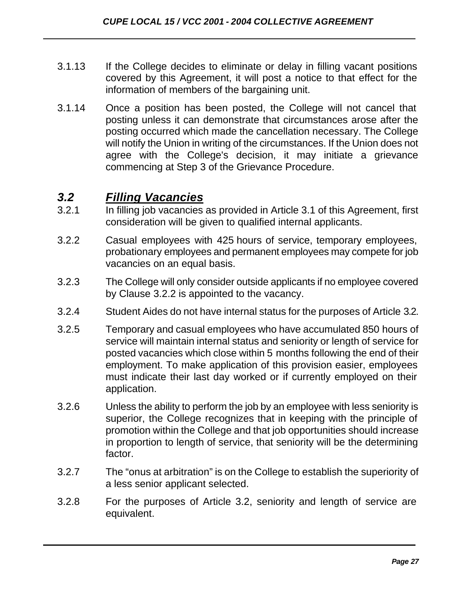- 3.1.13 If the College decides to eliminate or delay in filling vacant positions covered by this Agreement, it will post a notice to that effect for the information of members of the bargaining unit.
- 3.1.14 Once a position has been posted, the College will not cancel that posting unless it can demonstrate that circumstances arose after the posting occurred which made the cancellation necessary. The College will notify the Union in writing of the circumstances. If the Union does not agree with the College's decision, it may initiate a grievance commencing at Step 3 of the Grievance Procedure.

#### *3.2 Filling Vacancies*

- 3.2.1 In filling job vacancies as provided in Article 3.1 of this Agreement, first consideration will be given to qualified internal applicants.
- 3.2.2 Casual employees with 425 hours of service, temporary employees, probationary employees and permanent employees may compete for job vacancies on an equal basis.
- 3.2.3 The College will only consider outside applicants if no employee covered by Clause 3.2.2 is appointed to the vacancy.
- 3.2.4 Student Aides do not have internal status for the purposes of Article 3.2.
- 3.2.5 Temporary and casual employees who have accumulated 850 hours of service will maintain internal status and seniority or length of service for posted vacancies which close within 5 months following the end of their employment. To make application of this provision easier, employees must indicate their last day worked or if currently employed on their application.
- 3.2.6 Unless the ability to perform the job by an employee with less seniority is superior, the College recognizes that in keeping with the principle of promotion within the College and that job opportunities should increase in proportion to length of service, that seniority will be the determining factor.
- 3.2.7 The "onus at arbitration" is on the College to establish the superiority of a less senior applicant selected.
- 3.2.8 For the purposes of Article 3.2, seniority and length of service are equivalent.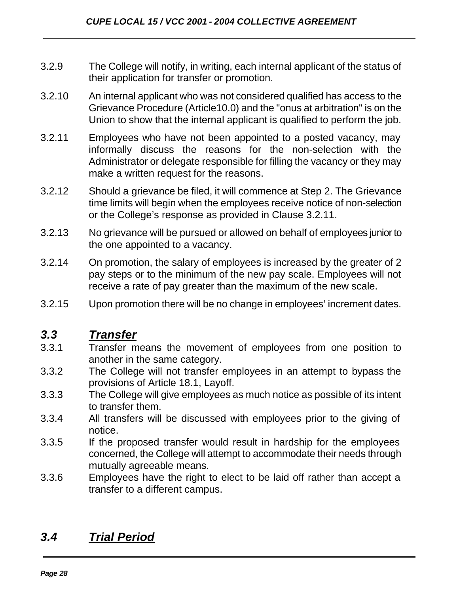- 3.2.9 The College will notify, in writing, each internal applicant of the status of their application for transfer or promotion.
- 3.2.10 An internal applicant who was not considered qualified has access to the Grievance Procedure (Article10.0) and the "onus at arbitration" is on the Union to show that the internal applicant is qualified to perform the job.
- 3.2.11 Employees who have not been appointed to a posted vacancy, may informally discuss the reasons for the non-selection with the Administrator or delegate responsible for filling the vacancy or they may make a written request for the reasons.
- 3.2.12 Should a grievance be filed, it will commence at Step 2. The Grievance time limits will begin when the employees receive notice of non-selection or the College's response as provided in Clause 3.2.11.
- 3.2.13 No grievance will be pursued or allowed on behalf of employees junior to the one appointed to a vacancy.
- 3.2.14 On promotion, the salary of employees is increased by the greater of 2 pay steps or to the minimum of the new pay scale. Employees will not receive a rate of pay greater than the maximum of the new scale.
- 3.2.15 Upon promotion there will be no change in employees' increment dates.

#### *3.3 Transfer*

- 3.3.1 Transfer means the movement of employees from one position to another in the same category.
- 3.3.2 The College will not transfer employees in an attempt to bypass the provisions of Article 18.1, Layoff.
- 3.3.3 The College will give employees as much notice as possible of its intent to transfer them.
- 3.3.4 All transfers will be discussed with employees prior to the giving of notice.
- 3.3.5 If the proposed transfer would result in hardship for the employees concerned, the College will attempt to accommodate their needs through mutually agreeable means.
- 3.3.6 Employees have the right to elect to be laid off rather than accept a transfer to a different campus.

#### *3.4 Trial Period*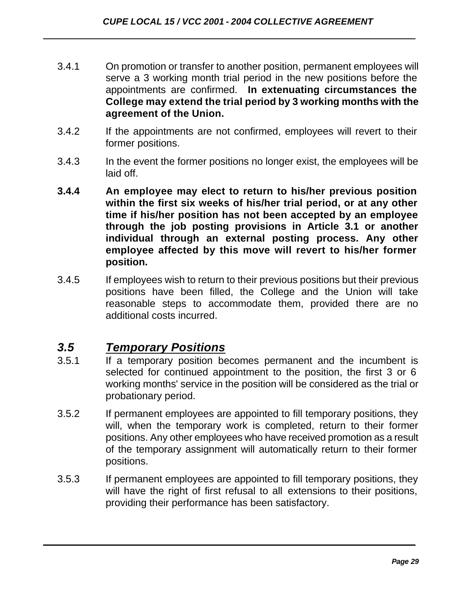- 3.4.1 On promotion or transfer to another position, permanent employees will serve a 3 working month trial period in the new positions before the appointments are confirmed. **In extenuating circumstances the College may extend the trial period by 3 working months with the agreement of the Union.**
- 3.4.2 If the appointments are not confirmed, employees will revert to their former positions.
- 3.4.3 In the event the former positions no longer exist, the employees will be laid off.
- **3.4.4 An employee may elect to return to his/her previous position within the first six weeks of his/her trial period, or at any other time if his/her position has not been accepted by an employee through the job posting provisions in Article 3.1 or another individual through an external posting process. Any other employee affected by this move will revert to his/her former position.**
- 3.4.5 If employees wish to return to their previous positions but their previous positions have been filled, the College and the Union will take reasonable steps to accommodate them, provided there are no additional costs incurred.

#### *3.5 Temporary Positions*

- 3.5.1 If a temporary position becomes permanent and the incumbent is selected for continued appointment to the position, the first 3 or 6 working months' service in the position will be considered as the trial or probationary period.
- 3.5.2 If permanent employees are appointed to fill temporary positions, they will, when the temporary work is completed, return to their former positions. Any other employees who have received promotion as a result of the temporary assignment will automatically return to their former positions.
- 3.5.3 If permanent employees are appointed to fill temporary positions, they will have the right of first refusal to all extensions to their positions, providing their performance has been satisfactory.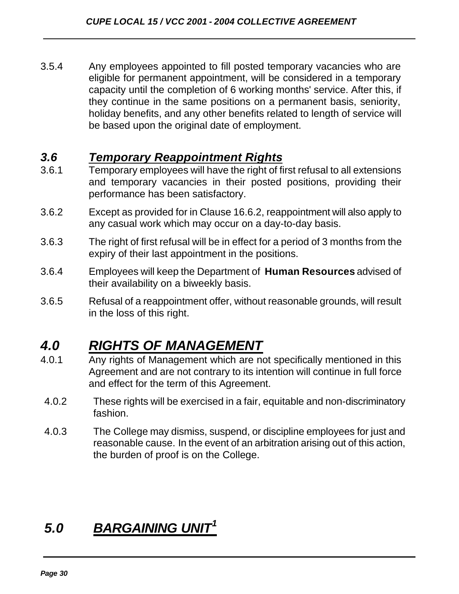3.5.4 Any employees appointed to fill posted temporary vacancies who are eligible for permanent appointment, will be considered in a temporary capacity until the completion of 6 working months' service. After this, if they continue in the same positions on a permanent basis, seniority, holiday benefits, and any other benefits related to length of service will be based upon the original date of employment.

#### *3.6 Temporary Reappointment Rights*

- 3.6.1 Temporary employees will have the right of first refusal to all extensions and temporary vacancies in their posted positions, providing their performance has been satisfactory.
- 3.6.2 Except as provided for in Clause 16.6.2, reappointment will also apply to any casual work which may occur on a day-to-day basis.
- 3.6.3 The right of first refusal will be in effect for a period of 3 months from the expiry of their last appointment in the positions.
- 3.6.4 Employees will keep the Department of **Human Resources** advised of their availability on a biweekly basis.
- 3.6.5 Refusal of a reappointment offer, without reasonable grounds, will result in the loss of this right.

## *4.0 RIGHTS OF MANAGEMENT*

- 4.0.1 Any rights of Management which are not specifically mentioned in this Agreement and are not contrary to its intention will continue in full force and effect for the term of this Agreement.
- 4.0.2 These rights will be exercised in a fair, equitable and non-discriminatory fashion.
- 4.0.3 The College may dismiss, suspend, or discipline employees for just and reasonable cause. In the event of an arbitration arising out of this action, the burden of proof is on the College.

## *5.0 BARGAINING UNIT<sup>1</sup>*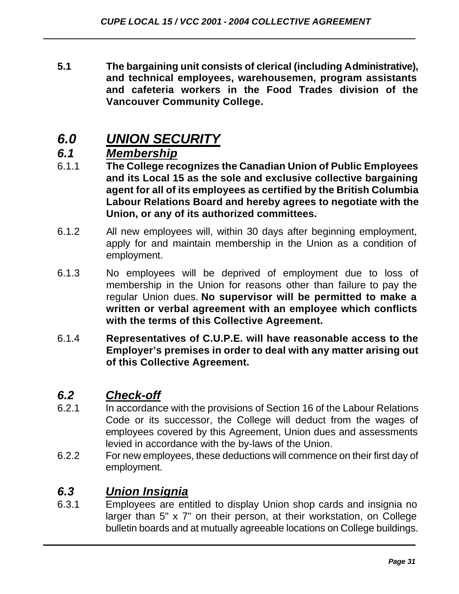**5.1 The bargaining unit consists of clerical (including Administrative), and technical employees, warehousemen, program assistants and cafeteria workers in the Food Trades division of the Vancouver Community College.**

### *6.0 UNION SECURITY*

#### *6.1 Membership*

- 6.1.1 **The College recognizes the Canadian Union of Public Employees and its Local 15 as the sole and exclusive collective bargaining agent for all of its employees as certified by the British Columbia Labour Relations Board and hereby agrees to negotiate with the Union, or any of its authorized committees.**
- 6.1.2 All new employees will, within 30 days after beginning employment, apply for and maintain membership in the Union as a condition of employment.
- 6.1.3 No employees will be deprived of employment due to loss of membership in the Union for reasons other than failure to pay the regular Union dues. **No supervisor will be permitted to make a written or verbal agreement with an employee which conflicts with the terms of this Collective Agreement.**
- 6.1.4 **Representatives of C.U.P.E. will have reasonable access to the Employer's premises in order to deal with any matter arising out of this Collective Agreement.**

#### *6.2 Check-off*

- 6.2.1 In accordance with the provisions of Section 16 of the Labour Relations Code or its successor, the College will deduct from the wages of employees covered by this Agreement, Union dues and assessments levied in accordance with the by-laws of the Union.
- 6.2.2 For new employees, these deductions will commence on their first day of employment.

#### *6.3 Union Insignia*

6.3.1 Employees are entitled to display Union shop cards and insignia no larger than 5" x 7" on their person, at their workstation, on College bulletin boards and at mutually agreeable locations on College buildings.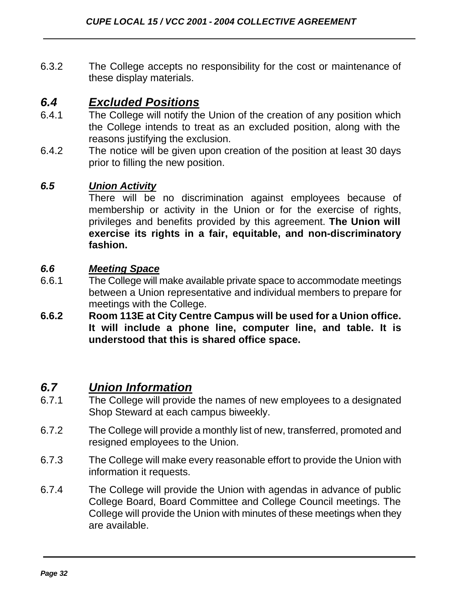6.3.2 The College accepts no responsibility for the cost or maintenance of these display materials.

#### *6.4 Excluded Positions*

- 6.4.1 The College will notify the Union of the creation of any position which the College intends to treat as an excluded position, along with the reasons justifying the exclusion.
- 6.4.2 The notice will be given upon creation of the position at least 30 days prior to filling the new position.

#### *6.5 Union Activity*

There will be no discrimination against employees because of membership or activity in the Union or for the exercise of rights, privileges and benefits provided by this agreement. **The Union will exercise its rights in a fair, equitable, and non-discriminatory fashion.**

#### *6.6 Meeting Space*

- 6.6.1 The College will make available private space to accommodate meetings between a Union representative and individual members to prepare for meetings with the College.
- **6.6.2 Room 113E at City Centre Campus will be used for a Union office. It will include a phone line, computer line, and table. It is understood that this is shared office space.**

#### *6.7 Union Information*

- 6.7.1 The College will provide the names of new employees to a designated Shop Steward at each campus biweekly.
- 6.7.2 The College will provide a monthly list of new, transferred, promoted and resigned employees to the Union.
- 6.7.3 The College will make every reasonable effort to provide the Union with information it requests.
- 6.7.4 The College will provide the Union with agendas in advance of public College Board, Board Committee and College Council meetings. The College will provide the Union with minutes of these meetings when they are available.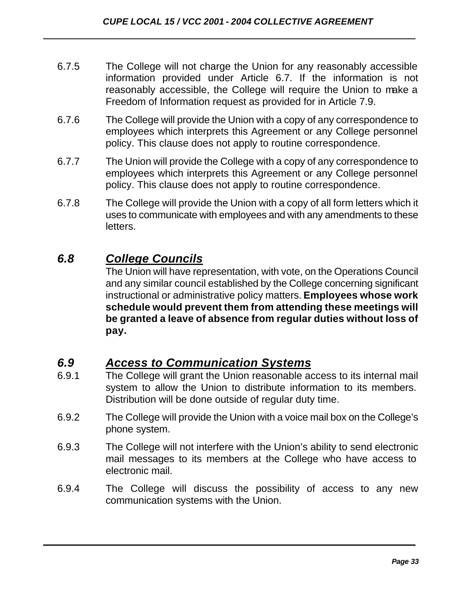- 6.7.5 The College will not charge the Union for any reasonably accessible information provided under Article 6.7. If the information is not reasonably accessible, the College will require the Union to make a Freedom of Information request as provided for in Article 7.9.
- 6.7.6 The College will provide the Union with a copy of any correspondence to employees which interprets this Agreement or any College personnel policy. This clause does not apply to routine correspondence.
- 6.7.7 The Union will provide the College with a copy of any correspondence to employees which interprets this Agreement or any College personnel policy. This clause does not apply to routine correspondence.
- 6.7.8 The College will provide the Union with a copy of all form letters which it uses to communicate with employees and with any amendments to these letters.

#### *6.8 College Councils*

The Union will have representation, with vote, on the Operations Council and any similar council established by the College concerning significant instructional or administrative policy matters. **Employees whose work schedule would prevent them from attending these meetings will be granted a leave of absence from regular duties without loss of pay.**

#### *6.9 Access to Communication Systems*

- 6.9.1 The College will grant the Union reasonable access to its internal mail system to allow the Union to distribute information to its members. Distribution will be done outside of regular duty time.
- 6.9.2 The College will provide the Union with a voice mail box on the College's phone system.
- 6.9.3 The College will not interfere with the Union's ability to send electronic mail messages to its members at the College who have access to electronic mail.
- 6.9.4 The College will discuss the possibility of access to any new communication systems with the Union.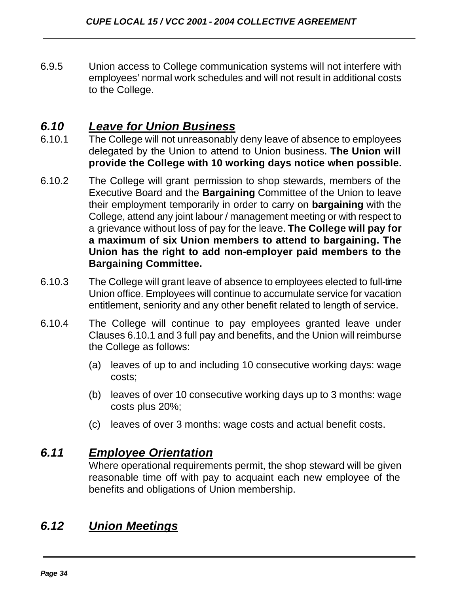6.9.5 Union access to College communication systems will not interfere with employees' normal work schedules and will not result in additional costs to the College.

#### *6.10 Leave for Union Business*

- 6.10.1 The College will not unreasonably deny leave of absence to employees delegated by the Union to attend to Union business. **The Union will provide the College with 10 working days notice when possible.**
- 6.10.2 The College will grant permission to shop stewards, members of the Executive Board and the **Bargaining** Committee of the Union to leave their employment temporarily in order to carry on **bargaining** with the College, attend any joint labour / management meeting or with respect to a grievance without loss of pay for the leave. **The College will pay for a maximum of six Union members to attend to bargaining. The Union has the right to add non-employer paid members to the Bargaining Committee.**
- 6.10.3 The College will grant leave of absence to employees elected to full-time Union office. Employees will continue to accumulate service for vacation entitlement, seniority and any other benefit related to length of service.
- 6.10.4 The College will continue to pay employees granted leave under Clauses 6.10.1 and 3 full pay and benefits, and the Union will reimburse the College as follows:
	- (a) leaves of up to and including 10 consecutive working days: wage costs;
	- (b) leaves of over 10 consecutive working days up to 3 months: wage costs plus 20%;
	- (c) leaves of over 3 months: wage costs and actual benefit costs.

#### *6.11 Employee Orientation*

Where operational requirements permit, the shop steward will be given reasonable time off with pay to acquaint each new employee of the benefits and obligations of Union membership.

#### *6.12 Union Meetings*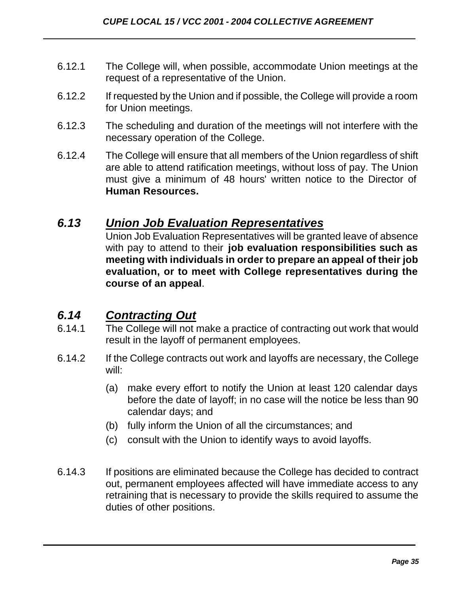- 6.12.1 The College will, when possible, accommodate Union meetings at the request of a representative of the Union.
- 6.12.2 If requested by the Union and if possible, the College will provide a room for Union meetings.
- 6.12.3 The scheduling and duration of the meetings will not interfere with the necessary operation of the College.
- 6.12.4 The College will ensure that all members of the Union regardless of shift are able to attend ratification meetings, without loss of pay. The Union must give a minimum of 48 hours' written notice to the Director of **Human Resources.**

#### *6.13 Union Job Evaluation Representatives*

Union Job Evaluation Representatives will be granted leave of absence with pay to attend to their **job evaluation responsibilities such as meeting with individuals in order to prepare an appeal of their job evaluation, or to meet with College representatives during the course of an appeal**.

#### *6.14 Contracting Out*

- 6.14.1 The College will not make a practice of contracting out work that would result in the layoff of permanent employees.
- 6.14.2 If the College contracts out work and layoffs are necessary, the College will:
	- (a) make every effort to notify the Union at least 120 calendar days before the date of layoff; in no case will the notice be less than 90 calendar days; and
	- (b) fully inform the Union of all the circumstances; and
	- (c) consult with the Union to identify ways to avoid layoffs.
- 6.14.3 If positions are eliminated because the College has decided to contract out, permanent employees affected will have immediate access to any retraining that is necessary to provide the skills required to assume the duties of other positions.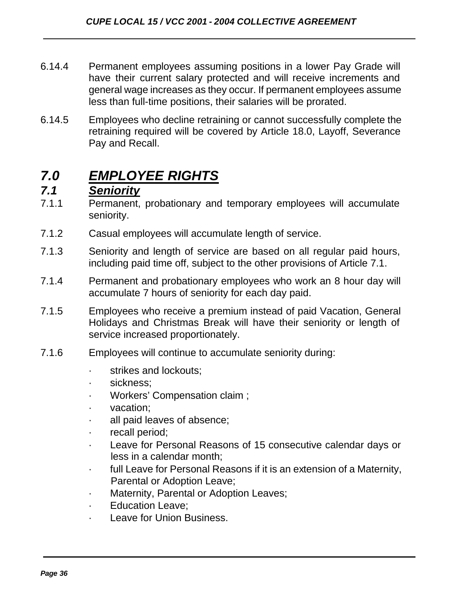- 6.14.4 Permanent employees assuming positions in a lower Pay Grade will have their current salary protected and will receive increments and general wage increases as they occur. If permanent employees assume less than full-time positions, their salaries will be prorated.
- 6.14.5 Employees who decline retraining or cannot successfully complete the retraining required will be covered by Article 18.0, Layoff, Severance Pay and Recall.

#### *7.0 EMPLOYEE RIGHTS*

#### *7.1 Seniority*

- 7.1.1 Permanent, probationary and temporary employees will accumulate seniority.
- 7.1.2 Casual employees will accumulate length of service.
- 7.1.3 Seniority and length of service are based on all regular paid hours, including paid time off, subject to the other provisions of Article 7.1.
- 7.1.4 Permanent and probationary employees who work an 8 hour day will accumulate 7 hours of seniority for each day paid.
- 7.1.5 Employees who receive a premium instead of paid Vacation, General Holidays and Christmas Break will have their seniority or length of service increased proportionately.
- 7.1.6 Employees will continue to accumulate seniority during:
	- strikes and lockouts;
	- sickness:
	- · Workers' Compensation claim ;
	- · vacation;
	- all paid leaves of absence;
	- recall period;
	- Leave for Personal Reasons of 15 consecutive calendar days or less in a calendar month;
	- full Leave for Personal Reasons if it is an extension of a Maternity, Parental or Adoption Leave;
	- Maternity, Parental or Adoption Leaves;
	- Education Leave:
	- Leave for Union Business.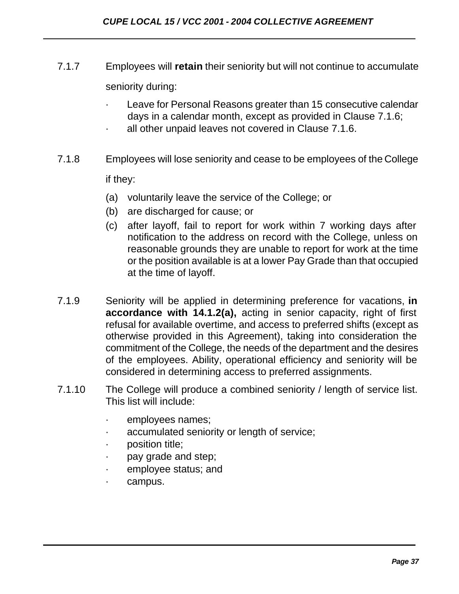- 7.1.7 Employees will **retain** their seniority but will not continue to accumulate seniority during:
	- Leave for Personal Reasons greater than 15 consecutive calendar days in a calendar month, except as provided in Clause 7.1.6;
	- all other unpaid leaves not covered in Clause 7.1.6.
- 7.1.8 Employees will lose seniority and cease to be employees of the College if they:
	- (a) voluntarily leave the service of the College; or
	- (b) are discharged for cause; or
	- (c) after layoff, fail to report for work within 7 working days after notification to the address on record with the College, unless on reasonable grounds they are unable to report for work at the time or the position available is at a lower Pay Grade than that occupied at the time of layoff.
- 7.1.9 Seniority will be applied in determining preference for vacations, **in accordance with 14.1.2(a),** acting in senior capacity, right of first refusal for available overtime, and access to preferred shifts (except as otherwise provided in this Agreement), taking into consideration the commitment of the College, the needs of the department and the desires of the employees. Ability, operational efficiency and seniority will be considered in determining access to preferred assignments.
- 7.1.10 The College will produce a combined seniority / length of service list. This list will include:
	- · employees names;
	- · accumulated seniority or length of service;
	- position title;
	- · pay grade and step;
	- employee status; and
	- · campus.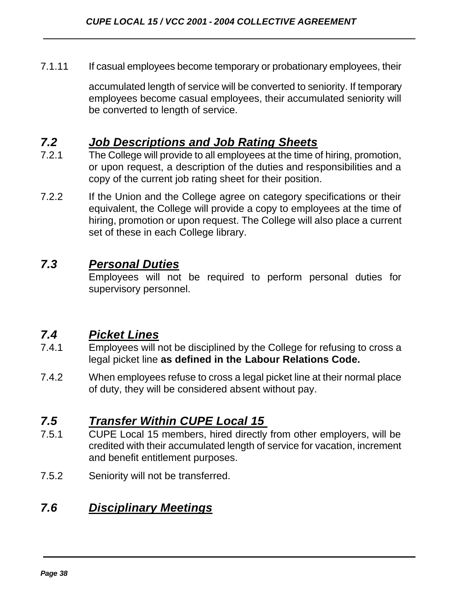7.1.11 If casual employees become temporary or probationary employees, their

accumulated length of service will be converted to seniority. If temporary employees become casual employees, their accumulated seniority will be converted to length of service.

### *7.2 Job Descriptions and Job Rating Sheets*

- 7.2.1 The College will provide to all employees at the time of hiring, promotion, or upon request, a description of the duties and responsibilities and a copy of the current job rating sheet for their position.
- 7.2.2 If the Union and the College agree on category specifications or their equivalent, the College will provide a copy to employees at the time of hiring, promotion or upon request. The College will also place a current set of these in each College library.

#### *7.3 Personal Duties*

Employees will not be required to perform personal duties for supervisory personnel.

### *7.4 Picket Lines*

- 7.4.1 Employees will not be disciplined by the College for refusing to cross a legal picket line **as defined in the Labour Relations Code.**
- 7.4.2 When employees refuse to cross a legal picket line at their normal place of duty, they will be considered absent without pay.

### *7.5 Transfer Within CUPE Local 15*

- 7.5.1 CUPE Local 15 members, hired directly from other employers, will be credited with their accumulated length of service for vacation, increment and benefit entitlement purposes.
- 7.5.2 Seniority will not be transferred.

## *7.6 Disciplinary Meetings*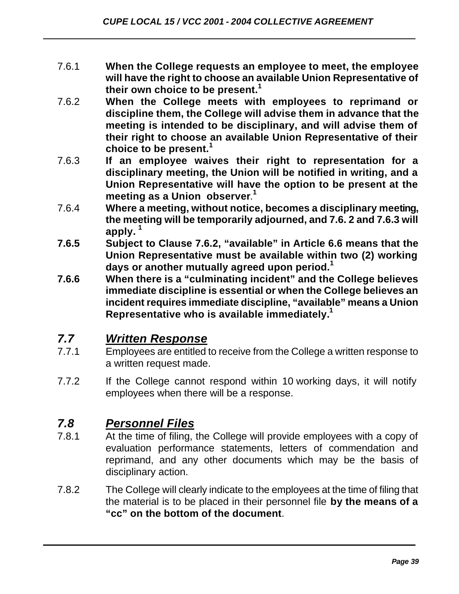- 7.6.1 **When the College requests an employee to meet, the employee will have the right to choose an available Union Representative of their own choice to be present.<sup>1</sup>**
- 7.6.2 **When the College meets with employees to reprimand or discipline them, the College will advise them in advance that the meeting is intended to be disciplinary, and will advise them of their right to choose an available Union Representative of their choice to be present.<sup>1</sup>**
- 7.6.3 **If an employee waives their right to representation for a disciplinary meeting, the Union will be notified in writing, and a Union Representative will have the option to be present at the meeting as a Union observer**. **1**
- 7.6.4 **Where a meeting, without notice, becomes a disciplinary meeting, the meeting will be temporarily adjourned, and 7.6. 2 and 7.6.3 will apply. <sup>1</sup>**
- **7.6.5 Subject to Clause 7.6.2, "available" in Article 6.6 means that the Union Representative must be available within two (2) working days or another mutually agreed upon period.<sup>1</sup>**
- **7.6.6 When there is a "culminating incident" and the College believes immediate discipline is essential or when the College believes an incident requires immediate discipline, "available" means a Union Representative who is available immediately.<sup>1</sup>**

## *7.7 Written Response*

- 7.7.1 Employees are entitled to receive from the College a written response to a written request made.
- 7.7.2 If the College cannot respond within 10 working days, it will notify employees when there will be a response.

## *7.8 Personnel Files*

- 7.8.1 At the time of filing, the College will provide employees with a copy of evaluation performance statements, letters of commendation and reprimand, and any other documents which may be the basis of disciplinary action.
- 7.8.2 The College will clearly indicate to the employees at the time of filing that the material is to be placed in their personnel file **by the means of a "cc" on the bottom of the document**.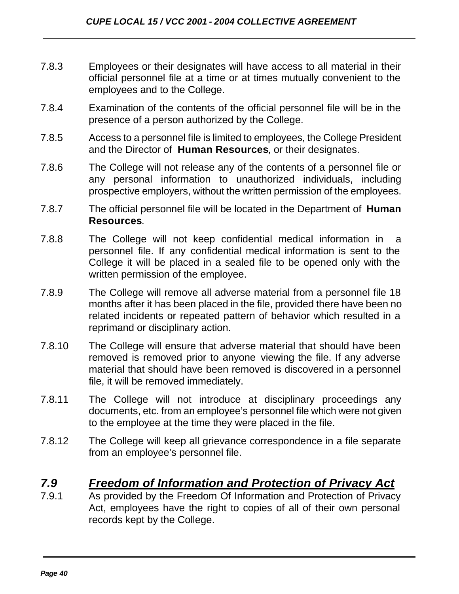- 7.8.3 Employees or their designates will have access to all material in their official personnel file at a time or at times mutually convenient to the employees and to the College.
- 7.8.4 Examination of the contents of the official personnel file will be in the presence of a person authorized by the College.
- 7.8.5 Access to a personnel file is limited to employees, the College President and the Director of **Human Resources**, or their designates.
- 7.8.6 The College will not release any of the contents of a personnel file or any personal information to unauthorized individuals, including prospective employers, without the written permission of the employees.
- 7.8.7 The official personnel file will be located in the Department of **Human Resources**.
- 7.8.8 The College will not keep confidential medical information in a personnel file. If any confidential medical information is sent to the College it will be placed in a sealed file to be opened only with the written permission of the employee.
- 7.8.9 The College will remove all adverse material from a personnel file 18 months after it has been placed in the file, provided there have been no related incidents or repeated pattern of behavior which resulted in a reprimand or disciplinary action.
- 7.8.10 The College will ensure that adverse material that should have been removed is removed prior to anyone viewing the file. If any adverse material that should have been removed is discovered in a personnel file, it will be removed immediately.
- 7.8.11 The College will not introduce at disciplinary proceedings any documents, etc. from an employee's personnel file which were not given to the employee at the time they were placed in the file.
- 7.8.12 The College will keep all grievance correspondence in a file separate from an employee's personnel file.

### *7.9 Freedom of Information and Protection of Privacy Act*

7.9.1 As provided by the Freedom Of Information and Protection of Privacy Act, employees have the right to copies of all of their own personal records kept by the College.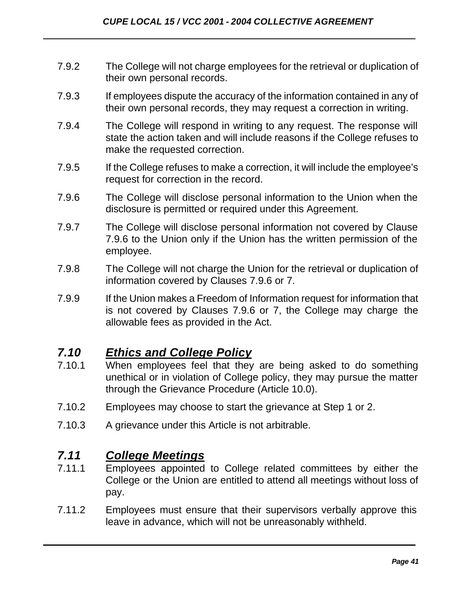- 7.9.2 The College will not charge employees for the retrieval or duplication of their own personal records.
- 7.9.3 If employees dispute the accuracy of the information contained in any of their own personal records, they may request a correction in writing.
- 7.9.4 The College will respond in writing to any request. The response will state the action taken and will include reasons if the College refuses to make the requested correction.
- 7.9.5 If the College refuses to make a correction, it will include the employee's request for correction in the record.
- 7.9.6 The College will disclose personal information to the Union when the disclosure is permitted or required under this Agreement.
- 7.9.7 The College will disclose personal information not covered by Clause 7.9.6 to the Union only if the Union has the written permission of the employee.
- 7.9.8 The College will not charge the Union for the retrieval or duplication of information covered by Clauses 7.9.6 or 7.
- 7.9.9 If the Union makes a Freedom of Information request for information that is not covered by Clauses 7.9.6 or 7, the College may charge the allowable fees as provided in the Act.

## *7.10 Ethics and College Policy*

- 7.10.1 When employees feel that they are being asked to do something unethical or in violation of College policy, they may pursue the matter through the Grievance Procedure (Article 10.0).
- 7.10.2 Employees may choose to start the grievance at Step 1 or 2.
- 7.10.3 A grievance under this Article is not arbitrable.

#### *7.11 College Meetings*

- 7.11.1 Employees appointed to College related committees by either the College or the Union are entitled to attend all meetings without loss of pay.
- 7.11.2 Employees must ensure that their supervisors verbally approve this leave in advance, which will not be unreasonably withheld.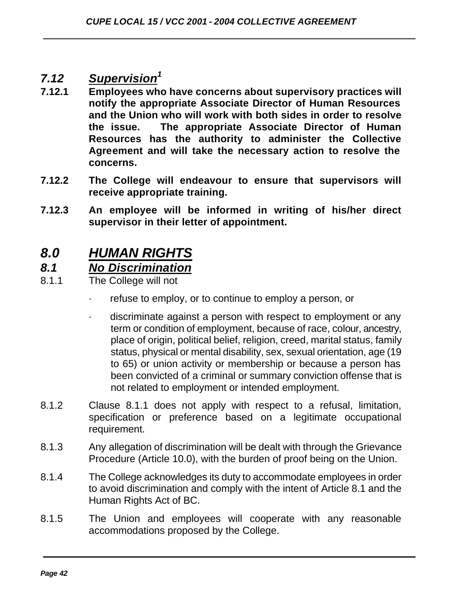### *7.12 Supervision<sup>1</sup>*

- **7.12.1 Employees who have concerns about supervisory practices will notify the appropriate Associate Director of Human Resources and the Union who will work with both sides in order to resolve the issue. The appropriate Associate Director of Human Resources has the authority to administer the Collective Agreement and will take the necessary action to resolve the concerns.**
- **7.12.2 The College will endeavour to ensure that supervisors will receive appropriate training.**
- **7.12.3 An employee will be informed in writing of his/her direct supervisor in their letter of appointment.**

## *8.0 HUMAN RIGHTS*

## *8.1 No Discrimination*

- 8.1.1 The College will not
	- refuse to employ, or to continue to employ a person, or
	- discriminate against a person with respect to employment or any term or condition of employment, because of race, colour, ancestry, place of origin, political belief, religion, creed, marital status, family status, physical or mental disability, sex, sexual orientation, age (19 to 65) or union activity or membership or because a person has been convicted of a criminal or summary conviction offense that is not related to employment or intended employment.
- 8.1.2 Clause 8.1.1 does not apply with respect to a refusal, limitation, specification or preference based on a legitimate occupational requirement.
- 8.1.3 Any allegation of discrimination will be dealt with through the Grievance Procedure (Article 10.0), with the burden of proof being on the Union.
- 8.1.4 The College acknowledges its duty to accommodate employees in order to avoid discrimination and comply with the intent of Article 8.1 and the Human Rights Act of BC.
- 8.1.5 The Union and employees will cooperate with any reasonable accommodations proposed by the College.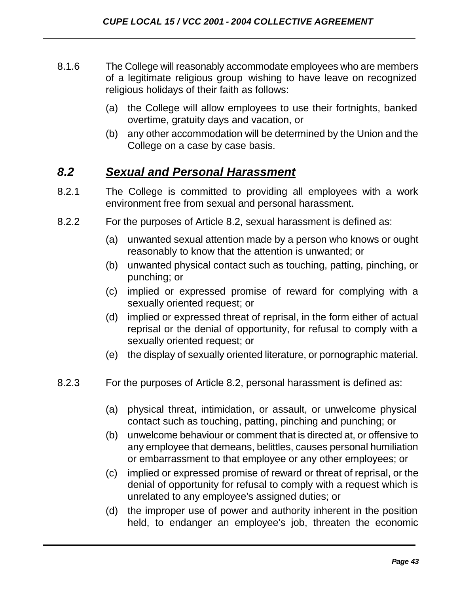- 8.1.6 The College will reasonably accommodate employees who are members of a legitimate religious group wishing to have leave on recognized religious holidays of their faith as follows:
	- (a) the College will allow employees to use their fortnights, banked overtime, gratuity days and vacation, or
	- (b) any other accommodation will be determined by the Union and the College on a case by case basis.

## *8.2 Sexual and Personal Harassment*

- 8.2.1 The College is committed to providing all employees with a work environment free from sexual and personal harassment.
- 8.2.2 For the purposes of Article 8.2, sexual harassment is defined as:
	- (a) unwanted sexual attention made by a person who knows or ought reasonably to know that the attention is unwanted; or
	- (b) unwanted physical contact such as touching, patting, pinching, or punching; or
	- (c) implied or expressed promise of reward for complying with a sexually oriented request; or
	- (d) implied or expressed threat of reprisal, in the form either of actual reprisal or the denial of opportunity, for refusal to comply with a sexually oriented request; or
	- (e) the display of sexually oriented literature, or pornographic material.
- 8.2.3 For the purposes of Article 8.2, personal harassment is defined as:
	- (a) physical threat, intimidation, or assault, or unwelcome physical contact such as touching, patting, pinching and punching; or
	- (b) unwelcome behaviour or comment that is directed at, or offensive to any employee that demeans, belittles, causes personal humiliation or embarrassment to that employee or any other employees; or
	- (c) implied or expressed promise of reward or threat of reprisal, or the denial of opportunity for refusal to comply with a request which is unrelated to any employee's assigned duties; or
	- (d) the improper use of power and authority inherent in the position held, to endanger an employee's job, threaten the economic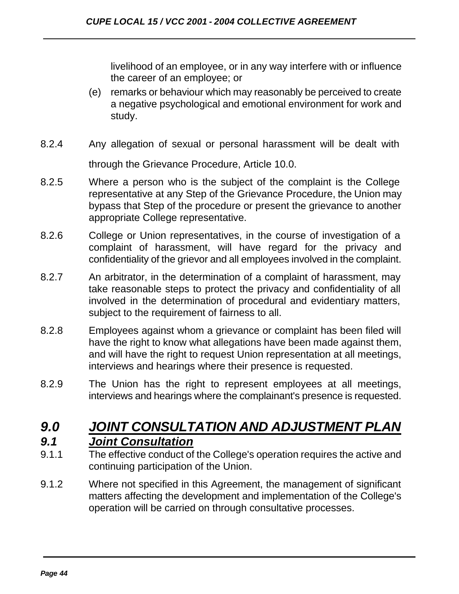livelihood of an employee, or in any way interfere with or influence the career of an employee; or

- (e) remarks or behaviour which may reasonably be perceived to create a negative psychological and emotional environment for work and study.
- 8.2.4 Any allegation of sexual or personal harassment will be dealt with through the Grievance Procedure, Article 10.0.
- 8.2.5 Where a person who is the subject of the complaint is the College representative at any Step of the Grievance Procedure, the Union may bypass that Step of the procedure or present the grievance to another appropriate College representative.
- 8.2.6 College or Union representatives, in the course of investigation of a complaint of harassment, will have regard for the privacy and confidentiality of the grievor and all employees involved in the complaint.
- 8.2.7 An arbitrator, in the determination of a complaint of harassment, may take reasonable steps to protect the privacy and confidentiality of all involved in the determination of procedural and evidentiary matters, subject to the requirement of fairness to all.
- 8.2.8 Employees against whom a grievance or complaint has been filed will have the right to know what allegations have been made against them, and will have the right to request Union representation at all meetings, interviews and hearings where their presence is requested.
- 8.2.9 The Union has the right to represent employees at all meetings, interviews and hearings where the complainant's presence is requested.

## *9.0 JOINT CONSULTATION AND ADJUSTMENT PLAN 9.1 Joint Consultation*

- 9.1.1 The effective conduct of the College's operation requires the active and continuing participation of the Union.
- 9.1.2 Where not specified in this Agreement, the management of significant matters affecting the development and implementation of the College's operation will be carried on through consultative processes.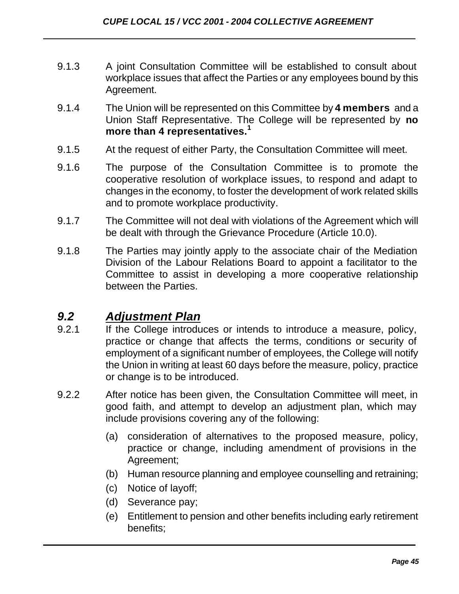- 9.1.3 A joint Consultation Committee will be established to consult about workplace issues that affect the Parties or any employees bound by this Agreement.
- 9.1.4 The Union will be represented on this Committee by **4 members** and a Union Staff Representative. The College will be represented by **no more than 4 representatives.<sup>1</sup>**
- 9.1.5 At the request of either Party, the Consultation Committee will meet.
- 9.1.6 The purpose of the Consultation Committee is to promote the cooperative resolution of workplace issues, to respond and adapt to changes in the economy, to foster the development of work related skills and to promote workplace productivity.
- 9.1.7 The Committee will not deal with violations of the Agreement which will be dealt with through the Grievance Procedure (Article 10.0).
- 9.1.8 The Parties may jointly apply to the associate chair of the Mediation Division of the Labour Relations Board to appoint a facilitator to the Committee to assist in developing a more cooperative relationship between the Parties.

### *9.2 Adjustment Plan*

- 9.2.1 If the College introduces or intends to introduce a measure, policy, practice or change that affects the terms, conditions or security of employment of a significant number of employees, the College will notify the Union in writing at least 60 days before the measure, policy, practice or change is to be introduced.
- 9.2.2 After notice has been given, the Consultation Committee will meet, in good faith, and attempt to develop an adjustment plan, which may include provisions covering any of the following:
	- (a) consideration of alternatives to the proposed measure, policy, practice or change, including amendment of provisions in the Agreement;
	- (b) Human resource planning and employee counselling and retraining;
	- (c) Notice of layoff;
	- (d) Severance pay;
	- (e) Entitlement to pension and other benefits including early retirement benefits;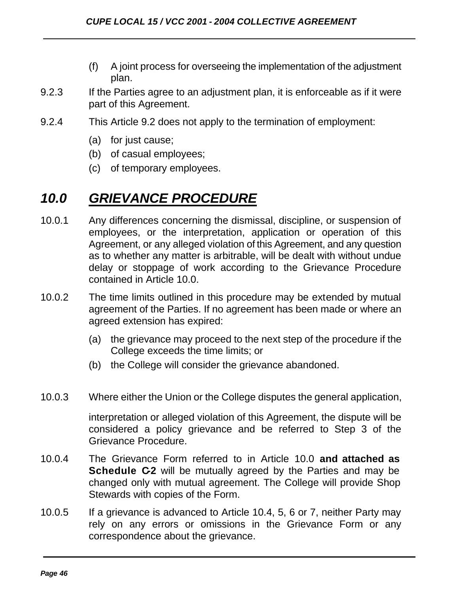- (f) A joint process for overseeing the implementation of the adjustment plan.
- 9.2.3 If the Parties agree to an adjustment plan, it is enforceable as if it were part of this Agreement.
- 9.2.4 This Article 9.2 does not apply to the termination of employment:
	- (a) for just cause;
	- (b) of casual employees;
	- (c) of temporary employees.

# *10.0 GRIEVANCE PROCEDURE*

- 10.0.1 Any differences concerning the dismissal, discipline, or suspension of employees, or the interpretation, application or operation of this Agreement, or any alleged violation of this Agreement, and any question as to whether any matter is arbitrable, will be dealt with without undue delay or stoppage of work according to the Grievance Procedure contained in Article 10.0.
- 10.0.2 The time limits outlined in this procedure may be extended by mutual agreement of the Parties. If no agreement has been made or where an agreed extension has expired:
	- (a) the grievance may proceed to the next step of the procedure if the College exceeds the time limits; or
	- (b) the College will consider the grievance abandoned.
- 10.0.3 Where either the Union or the College disputes the general application,

interpretation or alleged violation of this Agreement, the dispute will be considered a policy grievance and be referred to Step 3 of the Grievance Procedure.

- 10.0.4 The Grievance Form referred to in Article 10.0 **and attached as Schedule G2** will be mutually agreed by the Parties and may be changed only with mutual agreement. The College will provide Shop Stewards with copies of the Form.
- 10.0.5 If a grievance is advanced to Article 10.4, 5, 6 or 7, neither Party may rely on any errors or omissions in the Grievance Form or any correspondence about the grievance.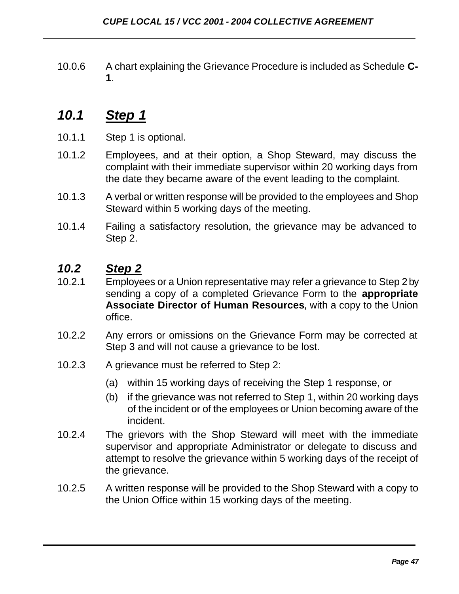10.0.6 A chart explaining the Grievance Procedure is included as Schedule **C-1**.

# *10.1 Step 1*

- 10.1.1 Step 1 is optional.
- 10.1.2 Employees, and at their option, a Shop Steward, may discuss the complaint with their immediate supervisor within 20 working days from the date they became aware of the event leading to the complaint.
- 10.1.3 A verbal or written response will be provided to the employees and Shop Steward within 5 working days of the meeting.
- 10.1.4 Failing a satisfactory resolution, the grievance may be advanced to Step 2.

## *10.2 Step 2*

- 10.2.1 Employees or a Union representative may refer a grievance to Step 2 by sending a copy of a completed Grievance Form to the **appropriate Associate Director of Human Resources**, with a copy to the Union office.
- 10.2.2 Any errors or omissions on the Grievance Form may be corrected at Step 3 and will not cause a grievance to be lost.
- 10.2.3 A grievance must be referred to Step 2:
	- (a) within 15 working days of receiving the Step 1 response, or
	- (b) if the grievance was not referred to Step 1, within 20 working days of the incident or of the employees or Union becoming aware of the incident.
- 10.2.4 The grievors with the Shop Steward will meet with the immediate supervisor and appropriate Administrator or delegate to discuss and attempt to resolve the grievance within 5 working days of the receipt of the grievance.
- 10.2.5 A written response will be provided to the Shop Steward with a copy to the Union Office within 15 working days of the meeting.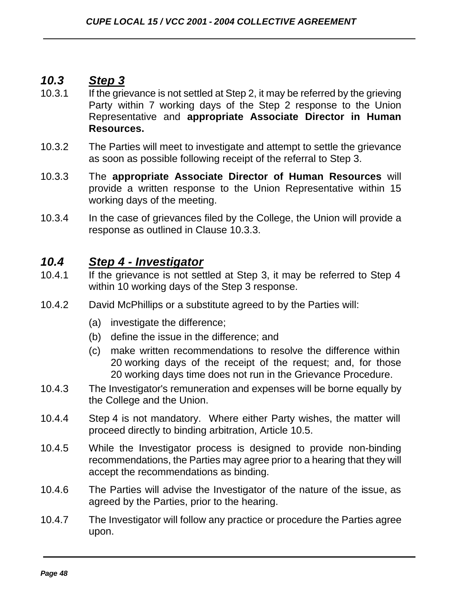#### *10.3 Step 3*

- 10.3.1 If the grievance is not settled at Step 2, it may be referred by the grieving Party within 7 working days of the Step 2 response to the Union Representative and **appropriate Associate Director in Human Resources.**
- 10.3.2 The Parties will meet to investigate and attempt to settle the grievance as soon as possible following receipt of the referral to Step 3.
- 10.3.3 The **appropriate Associate Director of Human Resources** will provide a written response to the Union Representative within 15 working days of the meeting.
- 10.3.4 In the case of grievances filed by the College, the Union will provide a response as outlined in Clause 10.3.3.

#### *10.4 Step 4 - Investigator*

- 10.4.1 If the grievance is not settled at Step 3, it may be referred to Step 4 within 10 working days of the Step 3 response.
- 10.4.2 David McPhillips or a substitute agreed to by the Parties will:
	- (a) investigate the difference;
	- (b) define the issue in the difference; and
	- (c) make written recommendations to resolve the difference within 20 working days of the receipt of the request; and, for those 20 working days time does not run in the Grievance Procedure.
- 10.4.3 The Investigator's remuneration and expenses will be borne equally by the College and the Union.
- 10.4.4 Step 4 is not mandatory. Where either Party wishes, the matter will proceed directly to binding arbitration, Article 10.5.
- 10.4.5 While the Investigator process is designed to provide non-binding recommendations, the Parties may agree prior to a hearing that they will accept the recommendations as binding.
- 10.4.6 The Parties will advise the Investigator of the nature of the issue, as agreed by the Parties, prior to the hearing.
- 10.4.7 The Investigator will follow any practice or procedure the Parties agree upon.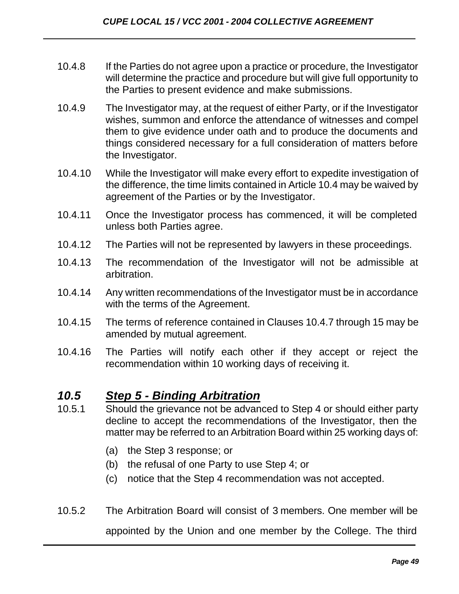- 10.4.8 If the Parties do not agree upon a practice or procedure, the Investigator will determine the practice and procedure but will give full opportunity to the Parties to present evidence and make submissions.
- 10.4.9 The Investigator may, at the request of either Party, or if the Investigator wishes, summon and enforce the attendance of witnesses and compel them to give evidence under oath and to produce the documents and things considered necessary for a full consideration of matters before the Investigator.
- 10.4.10 While the Investigator will make every effort to expedite investigation of the difference, the time limits contained in Article 10.4 may be waived by agreement of the Parties or by the Investigator.
- 10.4.11 Once the Investigator process has commenced, it will be completed unless both Parties agree.
- 10.4.12 The Parties will not be represented by lawyers in these proceedings.
- 10.4.13 The recommendation of the Investigator will not be admissible at arbitration.
- 10.4.14 Any written recommendations of the Investigator must be in accordance with the terms of the Agreement.
- 10.4.15 The terms of reference contained in Clauses 10.4.7 through 15 may be amended by mutual agreement.
- 10.4.16 The Parties will notify each other if they accept or reject the recommendation within 10 working days of receiving it.

#### *10.5 Step 5 - Binding Arbitration*

- 10.5.1 Should the grievance not be advanced to Step 4 or should either party decline to accept the recommendations of the Investigator, then the matter may be referred to an Arbitration Board within 25 working days of:
	- (a) the Step 3 response; or
	- (b) the refusal of one Party to use Step 4; or
	- (c) notice that the Step 4 recommendation was not accepted.
- 10.5.2 The Arbitration Board will consist of 3 members. One member will be appointed by the Union and one member by the College. The third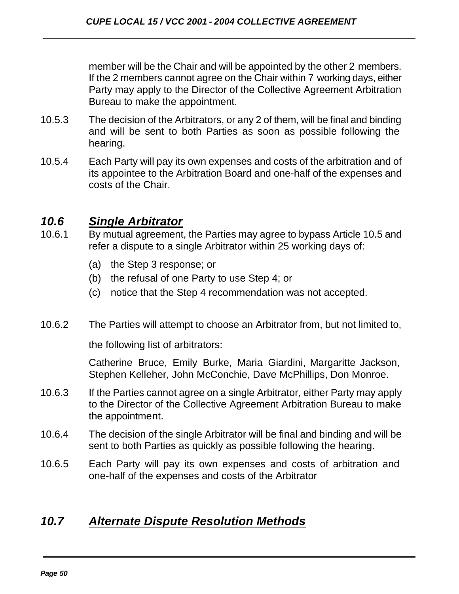member will be the Chair and will be appointed by the other 2 members. If the 2 members cannot agree on the Chair within 7 working days, either Party may apply to the Director of the Collective Agreement Arbitration Bureau to make the appointment.

- 10.5.3 The decision of the Arbitrators, or any 2 of them, will be final and binding and will be sent to both Parties as soon as possible following the hearing.
- 10.5.4 Each Party will pay its own expenses and costs of the arbitration and of its appointee to the Arbitration Board and one-half of the expenses and costs of the Chair.

## *10.6 Single Arbitrator*

- 10.6.1 By mutual agreement, the Parties may agree to bypass Article 10.5 and refer a dispute to a single Arbitrator within 25 working days of:
	- (a) the Step 3 response; or
	- (b) the refusal of one Party to use Step 4; or
	- (c) notice that the Step 4 recommendation was not accepted.
- 10.6.2 The Parties will attempt to choose an Arbitrator from, but not limited to,

the following list of arbitrators:

Catherine Bruce, Emily Burke, Maria Giardini, Margaritte Jackson, Stephen Kelleher, John McConchie, Dave McPhillips, Don Monroe.

- 10.6.3 If the Parties cannot agree on a single Arbitrator, either Party may apply to the Director of the Collective Agreement Arbitration Bureau to make the appointment.
- 10.6.4 The decision of the single Arbitrator will be final and binding and will be sent to both Parties as quickly as possible following the hearing.
- 10.6.5 Each Party will pay its own expenses and costs of arbitration and one-half of the expenses and costs of the Arbitrator

## *10.7 Alternate Dispute Resolution Methods*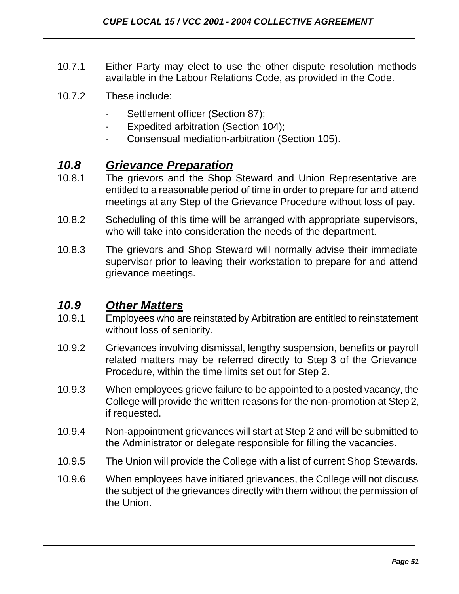- 10.7.1 Either Party may elect to use the other dispute resolution methods available in the Labour Relations Code, as provided in the Code.
- 10.7.2 These include:
	- Settlement officer (Section 87);
	- Expedited arbitration (Section 104);
	- Consensual mediation-arbitration (Section 105).

#### *10.8 Grievance Preparation*

- 10.8.1 The grievors and the Shop Steward and Union Representative are entitled to a reasonable period of time in order to prepare for and attend meetings at any Step of the Grievance Procedure without loss of pay.
- 10.8.2 Scheduling of this time will be arranged with appropriate supervisors, who will take into consideration the needs of the department.
- 10.8.3 The grievors and Shop Steward will normally advise their immediate supervisor prior to leaving their workstation to prepare for and attend grievance meetings.

### *10.9 Other Matters*

- 10.9.1 Employees who are reinstated by Arbitration are entitled to reinstatement without loss of seniority.
- 10.9.2 Grievances involving dismissal, lengthy suspension, benefits or payroll related matters may be referred directly to Step 3 of the Grievance Procedure, within the time limits set out for Step 2.
- 10.9.3 When employees grieve failure to be appointed to a posted vacancy, the College will provide the written reasons for the non-promotion at Step 2, if requested.
- 10.9.4 Non-appointment grievances will start at Step 2 and will be submitted to the Administrator or delegate responsible for filling the vacancies.
- 10.9.5 The Union will provide the College with a list of current Shop Stewards.
- 10.9.6 When employees have initiated grievances, the College will not discuss the subject of the grievances directly with them without the permission of the Union.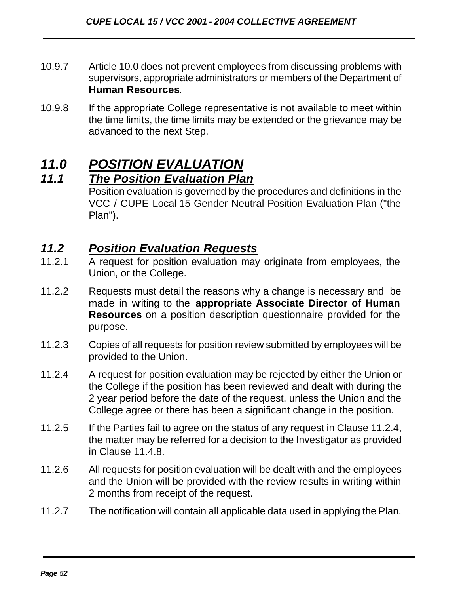- 10.9.7 Article 10.0 does not prevent employees from discussing problems with supervisors, appropriate administrators or members of the Department of **Human Resources**.
- 10.9.8 If the appropriate College representative is not available to meet within the time limits, the time limits may be extended or the grievance may be advanced to the next Step.

## *11.0 POSITION EVALUATION*

## *11.1 The Position Evaluation Plan*

Position evaluation is governed by the procedures and definitions in the VCC / CUPE Local 15 Gender Neutral Position Evaluation Plan ("the Plan").

## *11.2 Position Evaluation Requests*

- 11.2.1 A request for position evaluation may originate from employees, the Union, or the College.
- 11.2.2 Requests must detail the reasons why a change is necessary and be made in writing to the **appropriate Associate Director of Human Resources** on a position description questionnaire provided for the purpose.
- 11.2.3 Copies of all requests for position review submitted by employees will be provided to the Union.
- 11.2.4 A request for position evaluation may be rejected by either the Union or the College if the position has been reviewed and dealt with during the 2 year period before the date of the request, unless the Union and the College agree or there has been a significant change in the position.
- 11.2.5 If the Parties fail to agree on the status of any request in Clause 11.2.4, the matter may be referred for a decision to the Investigator as provided in Clause 11.4.8.
- 11.2.6 All requests for position evaluation will be dealt with and the employees and the Union will be provided with the review results in writing within 2 months from receipt of the request.
- 11.2.7 The notification will contain all applicable data used in applying the Plan.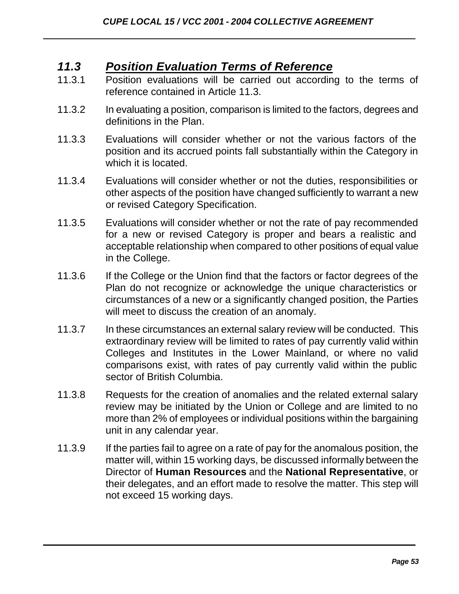### *11.3 Position Evaluation Terms of Reference*

- 11.3.1 Position evaluations will be carried out according to the terms of reference contained in Article 11.3.
- 11.3.2 In evaluating a position, comparison is limited to the factors, degrees and definitions in the Plan.
- 11.3.3 Evaluations will consider whether or not the various factors of the position and its accrued points fall substantially within the Category in which it is located.
- 11.3.4 Evaluations will consider whether or not the duties, responsibilities or other aspects of the position have changed sufficiently to warrant a new or revised Category Specification.
- 11.3.5 Evaluations will consider whether or not the rate of pay recommended for a new or revised Category is proper and bears a realistic and acceptable relationship when compared to other positions of equal value in the College.
- 11.3.6 If the College or the Union find that the factors or factor degrees of the Plan do not recognize or acknowledge the unique characteristics or circumstances of a new or a significantly changed position, the Parties will meet to discuss the creation of an anomaly.
- 11.3.7 In these circumstances an external salary review will be conducted. This extraordinary review will be limited to rates of pay currently valid within Colleges and Institutes in the Lower Mainland, or where no valid comparisons exist, with rates of pay currently valid within the public sector of British Columbia.
- 11.3.8 Requests for the creation of anomalies and the related external salary review may be initiated by the Union or College and are limited to no more than 2% of employees or individual positions within the bargaining unit in any calendar year.
- 11.3.9 If the parties fail to agree on a rate of pay for the anomalous position, the matter will, within 15 working days, be discussed informally between the Director of **Human Resources** and the **National Representative**, or their delegates, and an effort made to resolve the matter. This step will not exceed 15 working days.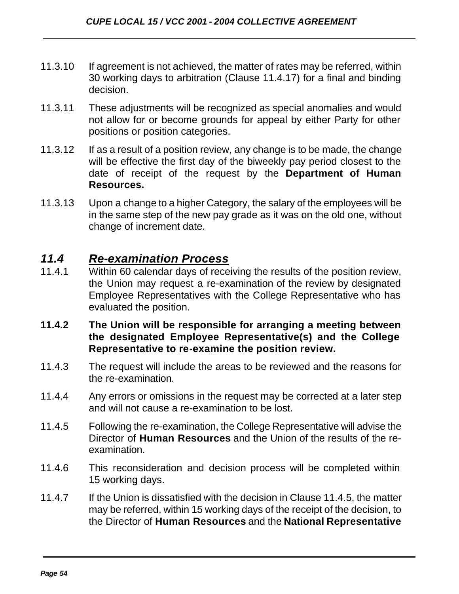- 11.3.10 If agreement is not achieved, the matter of rates may be referred, within 30 working days to arbitration (Clause 11.4.17) for a final and binding decision.
- 11.3.11 These adjustments will be recognized as special anomalies and would not allow for or become grounds for appeal by either Party for other positions or position categories.
- 11.3.12 If as a result of a position review, any change is to be made, the change will be effective the first day of the biweekly pay period closest to the date of receipt of the request by the **Department of Human Resources.**
- 11.3.13 Upon a change to a higher Category, the salary of the employees will be in the same step of the new pay grade as it was on the old one, without change of increment date.

#### *11.4 Re-examination Process*

- 11.4.1 Within 60 calendar days of receiving the results of the position review, the Union may request a re-examination of the review by designated Employee Representatives with the College Representative who has evaluated the position.
- **11.4.2 The Union will be responsible for arranging a meeting between the designated Employee Representative(s) and the College Representative to re-examine the position review.**
- 11.4.3 The request will include the areas to be reviewed and the reasons for the re-examination.
- 11.4.4 Any errors or omissions in the request may be corrected at a later step and will not cause a re-examination to be lost.
- 11.4.5 Following the re-examination, the College Representative will advise the Director of **Human Resources** and the Union of the results of the reexamination.
- 11.4.6 This reconsideration and decision process will be completed within 15 working days.
- 11.4.7 If the Union is dissatisfied with the decision in Clause 11.4.5, the matter may be referred, within 15 working days of the receipt of the decision, to the Director of **Human Resources** and the **National Representative**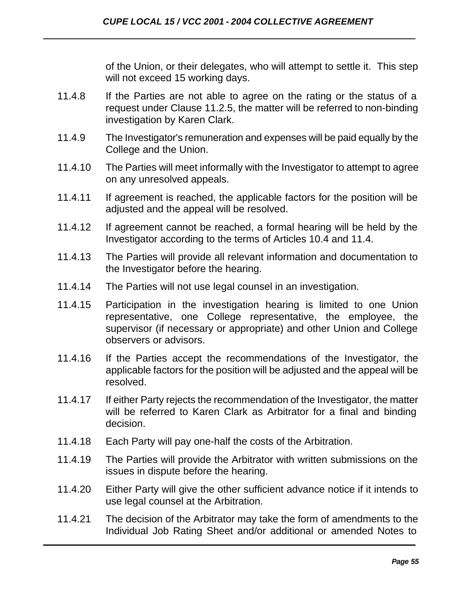of the Union, or their delegates, who will attempt to settle it. This step will not exceed 15 working days.

- 11.4.8 If the Parties are not able to agree on the rating or the status of a request under Clause 11.2.5, the matter will be referred to non-binding investigation by Karen Clark.
- 11.4.9 The Investigator's remuneration and expenses will be paid equally by the College and the Union.
- 11.4.10 The Parties will meet informally with the Investigator to attempt to agree on any unresolved appeals.
- 11.4.11 If agreement is reached, the applicable factors for the position will be adjusted and the appeal will be resolved.
- 11.4.12 If agreement cannot be reached, a formal hearing will be held by the Investigator according to the terms of Articles 10.4 and 11.4.
- 11.4.13 The Parties will provide all relevant information and documentation to the Investigator before the hearing.
- 11.4.14 The Parties will not use legal counsel in an investigation.
- 11.4.15 Participation in the investigation hearing is limited to one Union representative, one College representative, the employee, the supervisor (if necessary or appropriate) and other Union and College observers or advisors.
- 11.4.16 If the Parties accept the recommendations of the Investigator, the applicable factors for the position will be adjusted and the appeal will be resolved.
- 11.4.17 If either Party rejects the recommendation of the Investigator, the matter will be referred to Karen Clark as Arbitrator for a final and binding decision.
- 11.4.18 Each Party will pay one-half the costs of the Arbitration.
- 11.4.19 The Parties will provide the Arbitrator with written submissions on the issues in dispute before the hearing.
- 11.4.20 Either Party will give the other sufficient advance notice if it intends to use legal counsel at the Arbitration.
- 11.4.21 The decision of the Arbitrator may take the form of amendments to the Individual Job Rating Sheet and/or additional or amended Notes to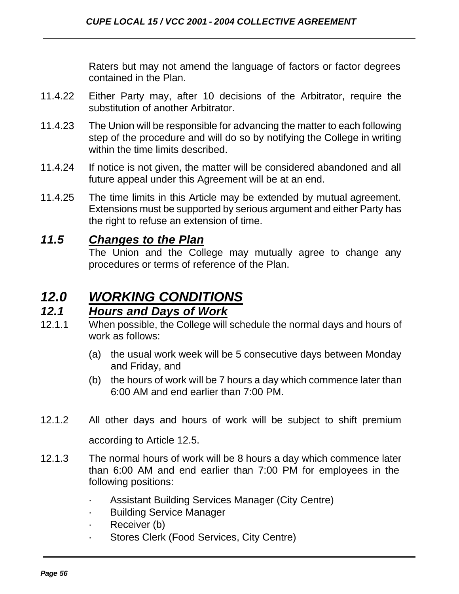Raters but may not amend the language of factors or factor degrees contained in the Plan.

- 11.4.22 Either Party may, after 10 decisions of the Arbitrator, require the substitution of another Arbitrator.
- 11.4.23 The Union will be responsible for advancing the matter to each following step of the procedure and will do so by notifying the College in writing within the time limits described.
- 11.4.24 If notice is not given, the matter will be considered abandoned and all future appeal under this Agreement will be at an end.
- 11.4.25 The time limits in this Article may be extended by mutual agreement. Extensions must be supported by serious argument and either Party has the right to refuse an extension of time.

#### *11.5 Changes to the Plan*

The Union and the College may mutually agree to change any procedures or terms of reference of the Plan.

## *12.0 WORKING CONDITIONS*

#### *12.1 Hours and Days of Work*

- 12.1.1 When possible, the College will schedule the normal days and hours of work as follows:
	- (a) the usual work week will be 5 consecutive days between Monday and Friday, and
	- (b) the hours of work will be 7 hours a day which commence later than 6:00 AM and end earlier than 7:00 PM.
- 12.1.2 All other days and hours of work will be subject to shift premium according to Article 12.5.
- 12.1.3 The normal hours of work will be 8 hours a day which commence later than 6:00 AM and end earlier than 7:00 PM for employees in the following positions:
	- Assistant Building Services Manager (City Centre)
	- **Building Service Manager**
	- · Receiver (b)
	- Stores Clerk (Food Services, City Centre)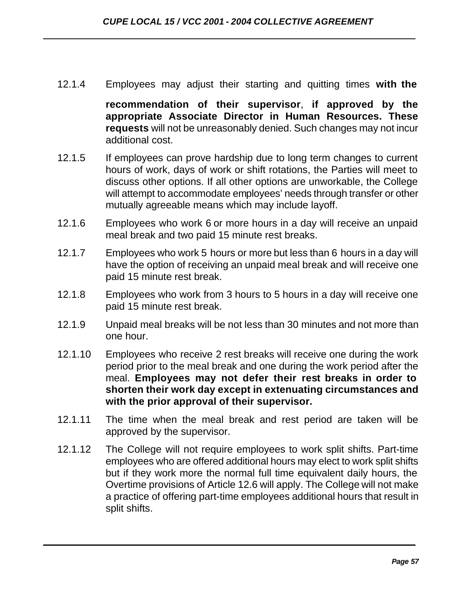- 12.1.4 Employees may adjust their starting and quitting times **with the recommendation of their supervisor**, **if approved by the appropriate Associate Director in Human Resources. These requests** will not be unreasonably denied. Such changes may not incur additional cost.
- 12.1.5 If employees can prove hardship due to long term changes to current hours of work, days of work or shift rotations, the Parties will meet to discuss other options. If all other options are unworkable, the College will attempt to accommodate employees' needs through transfer or other mutually agreeable means which may include layoff.
- 12.1.6 Employees who work 6 or more hours in a day will receive an unpaid meal break and two paid 15 minute rest breaks.
- 12.1.7 Employees who work 5 hours or more but less than 6 hours in a day will have the option of receiving an unpaid meal break and will receive one paid 15 minute rest break.
- 12.1.8 Employees who work from 3 hours to 5 hours in a day will receive one paid 15 minute rest break.
- 12.1.9 Unpaid meal breaks will be not less than 30 minutes and not more than one hour.
- 12.1.10 Employees who receive 2 rest breaks will receive one during the work period prior to the meal break and one during the work period after the meal. **Employees may not defer their rest breaks in order to shorten their work day except in extenuating circumstances and with the prior approval of their supervisor.**
- 12.1.11 The time when the meal break and rest period are taken will be approved by the supervisor.
- 12.1.12 The College will not require employees to work split shifts. Part-time employees who are offered additional hours may elect to work split shifts but if they work more the normal full time equivalent daily hours, the Overtime provisions of Article 12.6 will apply. The College will not make a practice of offering part-time employees additional hours that result in split shifts.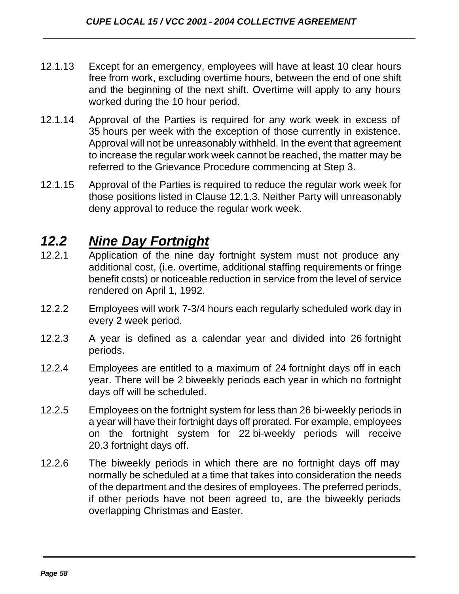- 12.1.13 Except for an emergency, employees will have at least 10 clear hours free from work, excluding overtime hours, between the end of one shift and the beginning of the next shift. Overtime will apply to any hours worked during the 10 hour period.
- 12.1.14 Approval of the Parties is required for any work week in excess of 35 hours per week with the exception of those currently in existence. Approval will not be unreasonably withheld. In the event that agreement to increase the regular work week cannot be reached, the matter may be referred to the Grievance Procedure commencing at Step 3.
- 12.1.15 Approval of the Parties is required to reduce the regular work week for those positions listed in Clause 12.1.3. Neither Party will unreasonably deny approval to reduce the regular work week.

# *12.2 Nine Day Fortnight*

- 12.2.1 Application of the nine day fortnight system must not produce any additional cost, (i.e. overtime, additional staffing requirements or fringe benefit costs) or noticeable reduction in service from the level of service rendered on April 1, 1992.
- 12.2.2 Employees will work 7-3/4 hours each regularly scheduled work day in every 2 week period.
- 12.2.3 A year is defined as a calendar year and divided into 26 fortnight periods.
- 12.2.4 Employees are entitled to a maximum of 24 fortnight days off in each year. There will be 2 biweekly periods each year in which no fortnight days off will be scheduled.
- 12.2.5 Employees on the fortnight system for less than 26 bi-weekly periods in a year will have their fortnight days off prorated. For example, employees on the fortnight system for 22 bi-weekly periods will receive 20.3 fortnight days off.
- 12.2.6 The biweekly periods in which there are no fortnight days off may normally be scheduled at a time that takes into consideration the needs of the department and the desires of employees. The preferred periods, if other periods have not been agreed to, are the biweekly periods overlapping Christmas and Easter.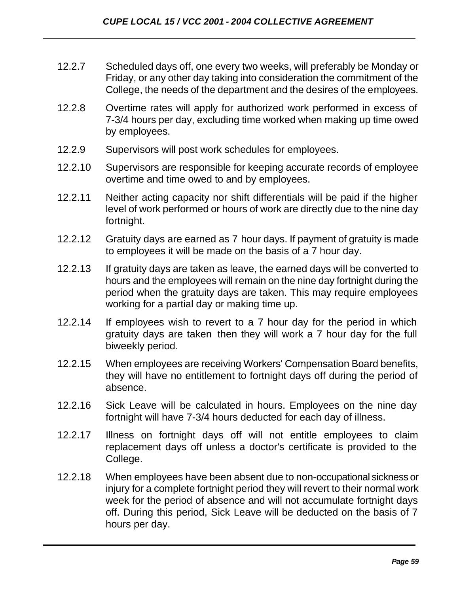- 12.2.7 Scheduled days off, one every two weeks, will preferably be Monday or Friday, or any other day taking into consideration the commitment of the College, the needs of the department and the desires of the employees.
- 12.2.8 Overtime rates will apply for authorized work performed in excess of 7-3/4 hours per day, excluding time worked when making up time owed by employees.
- 12.2.9 Supervisors will post work schedules for employees.
- 12.2.10 Supervisors are responsible for keeping accurate records of employee overtime and time owed to and by employees.
- 12.2.11 Neither acting capacity nor shift differentials will be paid if the higher level of work performed or hours of work are directly due to the nine day fortnight.
- 12.2.12 Gratuity days are earned as 7 hour days. If payment of gratuity is made to employees it will be made on the basis of a 7 hour day.
- 12.2.13 If gratuity days are taken as leave, the earned days will be converted to hours and the employees will remain on the nine day fortnight during the period when the gratuity days are taken. This may require employees working for a partial day or making time up.
- 12.2.14 If employees wish to revert to a 7 hour day for the period in which gratuity days are taken then they will work a 7 hour day for the full biweekly period.
- 12.2.15 When employees are receiving Workers' Compensation Board benefits, they will have no entitlement to fortnight days off during the period of absence.
- 12.2.16 Sick Leave will be calculated in hours. Employees on the nine day fortnight will have 7-3/4 hours deducted for each day of illness.
- 12.2.17 Illness on fortnight days off will not entitle employees to claim replacement days off unless a doctor's certificate is provided to the College.
- 12.2.18 When employees have been absent due to non-occupational sickness or injury for a complete fortnight period they will revert to their normal work week for the period of absence and will not accumulate fortnight days off. During this period, Sick Leave will be deducted on the basis of 7 hours per day.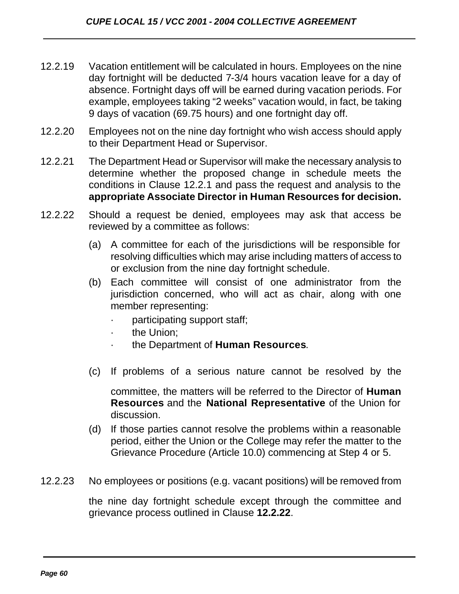- 12.2.19 Vacation entitlement will be calculated in hours. Employees on the nine day fortnight will be deducted 7-3/4 hours vacation leave for a day of absence. Fortnight days off will be earned during vacation periods. For example, employees taking "2 weeks" vacation would, in fact, be taking 9 days of vacation (69.75 hours) and one fortnight day off.
- 12.2.20 Employees not on the nine day fortnight who wish access should apply to their Department Head or Supervisor.
- 12.2.21 The Department Head or Supervisor will make the necessary analysis to determine whether the proposed change in schedule meets the conditions in Clause 12.2.1 and pass the request and analysis to the **appropriate Associate Director in Human Resources for decision.**
- 12.2.22 Should a request be denied, employees may ask that access be reviewed by a committee as follows:
	- (a) A committee for each of the jurisdictions will be responsible for resolving difficulties which may arise including matters of access to or exclusion from the nine day fortnight schedule.
	- (b) Each committee will consist of one administrator from the jurisdiction concerned, who will act as chair, along with one member representing:
		- participating support staff;
		- the Union;
		- · the Department of **Human Resources**.
	- (c) If problems of a serious nature cannot be resolved by the

committee, the matters will be referred to the Director of **Human Resources** and the **National Representative** of the Union for discussion.

- (d) If those parties cannot resolve the problems within a reasonable period, either the Union or the College may refer the matter to the Grievance Procedure (Article 10.0) commencing at Step 4 or 5.
- 12.2.23 No employees or positions (e.g. vacant positions) will be removed from

the nine day fortnight schedule except through the committee and grievance process outlined in Clause **12.2.22**.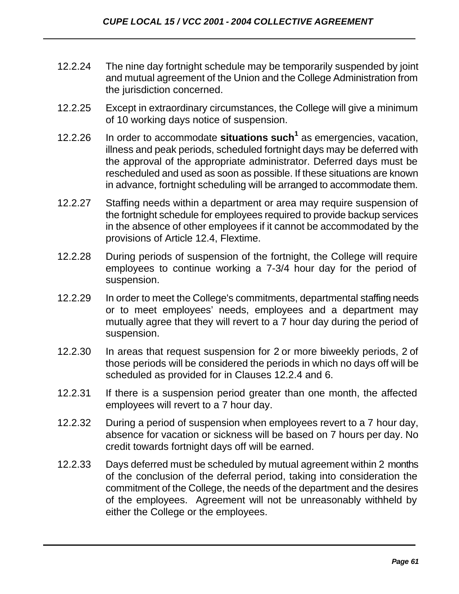- 12.2.24 The nine day fortnight schedule may be temporarily suspended by joint and mutual agreement of the Union and the College Administration from the jurisdiction concerned.
- 12.2.25 Except in extraordinary circumstances, the College will give a minimum of 10 working days notice of suspension.
- 12.2.26 In order to accommodate **situations such<sup>1</sup>** as emergencies, vacation, illness and peak periods, scheduled fortnight days may be deferred with the approval of the appropriate administrator. Deferred days must be rescheduled and used as soon as possible. If these situations are known in advance, fortnight scheduling will be arranged to accommodate them.
- 12.2.27 Staffing needs within a department or area may require suspension of the fortnight schedule for employees required to provide backup services in the absence of other employees if it cannot be accommodated by the provisions of Article 12.4, Flextime.
- 12.2.28 During periods of suspension of the fortnight, the College will require employees to continue working a 7-3/4 hour day for the period of suspension.
- 12.2.29 In order to meet the College's commitments, departmental staffing needs or to meet employees' needs, employees and a department may mutually agree that they will revert to a 7 hour day during the period of suspension.
- 12.2.30 In areas that request suspension for 2 or more biweekly periods, 2 of those periods will be considered the periods in which no days off will be scheduled as provided for in Clauses 12.2.4 and 6.
- 12.2.31 If there is a suspension period greater than one month, the affected employees will revert to a 7 hour day.
- 12.2.32 During a period of suspension when employees revert to a 7 hour day, absence for vacation or sickness will be based on 7 hours per day. No credit towards fortnight days off will be earned.
- 12.2.33 Days deferred must be scheduled by mutual agreement within 2 months of the conclusion of the deferral period, taking into consideration the commitment of the College, the needs of the department and the desires of the employees. Agreement will not be unreasonably withheld by either the College or the employees.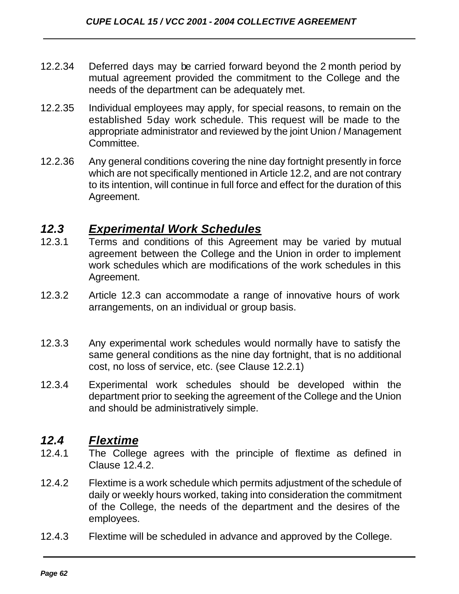- 12.2.34 Deferred days may be carried forward beyond the 2 month period by mutual agreement provided the commitment to the College and the needs of the department can be adequately met.
- 12.2.35 Individual employees may apply, for special reasons, to remain on the established 5day work schedule. This request will be made to the appropriate administrator and reviewed by the joint Union / Management Committee.
- 12.2.36 Any general conditions covering the nine day fortnight presently in force which are not specifically mentioned in Article 12.2, and are not contrary to its intention, will continue in full force and effect for the duration of this Agreement.

#### *12.3 Experimental Work Schedules*

- 12.3.1 Terms and conditions of this Agreement may be varied by mutual agreement between the College and the Union in order to implement work schedules which are modifications of the work schedules in this Agreement.
- 12.3.2 Article 12.3 can accommodate a range of innovative hours of work arrangements, on an individual or group basis.
- 12.3.3 Any experimental work schedules would normally have to satisfy the same general conditions as the nine day fortnight, that is no additional cost, no loss of service, etc. (see Clause 12.2.1)
- 12.3.4 Experimental work schedules should be developed within the department prior to seeking the agreement of the College and the Union and should be administratively simple.

### *12.4 Flextime*

- 12.4.1 The College agrees with the principle of flextime as defined in Clause 12.4.2.
- 12.4.2 Flextime is a work schedule which permits adjustment of the schedule of daily or weekly hours worked, taking into consideration the commitment of the College, the needs of the department and the desires of the employees.
- 12.4.3 Flextime will be scheduled in advance and approved by the College.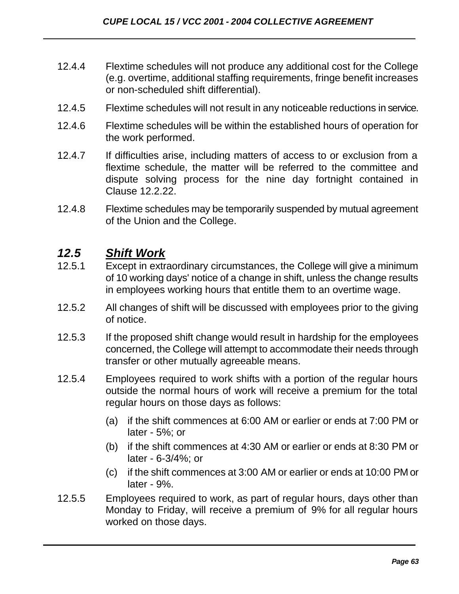- 12.4.4 Flextime schedules will not produce any additional cost for the College (e.g. overtime, additional staffing requirements, fringe benefit increases or non-scheduled shift differential).
- 12.4.5 Flextime schedules will not result in any noticeable reductions in service.
- 12.4.6 Flextime schedules will be within the established hours of operation for the work performed.
- 12.4.7 If difficulties arise, including matters of access to or exclusion from a flextime schedule, the matter will be referred to the committee and dispute solving process for the nine day fortnight contained in Clause 12.2.22.
- 12.4.8 Flextime schedules may be temporarily suspended by mutual agreement of the Union and the College.

## *12.5 Shift Work*

- 12.5.1 Except in extraordinary circumstances, the College will give a minimum of 10 working days' notice of a change in shift, unless the change results in employees working hours that entitle them to an overtime wage.
- 12.5.2 All changes of shift will be discussed with employees prior to the giving of notice.
- 12.5.3 If the proposed shift change would result in hardship for the employees concerned, the College will attempt to accommodate their needs through transfer or other mutually agreeable means.
- 12.5.4 Employees required to work shifts with a portion of the regular hours outside the normal hours of work will receive a premium for the total regular hours on those days as follows:
	- (a) if the shift commences at 6:00 AM or earlier or ends at 7:00 PM or later - 5%; or
	- (b) if the shift commences at 4:30 AM or earlier or ends at 8:30 PM or later - 6-3/4%; or
	- (c) if the shift commences at 3:00 AM or earlier or ends at 10:00 PM or later - 9%.
- 12.5.5 Employees required to work, as part of regular hours, days other than Monday to Friday, will receive a premium of 9% for all regular hours worked on those days.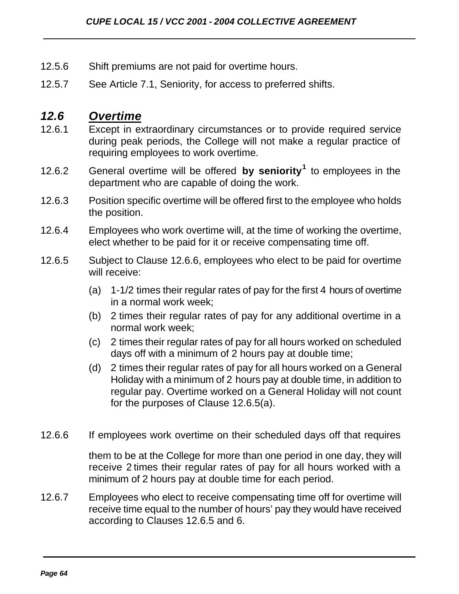- 12.5.6 Shift premiums are not paid for overtime hours.
- 12.5.7 See Article 7.1, Seniority, for access to preferred shifts.

#### *12.6 Overtime*

- 12.6.1 Except in extraordinary circumstances or to provide required service during peak periods, the College will not make a regular practice of requiring employees to work overtime.
- 12.6.2 General overtime will be offered **by seniority<sup>1</sup>** to employees in the department who are capable of doing the work.
- 12.6.3 Position specific overtime will be offered first to the employee who holds the position.
- 12.6.4 Employees who work overtime will, at the time of working the overtime, elect whether to be paid for it or receive compensating time off.
- 12.6.5 Subject to Clause 12.6.6, employees who elect to be paid for overtime will receive:
	- (a) 1-1/2 times their regular rates of pay for the first 4 hours of overtime in a normal work week;
	- (b) 2 times their regular rates of pay for any additional overtime in a normal work week;
	- (c) 2 times their regular rates of pay for all hours worked on scheduled days off with a minimum of 2 hours pay at double time;
	- (d) 2 times their regular rates of pay for all hours worked on a General Holiday with a minimum of 2 hours pay at double time, in addition to regular pay. Overtime worked on a General Holiday will not count for the purposes of Clause 12.6.5(a).
- 12.6.6 If employees work overtime on their scheduled days off that requires

them to be at the College for more than one period in one day, they will receive 2 times their regular rates of pay for all hours worked with a minimum of 2 hours pay at double time for each period.

12.6.7 Employees who elect to receive compensating time off for overtime will receive time equal to the number of hours' pay they would have received according to Clauses 12.6.5 and 6.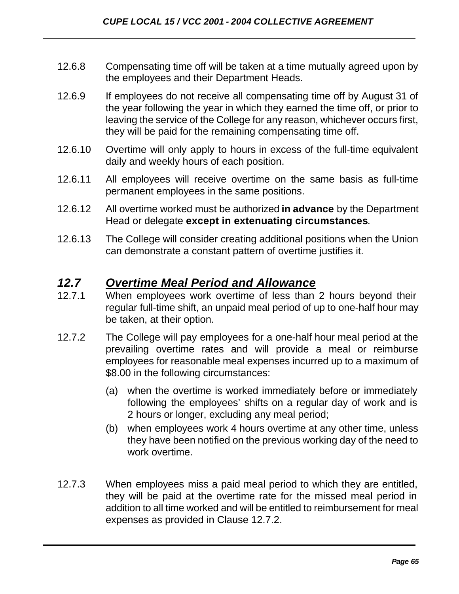- 12.6.8 Compensating time off will be taken at a time mutually agreed upon by the employees and their Department Heads.
- 12.6.9 If employees do not receive all compensating time off by August 31 of the year following the year in which they earned the time off, or prior to leaving the service of the College for any reason, whichever occurs first, they will be paid for the remaining compensating time off.
- 12.6.10 Overtime will only apply to hours in excess of the full-time equivalent daily and weekly hours of each position.
- 12.6.11 All employees will receive overtime on the same basis as full-time permanent employees in the same positions.
- 12.6.12 All overtime worked must be authorized **in advance** by the Department Head or delegate **except in extenuating circumstances**.
- 12.6.13 The College will consider creating additional positions when the Union can demonstrate a constant pattern of overtime justifies it.

## *12.7 Overtime Meal Period and Allowance*

- 12.7.1 When employees work overtime of less than 2 hours beyond their regular full-time shift, an unpaid meal period of up to one-half hour may be taken, at their option.
- 12.7.2 The College will pay employees for a one-half hour meal period at the prevailing overtime rates and will provide a meal or reimburse employees for reasonable meal expenses incurred up to a maximum of \$8.00 in the following circumstances:
	- (a) when the overtime is worked immediately before or immediately following the employees' shifts on a regular day of work and is 2 hours or longer, excluding any meal period;
	- (b) when employees work 4 hours overtime at any other time, unless they have been notified on the previous working day of the need to work overtime.
- 12.7.3 When employees miss a paid meal period to which they are entitled, they will be paid at the overtime rate for the missed meal period in addition to all time worked and will be entitled to reimbursement for meal expenses as provided in Clause 12.7.2.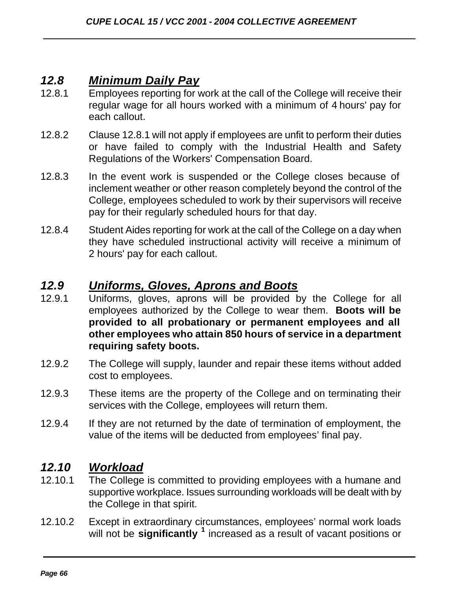## *12.8 Minimum Daily Pay*

- 12.8.1 Employees reporting for work at the call of the College will receive their regular wage for all hours worked with a minimum of 4 hours' pay for each callout.
- 12.8.2 Clause 12.8.1 will not apply if employees are unfit to perform their duties or have failed to comply with the Industrial Health and Safety Regulations of the Workers' Compensation Board.
- 12.8.3 In the event work is suspended or the College closes because of inclement weather or other reason completely beyond the control of the College, employees scheduled to work by their supervisors will receive pay for their regularly scheduled hours for that day.
- 12.8.4 Student Aides reporting for work at the call of the College on a day when they have scheduled instructional activity will receive a minimum of 2 hours' pay for each callout.

### *12.9 Uniforms, Gloves, Aprons and Boots*

- 12.9.1 Uniforms, gloves, aprons will be provided by the College for all employees authorized by the College to wear them. **Boots will be provided to all probationary or permanent employees and all other employees who attain 850 hours of service in a department requiring safety boots.**
- 12.9.2 The College will supply, launder and repair these items without added cost to employees.
- 12.9.3 These items are the property of the College and on terminating their services with the College, employees will return them.
- 12.9.4 If they are not returned by the date of termination of employment, the value of the items will be deducted from employees' final pay.

### *12.10 Workload*

- 12.10.1 The College is committed to providing employees with a humane and supportive workplace. Issues surrounding workloads will be dealt with by the College in that spirit.
- 12.10.2 Except in extraordinary circumstances, employees' normal work loads will not be **significantly <sup>1</sup>** increased as a result of vacant positions or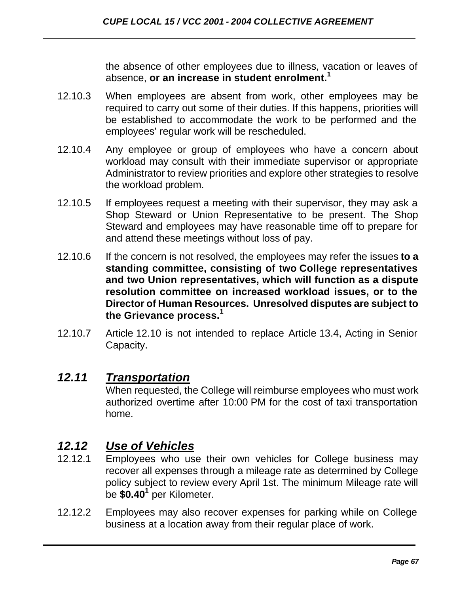the absence of other employees due to illness, vacation or leaves of absence, **or an increase in student enrolment.<sup>1</sup>**

- 12.10.3 When employees are absent from work, other employees may be required to carry out some of their duties. If this happens, priorities will be established to accommodate the work to be performed and the employees' regular work will be rescheduled.
- 12.10.4 Any employee or group of employees who have a concern about workload may consult with their immediate supervisor or appropriate Administrator to review priorities and explore other strategies to resolve the workload problem.
- 12.10.5 If employees request a meeting with their supervisor, they may ask a Shop Steward or Union Representative to be present. The Shop Steward and employees may have reasonable time off to prepare for and attend these meetings without loss of pay.
- 12.10.6 If the concern is not resolved, the employees may refer the issues **to a standing committee, consisting of two College representatives and two Union representatives, which will function as a dispute resolution committee on increased workload issues, or to the Director of Human Resources. Unresolved disputes are subject to the Grievance process.<sup>1</sup>**
- 12.10.7 Article 12.10 is not intended to replace Article 13.4, Acting in Senior Capacity.

#### *12.11 Transportation*

When requested, the College will reimburse employees who must work authorized overtime after 10:00 PM for the cost of taxi transportation home.

### *12.12 Use of Vehicles*

- 12.12.1 Employees who use their own vehicles for College business may recover all expenses through a mileage rate as determined by College policy subject to review every April 1st. The minimum Mileage rate will be **\$0.40<sup>1</sup>** per Kilometer.
- 12.12.2 Employees may also recover expenses for parking while on College business at a location away from their regular place of work.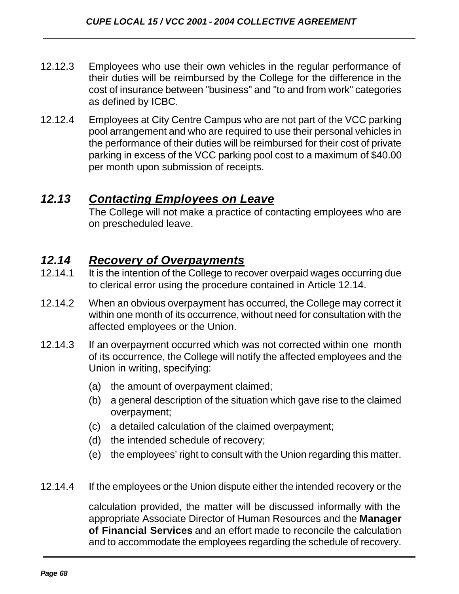- 12.12.3 Employees who use their own vehicles in the regular performance of their duties will be reimbursed by the College for the difference in the cost of insurance between "business" and "to and from work" categories as defined by ICBC.
- 12.12.4 Employees at City Centre Campus who are not part of the VCC parking pool arrangement and who are required to use their personal vehicles in the performance of their duties will be reimbursed for their cost of private parking in excess of the VCC parking pool cost to a maximum of \$40.00 per month upon submission of receipts.

## *12.13 Contacting Employees on Leave*

The College will not make a practice of contacting employees who are on prescheduled leave.

## *12.14 Recovery of Overpayments*

- 12.14.1 It is the intention of the College to recover overpaid wages occurring due to clerical error using the procedure contained in Article 12.14.
- 12.14.2 When an obvious overpayment has occurred, the College may correct it within one month of its occurrence, without need for consultation with the affected employees or the Union.
- 12.14.3 If an overpayment occurred which was not corrected within one month of its occurrence, the College will notify the affected employees and the Union in writing, specifying:
	- (a) the amount of overpayment claimed;
	- (b) a general description of the situation which gave rise to the claimed overpayment;
	- (c) a detailed calculation of the claimed overpayment;
	- (d) the intended schedule of recovery;
	- (e) the employees' right to consult with the Union regarding this matter.
- 12.14.4 If the employees or the Union dispute either the intended recovery or the

calculation provided, the matter will be discussed informally with the appropriate Associate Director of Human Resources and the **Manager of Financial Services** and an effort made to reconcile the calculation and to accommodate the employees regarding the schedule of recovery.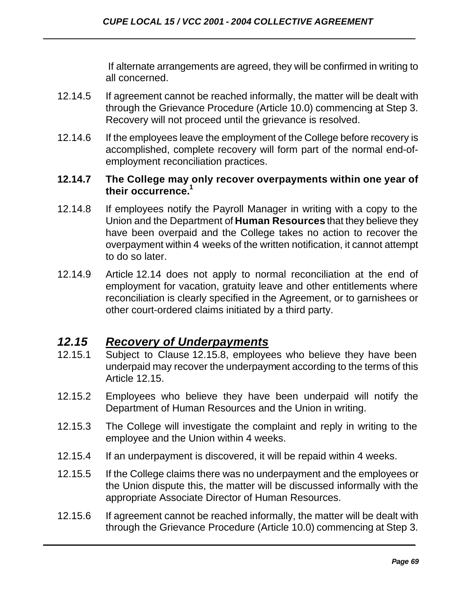If alternate arrangements are agreed, they will be confirmed in writing to all concerned.

- 12.14.5 If agreement cannot be reached informally, the matter will be dealt with through the Grievance Procedure (Article 10.0) commencing at Step 3. Recovery will not proceed until the grievance is resolved.
- 12.14.6 If the employees leave the employment of the College before recovery is accomplished, complete recovery will form part of the normal end-ofemployment reconciliation practices.

#### **12.14.7 The College may only recover overpayments within one year of their occurrence.<sup>1</sup>**

- 12.14.8 If employees notify the Payroll Manager in writing with a copy to the Union and the Department of **Human Resources** that they believe they have been overpaid and the College takes no action to recover the overpayment within 4 weeks of the written notification, it cannot attempt to do so later.
- 12.14.9 Article 12.14 does not apply to normal reconciliation at the end of employment for vacation, gratuity leave and other entitlements where reconciliation is clearly specified in the Agreement, or to garnishees or other court-ordered claims initiated by a third party.

### *12.15 Recovery of Underpayments*

- 12.15.1 Subject to Clause 12.15.8, employees who believe they have been underpaid may recover the underpayment according to the terms of this Article 12.15.
- 12.15.2 Employees who believe they have been underpaid will notify the Department of Human Resources and the Union in writing.
- 12.15.3 The College will investigate the complaint and reply in writing to the employee and the Union within 4 weeks.
- 12.15.4 If an underpayment is discovered, it will be repaid within 4 weeks.
- 12.15.5 If the College claims there was no underpayment and the employees or the Union dispute this, the matter will be discussed informally with the appropriate Associate Director of Human Resources.
- 12.15.6 If agreement cannot be reached informally, the matter will be dealt with through the Grievance Procedure (Article 10.0) commencing at Step 3.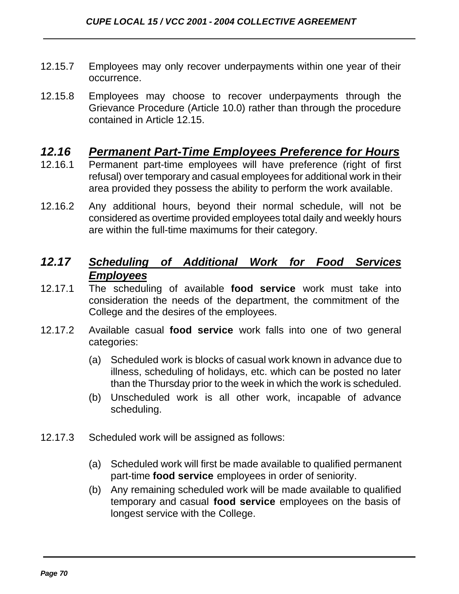- 12.15.7 Employees may only recover underpayments within one year of their occurrence.
- 12.15.8 Employees may choose to recover underpayments through the Grievance Procedure (Article 10.0) rather than through the procedure contained in Article 12.15.

#### *12.16 Permanent Part-Time Employees Preference for Hours*

- 12.16.1 Permanent part-time employees will have preference (right of first refusal) over temporary and casual employees for additional work in their area provided they possess the ability to perform the work available.
- 12.16.2 Any additional hours, beyond their normal schedule, will not be considered as overtime provided employees total daily and weekly hours are within the full-time maximums for their category.

### *12.17 Scheduling of Additional Work for Food Services Employees*

- 12.17.1 The scheduling of available **food service** work must take into consideration the needs of the department, the commitment of the College and the desires of the employees.
- 12.17.2 Available casual **food service** work falls into one of two general categories:
	- (a) Scheduled work is blocks of casual work known in advance due to illness, scheduling of holidays, etc. which can be posted no later than the Thursday prior to the week in which the work is scheduled.
	- (b) Unscheduled work is all other work, incapable of advance scheduling.
- 12.17.3 Scheduled work will be assigned as follows:
	- (a) Scheduled work will first be made available to qualified permanent part-time **food service** employees in order of seniority.
	- (b) Any remaining scheduled work will be made available to qualified temporary and casual **food service** employees on the basis of longest service with the College.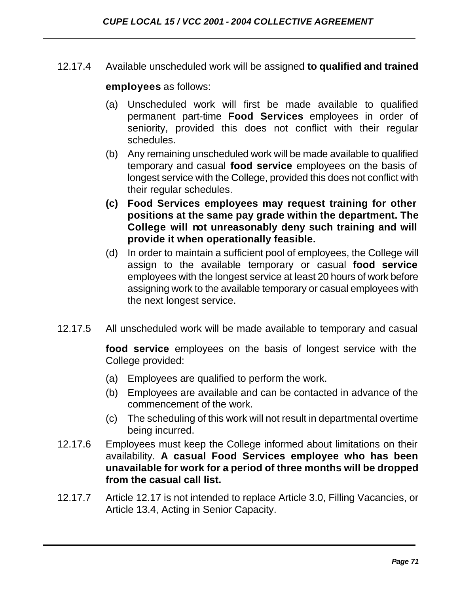12.17.4 Available unscheduled work will be assigned **to qualified and trained** 

#### **employees** as follows:

- (a) Unscheduled work will first be made available to qualified permanent part-time **Food Services** employees in order of seniority, provided this does not conflict with their regular schedules.
- (b) Any remaining unscheduled work will be made available to qualified temporary and casual **food service** employees on the basis of longest service with the College, provided this does not conflict with their regular schedules.
- **(c) Food Services employees may request training for other positions at the same pay grade within the department. The College will not unreasonably deny such training and will provide it when operationally feasible.**
- (d) In order to maintain a sufficient pool of employees, the College will assign to the available temporary or casual **food service** employees with the longest service at least 20 hours of work before assigning work to the available temporary or casual employees with the next longest service.
- 12.17.5 All unscheduled work will be made available to temporary and casual

**food service** employees on the basis of longest service with the College provided:

- (a) Employees are qualified to perform the work.
- (b) Employees are available and can be contacted in advance of the commencement of the work.
- (c) The scheduling of this work will not result in departmental overtime being incurred.
- 12.17.6 Employees must keep the College informed about limitations on their availability. **A casual Food Services employee who has been unavailable for work for a period of three months will be dropped from the casual call list.**
- 12.17.7 Article 12.17 is not intended to replace Article 3.0, Filling Vacancies, or Article 13.4, Acting in Senior Capacity.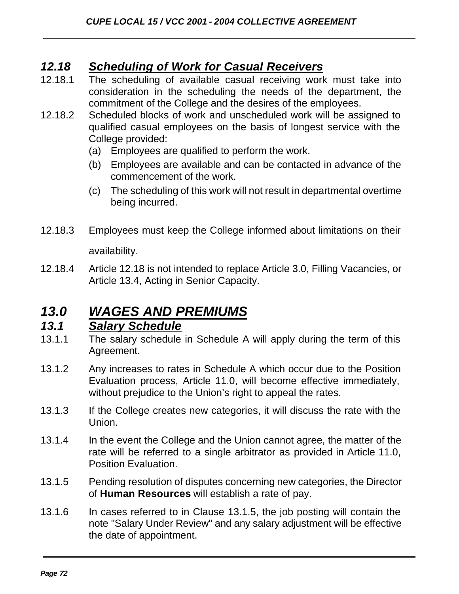### *12.18 Scheduling of Work for Casual Receivers*

- 12.18.1 The scheduling of available casual receiving work must take into consideration in the scheduling the needs of the department, the commitment of the College and the desires of the employees.
- 12.18.2 Scheduled blocks of work and unscheduled work will be assigned to qualified casual employees on the basis of longest service with the College provided:
	- (a) Employees are qualified to perform the work.
	- (b) Employees are available and can be contacted in advance of the commencement of the work.
	- (c) The scheduling of this work will not result in departmental overtime being incurred.
- 12.18.3 Employees must keep the College informed about limitations on their

availability.

12.18.4 Article 12.18 is not intended to replace Article 3.0, Filling Vacancies, or Article 13.4, Acting in Senior Capacity.

## *13.0 WAGES AND PREMIUMS*

#### *13.1 Salary Schedule*

- 13.1.1 The salary schedule in Schedule A will apply during the term of this Agreement.
- 13.1.2 Any increases to rates in Schedule A which occur due to the Position Evaluation process, Article 11.0, will become effective immediately, without prejudice to the Union's right to appeal the rates.
- 13.1.3 If the College creates new categories, it will discuss the rate with the Union.
- 13.1.4 In the event the College and the Union cannot agree, the matter of the rate will be referred to a single arbitrator as provided in Article 11.0, Position Evaluation.
- 13.1.5 Pending resolution of disputes concerning new categories, the Director of **Human Resources** will establish a rate of pay.
- 13.1.6 In cases referred to in Clause 13.1.5, the job posting will contain the note "Salary Under Review" and any salary adjustment will be effective the date of appointment.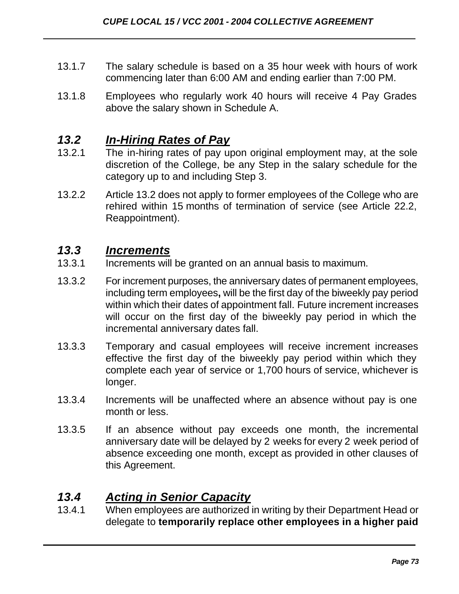- 13.1.7 The salary schedule is based on a 35 hour week with hours of work commencing later than 6:00 AM and ending earlier than 7:00 PM.
- 13.1.8 Employees who regularly work 40 hours will receive 4 Pay Grades above the salary shown in Schedule A.

# *13.2 In-Hiring Rates of Pay*

- 13.2.1 The in-hiring rates of pay upon original employment may, at the sole discretion of the College, be any Step in the salary schedule for the category up to and including Step 3.
- 13.2.2 Article 13.2 does not apply to former employees of the College who are rehired within 15 months of termination of service (see Article 22.2, Reappointment).

#### *13.3 Increments*

- 13.3.1 Increments will be granted on an annual basis to maximum.
- 13.3.2 For increment purposes, the anniversary dates of permanent employees, including term employees**,** will be the first day of the biweekly pay period within which their dates of appointment fall. Future increment increases will occur on the first day of the biweekly pay period in which the incremental anniversary dates fall.
- 13.3.3 Temporary and casual employees will receive increment increases effective the first day of the biweekly pay period within which they complete each year of service or 1,700 hours of service, whichever is longer.
- 13.3.4 Increments will be unaffected where an absence without pay is one month or less.
- 13.3.5 If an absence without pay exceeds one month, the incremental anniversary date will be delayed by 2 weeks for every 2 week period of absence exceeding one month, except as provided in other clauses of this Agreement.

# *13.4 Acting in Senior Capacity*

13.4.1 When employees are authorized in writing by their Department Head or delegate to **temporarily replace other employees in a higher paid**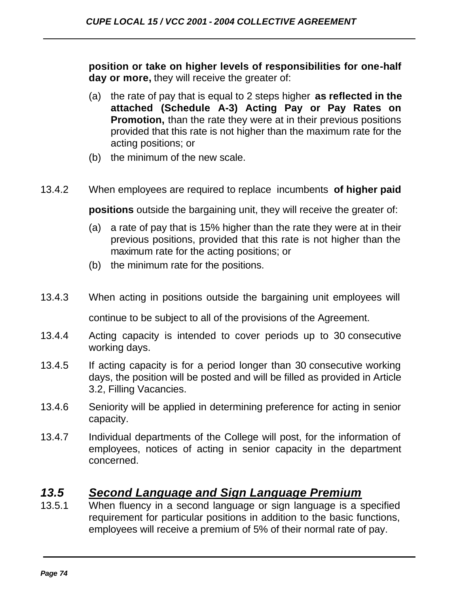**position or take on higher levels of responsibilities for one-half day or more,** they will receive the greater of:

- (a) the rate of pay that is equal to 2 steps higher **as reflected in the attached (Schedule A-3) Acting Pay or Pay Rates on Promotion,** than the rate they were at in their previous positions provided that this rate is not higher than the maximum rate for the acting positions; or
- (b) the minimum of the new scale.
- 13.4.2 When employees are required to replace incumbents **of higher paid**

**positions** outside the bargaining unit, they will receive the greater of:

- (a) a rate of pay that is 15% higher than the rate they were at in their previous positions, provided that this rate is not higher than the maximum rate for the acting positions; or
- (b) the minimum rate for the positions.
- 13.4.3 When acting in positions outside the bargaining unit employees will continue to be subject to all of the provisions of the Agreement.
- 13.4.4 Acting capacity is intended to cover periods up to 30 consecutive working days.
- 13.4.5 If acting capacity is for a period longer than 30 consecutive working days, the position will be posted and will be filled as provided in Article 3.2, Filling Vacancies.
- 13.4.6 Seniority will be applied in determining preference for acting in senior capacity.
- 13.4.7 Individual departments of the College will post, for the information of employees, notices of acting in senior capacity in the department concerned.

# *13.5 Second Language and Sign Language Premium*

13.5.1 When fluency in a second language or sign language is a specified requirement for particular positions in addition to the basic functions, employees will receive a premium of 5% of their normal rate of pay.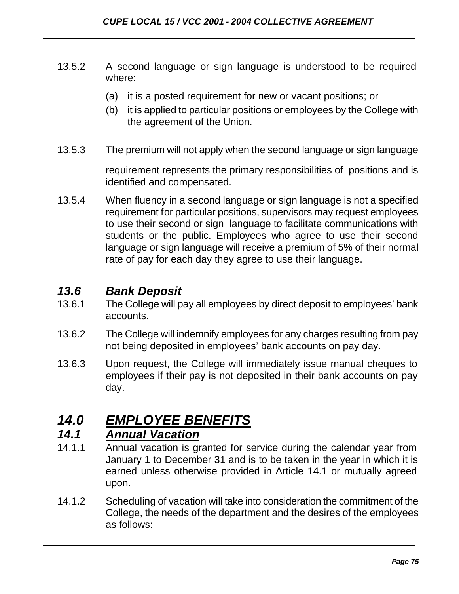- 13.5.2 A second language or sign language is understood to be required where:
	- (a) it is a posted requirement for new or vacant positions; or
	- (b) it is applied to particular positions or employees by the College with the agreement of the Union.
- 13.5.3 The premium will not apply when the second language or sign language

requirement represents the primary responsibilities of positions and is identified and compensated.

13.5.4 When fluency in a second language or sign language is not a specified requirement for particular positions, supervisors may request employees to use their second or sign language to facilitate communications with students or the public. Employees who agree to use their second language or sign language will receive a premium of 5% of their normal rate of pay for each day they agree to use their language.

# *13.6 Bank Deposit*

- 13.6.1 The College will pay all employees by direct deposit to employees' bank accounts.
- 13.6.2 The College will indemnify employees for any charges resulting from pay not being deposited in employees' bank accounts on pay day.
- 13.6.3 Upon request, the College will immediately issue manual cheques to employees if their pay is not deposited in their bank accounts on pay day.

# *14.0 EMPLOYEE BENEFITS*

### *14.1 Annual Vacation*

- 14.1.1 Annual vacation is granted for service during the calendar year from January 1 to December 31 and is to be taken in the year in which it is earned unless otherwise provided in Article 14.1 or mutually agreed upon.
- 14.1.2 Scheduling of vacation will take into consideration the commitment of the College, the needs of the department and the desires of the employees as follows: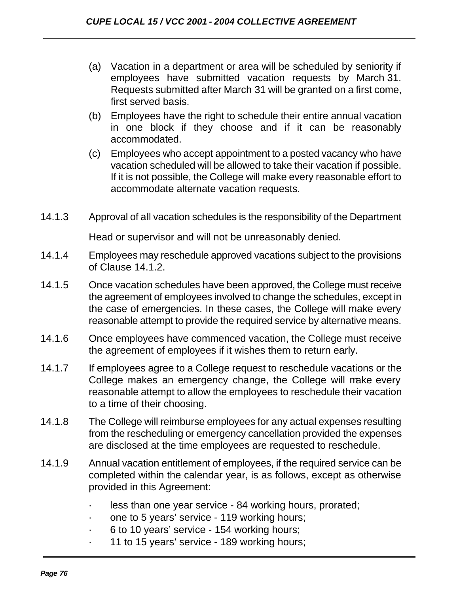- (a) Vacation in a department or area will be scheduled by seniority if employees have submitted vacation requests by March 31. Requests submitted after March 31 will be granted on a first come, first served basis.
- (b) Employees have the right to schedule their entire annual vacation in one block if they choose and if it can be reasonably accommodated.
- (c) Employees who accept appointment to a posted vacancy who have vacation scheduled will be allowed to take their vacation if possible. If it is not possible, the College will make every reasonable effort to accommodate alternate vacation requests.
- 14.1.3 Approval of all vacation schedules is the responsibility of the Department

Head or supervisor and will not be unreasonably denied.

- 14.1.4 Employees may reschedule approved vacations subject to the provisions of Clause 14.1.2.
- 14.1.5 Once vacation schedules have been approved, the College must receive the agreement of employees involved to change the schedules, except in the case of emergencies. In these cases, the College will make every reasonable attempt to provide the required service by alternative means.
- 14.1.6 Once employees have commenced vacation, the College must receive the agreement of employees if it wishes them to return early.
- 14.1.7 If employees agree to a College request to reschedule vacations or the College makes an emergency change, the College will make every reasonable attempt to allow the employees to reschedule their vacation to a time of their choosing.
- 14.1.8 The College will reimburse employees for any actual expenses resulting from the rescheduling or emergency cancellation provided the expenses are disclosed at the time employees are requested to reschedule.
- 14.1.9 Annual vacation entitlement of employees, if the required service can be completed within the calendar year, is as follows, except as otherwise provided in this Agreement:
	- less than one year service 84 working hours, prorated;
	- one to 5 years' service 119 working hours;
	- · 6 to 10 years' service 154 working hours;
	- · 11 to 15 years' service 189 working hours;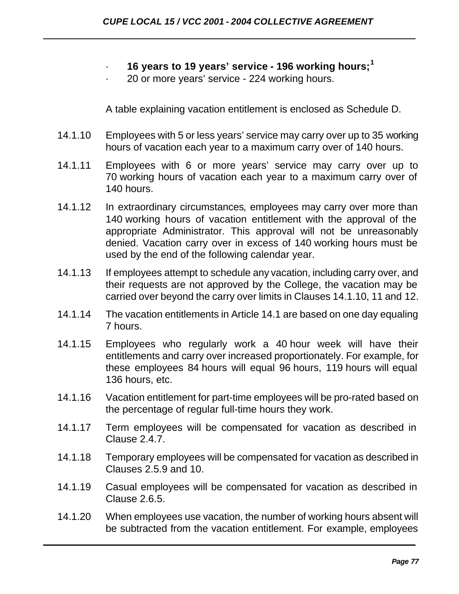- · **16 years to 19 years' service 196 working hours;<sup>1</sup>**
- 20 or more years' service 224 working hours.

A table explaining vacation entitlement is enclosed as Schedule D.

- 14.1.10 Employees with 5 or less years' service may carry over up to 35 working hours of vacation each year to a maximum carry over of 140 hours.
- 14.1.11 Employees with 6 or more years' service may carry over up to 70 working hours of vacation each year to a maximum carry over of 140 hours.
- 14.1.12 In extraordinary circumstances*,* employees may carry over more than 140 working hours of vacation entitlement with the approval of the appropriate Administrator. This approval will not be unreasonably denied. Vacation carry over in excess of 140 working hours must be used by the end of the following calendar year.
- 14.1.13 If employees attempt to schedule any vacation, including carry over, and their requests are not approved by the College, the vacation may be carried over beyond the carry over limits in Clauses 14.1.10, 11 and 12.
- 14.1.14 The vacation entitlements in Article 14.1 are based on one day equaling 7 hours.
- 14.1.15 Employees who regularly work a 40 hour week will have their entitlements and carry over increased proportionately. For example, for these employees 84 hours will equal 96 hours, 119 hours will equal 136 hours, etc.
- 14.1.16 Vacation entitlement for part-time employees will be pro-rated based on the percentage of regular full-time hours they work.
- 14.1.17 Term employees will be compensated for vacation as described in Clause 2.4.7.
- 14.1.18 Temporary employees will be compensated for vacation as described in Clauses 2.5.9 and 10.
- 14.1.19 Casual employees will be compensated for vacation as described in Clause 2.6.5.
- 14.1.20 When employees use vacation, the number of working hours absent will be subtracted from the vacation entitlement. For example, employees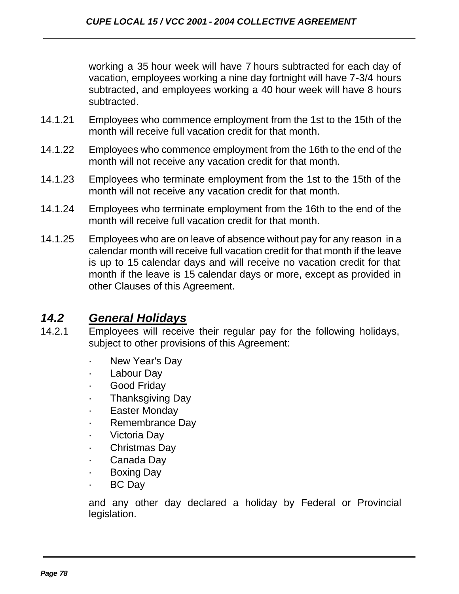working a 35 hour week will have 7 hours subtracted for each day of vacation, employees working a nine day fortnight will have 7-3/4 hours subtracted, and employees working a 40 hour week will have 8 hours subtracted.

- 14.1.21 Employees who commence employment from the 1st to the 15th of the month will receive full vacation credit for that month.
- 14.1.22 Employees who commence employment from the 16th to the end of the month will not receive any vacation credit for that month.
- 14.1.23 Employees who terminate employment from the 1st to the 15th of the month will not receive any vacation credit for that month.
- 14.1.24 Employees who terminate employment from the 16th to the end of the month will receive full vacation credit for that month.
- 14.1.25 Employees who are on leave of absence without pay for any reason in a calendar month will receive full vacation credit for that month if the leave is up to 15 calendar days and will receive no vacation credit for that month if the leave is 15 calendar days or more, except as provided in other Clauses of this Agreement.

# *14.2 General Holidays*

- 14.2.1 Employees will receive their regular pay for the following holidays, subject to other provisions of this Agreement:
	- New Year's Day
	- Labour Day
	- Good Friday
	- Thanksgiving Day
	- **Easter Monday**
	- Remembrance Day
	- · Victoria Day
	- · Christmas Day
	- Canada Day
	- **Boxing Day**
	- BC Day

and any other day declared a holiday by Federal or Provincial legislation.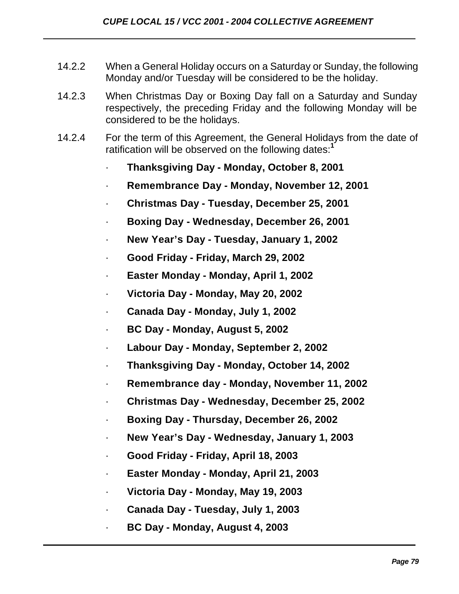- 14.2.2 When a General Holiday occurs on a Saturday or Sunday, the following Monday and/or Tuesday will be considered to be the holiday.
- 14.2.3 When Christmas Day or Boxing Day fall on a Saturday and Sunday respectively, the preceding Friday and the following Monday will be considered to be the holidays.
- 14.2.4 For the term of this Agreement, the General Holidays from the date of ratification will be observed on the following dates:**<sup>1</sup>**
	- · **Thanksgiving Day Monday, October 8, 2001**
	- · **Remembrance Day Monday, November 12, 2001**
	- · **Christmas Day Tuesday, December 25, 2001**
	- · **Boxing Day Wednesday, December 26, 2001**
	- · **New Year's Day Tuesday, January 1, 2002**
	- · **Good Friday Friday, March 29, 2002**
	- · **Easter Monday Monday, April 1, 2002**
	- · **Victoria Day Monday, May 20, 2002**
	- · **Canada Day Monday, July 1, 2002**
	- · **BC Day Monday, August 5, 2002**
	- · **Labour Day Monday, September 2, 2002**
	- · **Thanksgiving Day Monday, October 14, 2002**
	- · **Remembrance day Monday, November 11, 2002**
	- · **Christmas Day Wednesday, December 25, 2002**
	- · **Boxing Day Thursday, December 26, 2002**
	- · **New Year's Day Wednesday, January 1, 2003**
	- · **Good Friday Friday, April 18, 2003**
	- · **Easter Monday Monday, April 21, 2003**
	- · **Victoria Day Monday, May 19, 2003**
	- · **Canada Day Tuesday, July 1, 2003**
	- · **BC Day Monday, August 4, 2003**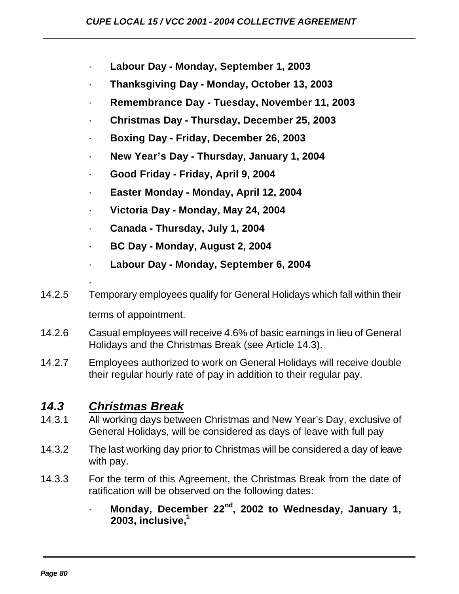- · **Labour Day Monday, September 1, 2003**
- · **Thanksgiving Day Monday, October 13, 2003**
- · **Remembrance Day Tuesday, November 11, 2003**
- · **Christmas Day Thursday, December 25, 2003**
- · **Boxing Day Friday, December 26, 2003**
- · **New Year's Day Thursday, January 1, 2004**
- · **Good Friday Friday, April 9, 2004**
- · **Easter Monday Monday, April 12, 2004**
- · **Victoria Day Monday, May 24, 2004**
- · **Canada Thursday, July 1, 2004**
- · **BC Day Monday, August 2, 2004**
- · **Labour Day Monday, September 6, 2004**
- 14.2.5 Temporary employees qualify for General Holidays which fall within their terms of appointment.
- 14.2.6 Casual employees will receive 4.6% of basic earnings in lieu of General Holidays and the Christmas Break (see Article 14.3).
- 14.2.7 Employees authorized to work on General Holidays will receive double their regular hourly rate of pay in addition to their regular pay.

# *14.3 Christmas Break*

·

- 14.3.1 All working days between Christmas and New Year's Day, exclusive of General Holidays, will be considered as days of leave with full pay
- 14.3.2 The last working day prior to Christmas will be considered a day of leave with pay.
- 14.3.3 For the term of this Agreement, the Christmas Break from the date of ratification will be observed on the following dates:
	- · **Monday, December 22nd, 2002 to Wednesday, January 1, 2003, inclusive,<sup>1</sup>**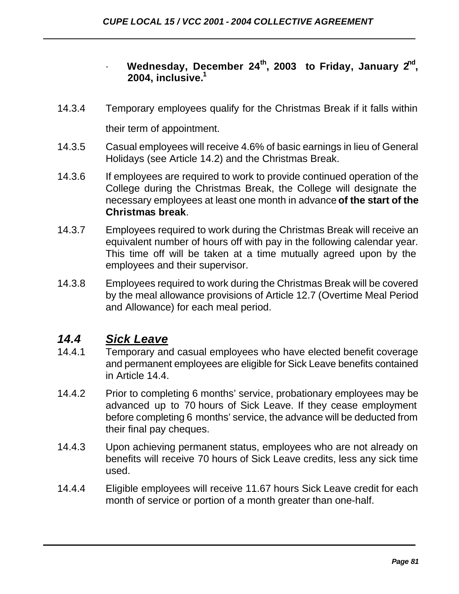#### · **Wednesday, December 24th, 2003 to Friday, January 2nd , 2004, inclusive.<sup>1</sup>**

- 14.3.4 Temporary employees qualify for the Christmas Break if it falls within their term of appointment.
- 14.3.5 Casual employees will receive 4.6% of basic earnings in lieu of General Holidays (see Article 14.2) and the Christmas Break.
- 14.3.6 If employees are required to work to provide continued operation of the College during the Christmas Break, the College will designate the necessary employees at least one month in advance **of the start of the Christmas break**.
- 14.3.7 Employees required to work during the Christmas Break will receive an equivalent number of hours off with pay in the following calendar year. This time off will be taken at a time mutually agreed upon by the employees and their supervisor.
- 14.3.8 Employees required to work during the Christmas Break will be covered by the meal allowance provisions of Article 12.7 (Overtime Meal Period and Allowance) for each meal period.

# *14.4 Sick Leave*

- 14.4.1 Temporary and casual employees who have elected benefit coverage and permanent employees are eligible for Sick Leave benefits contained in Article 14.4.
- 14.4.2 Prior to completing 6 months' service, probationary employees may be advanced up to 70 hours of Sick Leave. If they cease employment before completing 6 months' service, the advance will be deducted from their final pay cheques.
- 14.4.3 Upon achieving permanent status, employees who are not already on benefits will receive 70 hours of Sick Leave credits, less any sick time used.
- 14.4.4 Eligible employees will receive 11.67 hours Sick Leave credit for each month of service or portion of a month greater than one-half.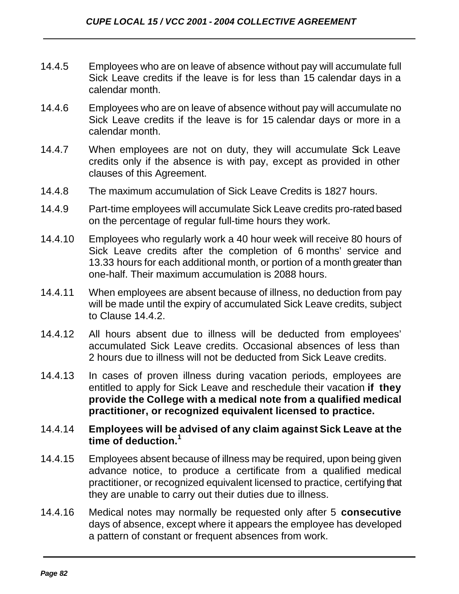- 14.4.5 Employees who are on leave of absence without pay will accumulate full Sick Leave credits if the leave is for less than 15 calendar days in a calendar month.
- 14.4.6 Employees who are on leave of absence without pay will accumulate no Sick Leave credits if the leave is for 15 calendar days or more in a calendar month.
- 14.4.7 When employees are not on duty, they will accumulate Sick Leave credits only if the absence is with pay, except as provided in other clauses of this Agreement.
- 14.4.8 The maximum accumulation of Sick Leave Credits is 1827 hours.
- 14.4.9 Part-time employees will accumulate Sick Leave credits pro-rated based on the percentage of regular full-time hours they work.
- 14.4.10 Employees who regularly work a 40 hour week will receive 80 hours of Sick Leave credits after the completion of 6 months' service and 13.33 hours for each additional month, or portion of a month greater than one-half. Their maximum accumulation is 2088 hours.
- 14.4.11 When employees are absent because of illness, no deduction from pay will be made until the expiry of accumulated Sick Leave credits, subject to Clause 14.4.2.
- 14.4.12 All hours absent due to illness will be deducted from employees' accumulated Sick Leave credits. Occasional absences of less than 2 hours due to illness will not be deducted from Sick Leave credits.
- 14.4.13 In cases of proven illness during vacation periods, employees are entitled to apply for Sick Leave and reschedule their vacation **if they provide the College with a medical note from a qualified medical practitioner, or recognized equivalent licensed to practice.**
- 14.4.14 **Employees will be advised of any claim against Sick Leave at the time of deduction.<sup>1</sup>**
- 14.4.15 Employees absent because of illness may be required, upon being given advance notice, to produce a certificate from a qualified medical practitioner, or recognized equivalent licensed to practice, certifying that they are unable to carry out their duties due to illness.
- 14.4.16 Medical notes may normally be requested only after 5 **consecutive**  days of absence, except where it appears the employee has developed a pattern of constant or frequent absences from work.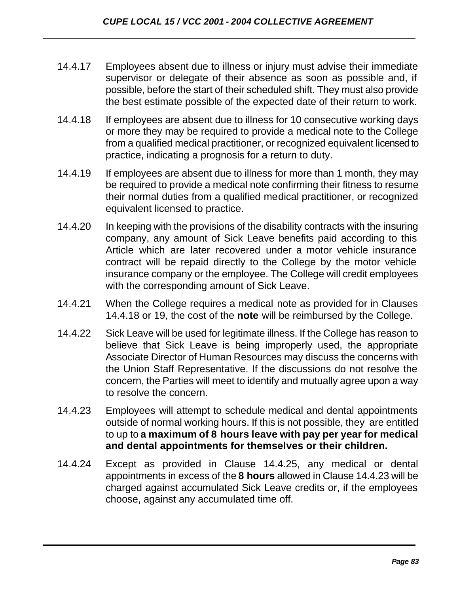- 14.4.17 Employees absent due to illness or injury must advise their immediate supervisor or delegate of their absence as soon as possible and, if possible, before the start of their scheduled shift. They must also provide the best estimate possible of the expected date of their return to work.
- 14.4.18 If employees are absent due to illness for 10 consecutive working days or more they may be required to provide a medical note to the College from a qualified medical practitioner, or recognized equivalent licensed to practice, indicating a prognosis for a return to duty.
- 14.4.19 If employees are absent due to illness for more than 1 month, they may be required to provide a medical note confirming their fitness to resume their normal duties from a qualified medical practitioner, or recognized equivalent licensed to practice.
- 14.4.20 In keeping with the provisions of the disability contracts with the insuring company, any amount of Sick Leave benefits paid according to this Article which are later recovered under a motor vehicle insurance contract will be repaid directly to the College by the motor vehicle insurance company or the employee. The College will credit employees with the corresponding amount of Sick Leave.
- 14.4.21 When the College requires a medical note as provided for in Clauses 14.4.18 or 19, the cost of the **note** will be reimbursed by the College.
- 14.4.22 Sick Leave will be used for legitimate illness. If the College has reason to believe that Sick Leave is being improperly used, the appropriate Associate Director of Human Resources may discuss the concerns with the Union Staff Representative. If the discussions do not resolve the concern, the Parties will meet to identify and mutually agree upon a way to resolve the concern.
- 14.4.23 Employees will attempt to schedule medical and dental appointments outside of normal working hours. If this is not possible, they are entitled to up to **a maximum of 8 hours leave with pay per year for medical and dental appointments for themselves or their children.**
- 14.4.24 Except as provided in Clause 14.4.25, any medical or dental appointments in excess of the **8 hours** allowed in Clause 14.4.23 will be charged against accumulated Sick Leave credits or, if the employees choose, against any accumulated time off.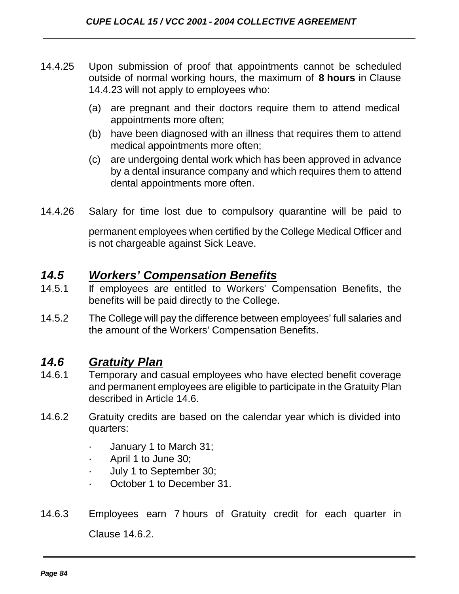- 14.4.25 Upon submission of proof that appointments cannot be scheduled outside of normal working hours, the maximum of **8 hours** in Clause 14.4.23 will not apply to employees who:
	- (a) are pregnant and their doctors require them to attend medical appointments more often;
	- (b) have been diagnosed with an illness that requires them to attend medical appointments more often;
	- (c) are undergoing dental work which has been approved in advance by a dental insurance company and which requires them to attend dental appointments more often.
- 14.4.26 Salary for time lost due to compulsory quarantine will be paid to

permanent employees when certified by the College Medical Officer and is not chargeable against Sick Leave.

### *14.5 Workers' Compensation Benefits*

- 14.5.1 If employees are entitled to Workers' Compensation Benefits, the benefits will be paid directly to the College.
- 14.5.2 The College will pay the difference between employees' full salaries and the amount of the Workers' Compensation Benefits.

# *14.6 Gratuity Plan*

- 14.6.1 Temporary and casual employees who have elected benefit coverage and permanent employees are eligible to participate in the Gratuity Plan described in Article 14.6.
- 14.6.2 Gratuity credits are based on the calendar year which is divided into quarters:
	- · January 1 to March 31;
	- · April 1 to June 30;
	- · July 1 to September 30;
	- · October 1 to December 31.
- 14.6.3 Employees earn 7 hours of Gratuity credit for each quarter in Clause 14.6.2.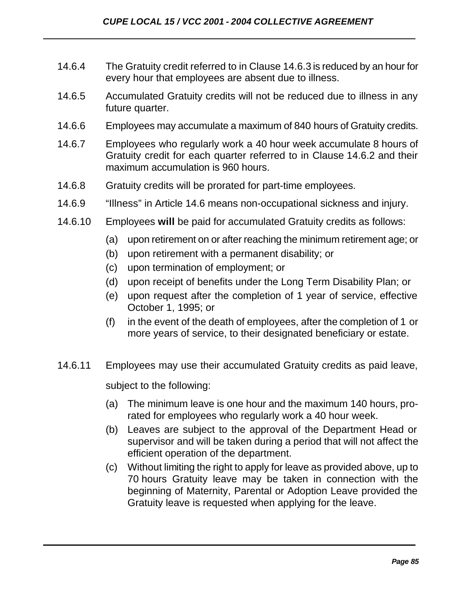- 14.6.4 The Gratuity credit referred to in Clause 14.6.3 is reduced by an hour for every hour that employees are absent due to illness.
- 14.6.5 Accumulated Gratuity credits will not be reduced due to illness in any future quarter.
- 14.6.6 Employees may accumulate a maximum of 840 hours of Gratuity credits.
- 14.6.7 Employees who regularly work a 40 hour week accumulate 8 hours of Gratuity credit for each quarter referred to in Clause 14.6.2 and their maximum accumulation is 960 hours.
- 14.6.8 Gratuity credits will be prorated for part-time employees.
- 14.6.9 "Illness" in Article 14.6 means non-occupational sickness and injury.
- 14.6.10 Employees **will** be paid for accumulated Gratuity credits as follows:
	- (a) upon retirement on or after reaching the minimum retirement age; or
	- (b) upon retirement with a permanent disability; or
	- (c) upon termination of employment; or
	- (d) upon receipt of benefits under the Long Term Disability Plan; or
	- (e) upon request after the completion of 1 year of service, effective October 1, 1995; or
	- (f) in the event of the death of employees, after the completion of 1 or more years of service, to their designated beneficiary or estate.
- 14.6.11 Employees may use their accumulated Gratuity credits as paid leave,

subject to the following:

- (a) The minimum leave is one hour and the maximum 140 hours, prorated for employees who regularly work a 40 hour week.
- (b) Leaves are subject to the approval of the Department Head or supervisor and will be taken during a period that will not affect the efficient operation of the department.
- (c) Without limiting the right to apply for leave as provided above, up to 70 hours Gratuity leave may be taken in connection with the beginning of Maternity, Parental or Adoption Leave provided the Gratuity leave is requested when applying for the leave.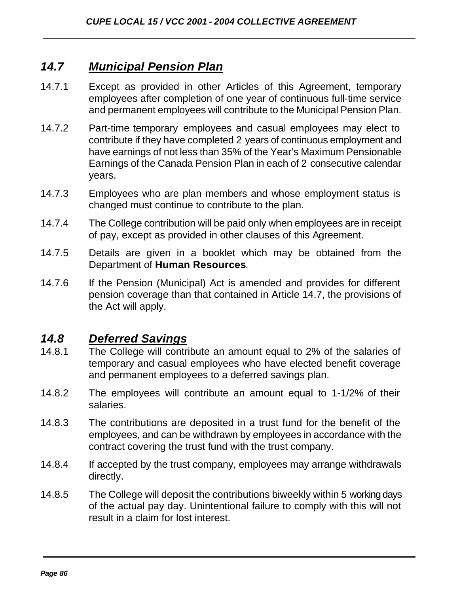# *14.7 Municipal Pension Plan*

- 14.7.1 Except as provided in other Articles of this Agreement, temporary employees after completion of one year of continuous full-time service and permanent employees will contribute to the Municipal Pension Plan.
- 14.7.2 Part-time temporary employees and casual employees may elect to contribute if they have completed 2 years of continuous employment and have earnings of not less than 35% of the Year's Maximum Pensionable Earnings of the Canada Pension Plan in each of 2 consecutive calendar years.
- 14.7.3 Employees who are plan members and whose employment status is changed must continue to contribute to the plan.
- 14.7.4 The College contribution will be paid only when employees are in receipt of pay, except as provided in other clauses of this Agreement.
- 14.7.5 Details are given in a booklet which may be obtained from the Department of **Human Resources**.
- 14.7.6 If the Pension (Municipal) Act is amended and provides for different pension coverage than that contained in Article 14.7, the provisions of the Act will apply.

# *14.8 Deferred Savings*

- 14.8.1 The College will contribute an amount equal to 2% of the salaries of temporary and casual employees who have elected benefit coverage and permanent employees to a deferred savings plan.
- 14.8.2 The employees will contribute an amount equal to 1-1/2% of their salaries.
- 14.8.3 The contributions are deposited in a trust fund for the benefit of the employees, and can be withdrawn by employees in accordance with the contract covering the trust fund with the trust company.
- 14.8.4 If accepted by the trust company, employees may arrange withdrawals directly.
- 14.8.5 The College will deposit the contributions biweekly within 5 working days of the actual pay day. Unintentional failure to comply with this will not result in a claim for lost interest.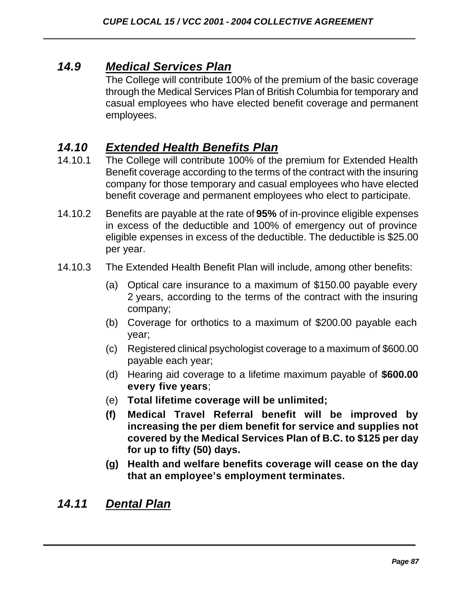# *14.9 Medical Services Plan*

The College will contribute 100% of the premium of the basic coverage through the Medical Services Plan of British Columbia for temporary and casual employees who have elected benefit coverage and permanent employees.

# *14.10 Extended Health Benefits Plan*

- 14.10.1 The College will contribute 100% of the premium for Extended Health Benefit coverage according to the terms of the contract with the insuring company for those temporary and casual employees who have elected benefit coverage and permanent employees who elect to participate.
- 14.10.2 Benefits are payable at the rate of **95%** of in-province eligible expenses in excess of the deductible and 100% of emergency out of province eligible expenses in excess of the deductible. The deductible is \$25.00 per year.
- 14.10.3 The Extended Health Benefit Plan will include, among other benefits:
	- (a) Optical care insurance to a maximum of \$150.00 payable every 2 years, according to the terms of the contract with the insuring company;
	- (b) Coverage for orthotics to a maximum of \$200.00 payable each year;
	- (c) Registered clinical psychologist coverage to a maximum of \$600.00 payable each year;
	- (d) Hearing aid coverage to a lifetime maximum payable of **\$600.00 every five years**;
	- (e) **Total lifetime coverage will be unlimited;**
	- **(f) Medical Travel Referral benefit will be improved by increasing the per diem benefit for service and supplies not covered by the Medical Services Plan of B.C. to \$125 per day for up to fifty (50) days.**
	- **(g) Health and welfare benefits coverage will cease on the day that an employee's employment terminates.**

# *14.11 Dental Plan*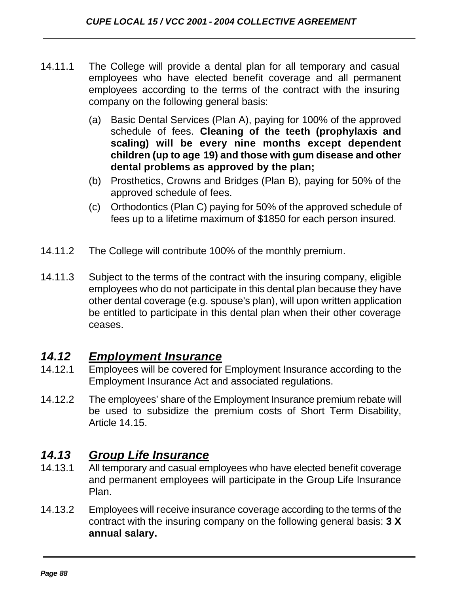- 14.11.1 The College will provide a dental plan for all temporary and casual employees who have elected benefit coverage and all permanent employees according to the terms of the contract with the insuring company on the following general basis:
	- (a) Basic Dental Services (Plan A), paying for 100% of the approved schedule of fees. **Cleaning of the teeth (prophylaxis and scaling) will be every nine months except dependent children (up to age 19) and those with gum disease and other dental problems as approved by the plan;**
	- (b) Prosthetics, Crowns and Bridges (Plan B), paying for 50% of the approved schedule of fees.
	- (c) Orthodontics (Plan C) paying for 50% of the approved schedule of fees up to a lifetime maximum of \$1850 for each person insured.
- 14.11.2 The College will contribute 100% of the monthly premium.
- 14.11.3 Subject to the terms of the contract with the insuring company, eligible employees who do not participate in this dental plan because they have other dental coverage (e.g. spouse's plan), will upon written application be entitled to participate in this dental plan when their other coverage ceases.

# *14.12 Employment Insurance*

- 14.12.1 Employees will be covered for Employment Insurance according to the Employment Insurance Act and associated regulations.
- 14.12.2 The employees' share of the Employment Insurance premium rebate will be used to subsidize the premium costs of Short Term Disability, Article 14.15.

# *14.13 Group Life Insurance*

- 14.13.1 All temporary and casual employees who have elected benefit coverage and permanent employees will participate in the Group Life Insurance Plan.
- 14.13.2 Employees will receive insurance coverage according to the terms of the contract with the insuring company on the following general basis: **3 X annual salary.**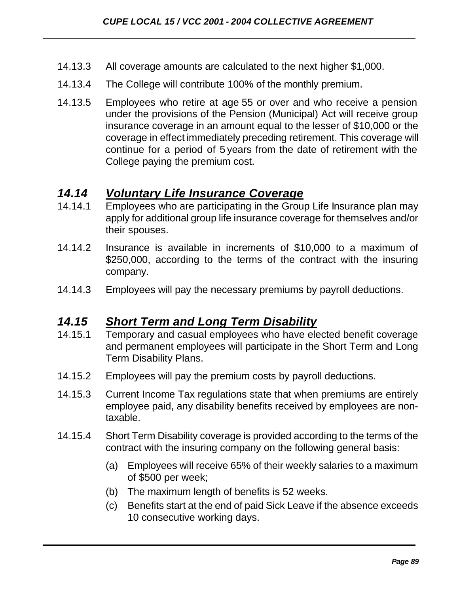- 14.13.3 All coverage amounts are calculated to the next higher \$1,000.
- 14.13.4 The College will contribute 100% of the monthly premium.
- 14.13.5 Employees who retire at age 55 or over and who receive a pension under the provisions of the Pension (Municipal) Act will receive group insurance coverage in an amount equal to the lesser of \$10,000 or the coverage in effect immediately preceding retirement. This coverage will continue for a period of 5 years from the date of retirement with the College paying the premium cost.

# *14.14 Voluntary Life Insurance Coverage*

- 14.14.1 Employees who are participating in the Group Life Insurance plan may apply for additional group life insurance coverage for themselves and/or their spouses.
- 14.14.2 Insurance is available in increments of \$10,000 to a maximum of \$250,000, according to the terms of the contract with the insuring company.
- 14.14.3 Employees will pay the necessary premiums by payroll deductions.

#### *14.15 Short Term and Long Term Disability*

- 14.15.1 Temporary and casual employees who have elected benefit coverage and permanent employees will participate in the Short Term and Long Term Disability Plans.
- 14.15.2 Employees will pay the premium costs by payroll deductions.
- 14.15.3 Current Income Tax regulations state that when premiums are entirely employee paid, any disability benefits received by employees are nontaxable.
- 14.15.4 Short Term Disability coverage is provided according to the terms of the contract with the insuring company on the following general basis:
	- (a) Employees will receive 65% of their weekly salaries to a maximum of \$500 per week;
	- (b) The maximum length of benefits is 52 weeks.
	- (c) Benefits start at the end of paid Sick Leave if the absence exceeds 10 consecutive working days.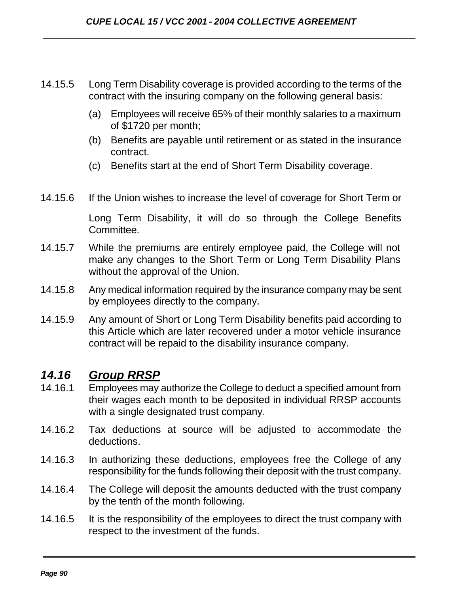- 14.15.5 Long Term Disability coverage is provided according to the terms of the contract with the insuring company on the following general basis:
	- (a) Employees will receive 65% of their monthly salaries to a maximum of \$1720 per month;
	- (b) Benefits are payable until retirement or as stated in the insurance contract.
	- (c) Benefits start at the end of Short Term Disability coverage.
- 14.15.6 If the Union wishes to increase the level of coverage for Short Term or

Long Term Disability, it will do so through the College Benefits Committee.

- 14.15.7 While the premiums are entirely employee paid, the College will not make any changes to the Short Term or Long Term Disability Plans without the approval of the Union.
- 14.15.8 Any medical information required by the insurance company may be sent by employees directly to the company.
- 14.15.9 Any amount of Short or Long Term Disability benefits paid according to this Article which are later recovered under a motor vehicle insurance contract will be repaid to the disability insurance company.

# *14.16 Group RRSP*

- 14.16.1 Employees may authorize the College to deduct a specified amount from their wages each month to be deposited in individual RRSP accounts with a single designated trust company.
- 14.16.2 Tax deductions at source will be adjusted to accommodate the deductions.
- 14.16.3 In authorizing these deductions, employees free the College of any responsibility for the funds following their deposit with the trust company.
- 14.16.4 The College will deposit the amounts deducted with the trust company by the tenth of the month following.
- 14.16.5 It is the responsibility of the employees to direct the trust company with respect to the investment of the funds.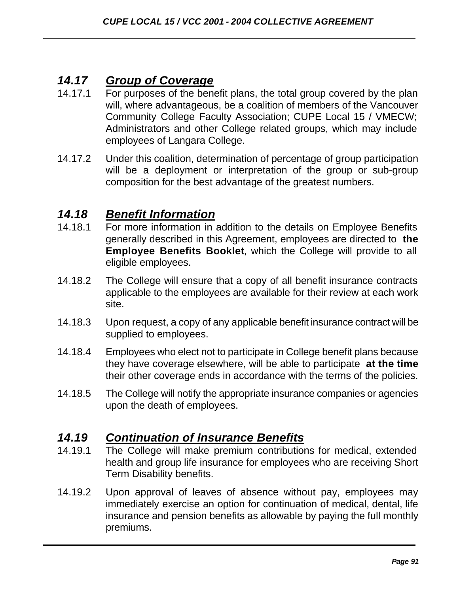# *14.17 Group of Coverage*

- 14.17.1 For purposes of the benefit plans, the total group covered by the plan will, where advantageous, be a coalition of members of the Vancouver Community College Faculty Association; CUPE Local 15 / VMECW; Administrators and other College related groups, which may include employees of Langara College.
- 14.17.2 Under this coalition, determination of percentage of group participation will be a deployment or interpretation of the group or sub-group composition for the best advantage of the greatest numbers.

### *14.18 Benefit Information*

- 14.18.1 For more information in addition to the details on Employee Benefits generally described in this Agreement, employees are directed to **the Employee Benefits Booklet**, which the College will provide to all eligible employees.
- 14.18.2 The College will ensure that a copy of all benefit insurance contracts applicable to the employees are available for their review at each work site.
- 14.18.3 Upon request, a copy of any applicable benefit insurance contract will be supplied to employees.
- 14.18.4 Employees who elect not to participate in College benefit plans because they have coverage elsewhere, will be able to participate **at the time**  their other coverage ends in accordance with the terms of the policies.
- 14.18.5 The College will notify the appropriate insurance companies or agencies upon the death of employees.

# *14.19 Continuation of Insurance Benefits*

- 14.19.1 The College will make premium contributions for medical, extended health and group life insurance for employees who are receiving Short Term Disability benefits.
- 14.19.2 Upon approval of leaves of absence without pay, employees may immediately exercise an option for continuation of medical, dental, life insurance and pension benefits as allowable by paying the full monthly premiums.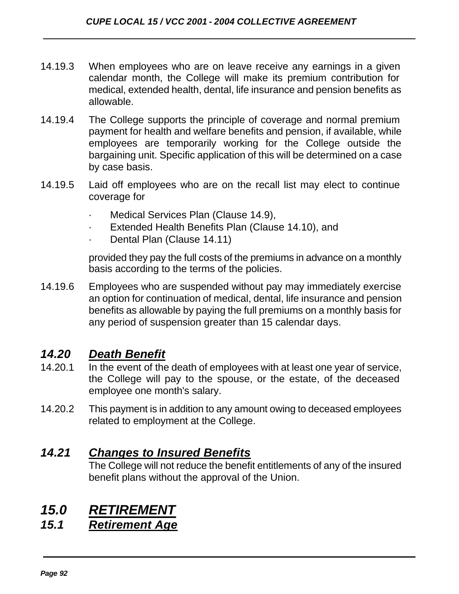- 14.19.3 When employees who are on leave receive any earnings in a given calendar month, the College will make its premium contribution for medical, extended health, dental, life insurance and pension benefits as allowable.
- 14.19.4 The College supports the principle of coverage and normal premium payment for health and welfare benefits and pension, if available, while employees are temporarily working for the College outside the bargaining unit. Specific application of this will be determined on a case by case basis.
- 14.19.5 Laid off employees who are on the recall list may elect to continue coverage for
	- Medical Services Plan (Clause 14.9),
	- Extended Health Benefits Plan (Clause 14.10), and
	- Dental Plan (Clause 14.11)

provided they pay the full costs of the premiums in advance on a monthly basis according to the terms of the policies.

14.19.6 Employees who are suspended without pay may immediately exercise an option for continuation of medical, dental, life insurance and pension benefits as allowable by paying the full premiums on a monthly basis for any period of suspension greater than 15 calendar days.

# *14.20 Death Benefit*

- 14.20.1 In the event of the death of employees with at least one year of service, the College will pay to the spouse, or the estate, of the deceased employee one month's salary.
- 14.20.2 This payment is in addition to any amount owing to deceased employees related to employment at the College.

# *14.21 Changes to Insured Benefits*

The College will not reduce the benefit entitlements of any of the insured benefit plans without the approval of the Union.

# *15.0 RETIREMENT*

# *15.1 Retirement Age*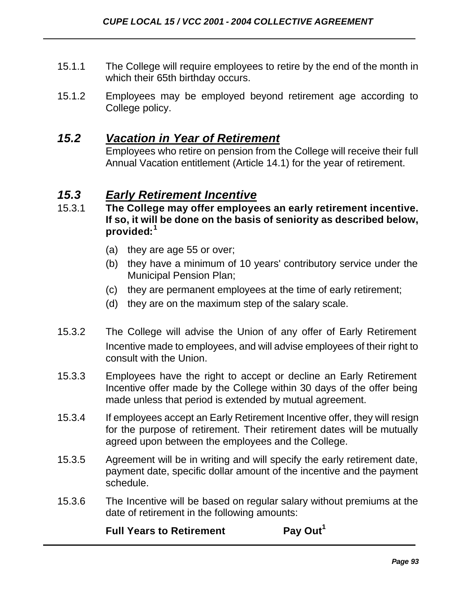- 15.1.1 The College will require employees to retire by the end of the month in which their 65th birthday occurs.
- 15.1.2 Employees may be employed beyond retirement age according to College policy.

#### *15.2 Vacation in Year of Retirement*

Employees who retire on pension from the College will receive their full Annual Vacation entitlement (Article 14.1) for the year of retirement.

#### *15.3 Early Retirement Incentive*

- 15.3.1 **The College may offer employees an early retirement incentive. If so, it will be done on the basis of seniority as described below, provided: 1**
	- (a) they are age 55 or over;
	- (b) they have a minimum of 10 years' contributory service under the Municipal Pension Plan;
	- (c) they are permanent employees at the time of early retirement;
	- (d) they are on the maximum step of the salary scale.
- 15.3.2 The College will advise the Union of any offer of Early Retirement Incentive made to employees, and will advise employees of their right to consult with the Union.
- 15.3.3 Employees have the right to accept or decline an Early Retirement Incentive offer made by the College within 30 days of the offer being made unless that period is extended by mutual agreement.
- 15.3.4 If employees accept an Early Retirement Incentive offer, they will resign for the purpose of retirement. Their retirement dates will be mutually agreed upon between the employees and the College.
- 15.3.5 Agreement will be in writing and will specify the early retirement date, payment date, specific dollar amount of the incentive and the payment schedule.
- 15.3.6 The Incentive will be based on regular salary without premiums at the date of retirement in the following amounts:

```
Full Years to Retirement Pay Out1
```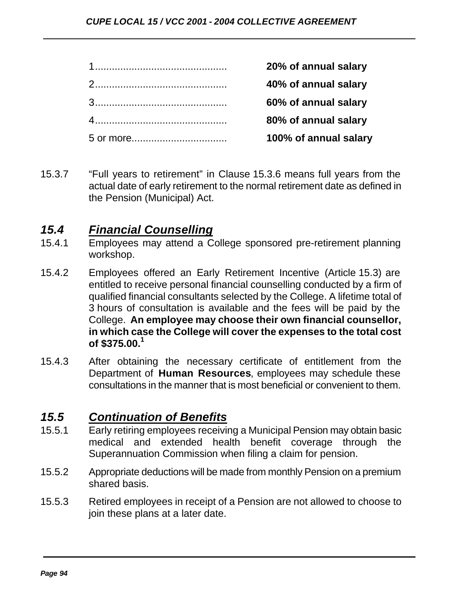| 20% of annual salary  |
|-----------------------|
| 40% of annual salary  |
| 60% of annual salary  |
| 80% of annual salary  |
| 100% of annual salary |

15.3.7 "Full years to retirement" in Clause 15.3.6 means full years from the actual date of early retirement to the normal retirement date as defined in the Pension (Municipal) Act.

# *15.4 Financial Counselling*

- 15.4.1 Employees may attend a College sponsored pre-retirement planning workshop.
- 15.4.2 Employees offered an Early Retirement Incentive (Article 15.3) are entitled to receive personal financial counselling conducted by a firm of qualified financial consultants selected by the College. A lifetime total of 3 hours of consultation is available and the fees will be paid by the College. **An employee may choose their own financial counsellor, in which case the College will cover the expenses to the total cost of \$375.00.<sup>1</sup>**
- 15.4.3 After obtaining the necessary certificate of entitlement from the Department of **Human Resources**, employees may schedule these consultations in the manner that is most beneficial or convenient to them.

# *15.5 Continuation of Benefits*

- 15.5.1 Early retiring employees receiving a Municipal Pension may obtain basic medical and extended health benefit coverage through the Superannuation Commission when filing a claim for pension.
- 15.5.2 Appropriate deductions will be made from monthly Pension on a premium shared basis.
- 15.5.3 Retired employees in receipt of a Pension are not allowed to choose to join these plans at a later date.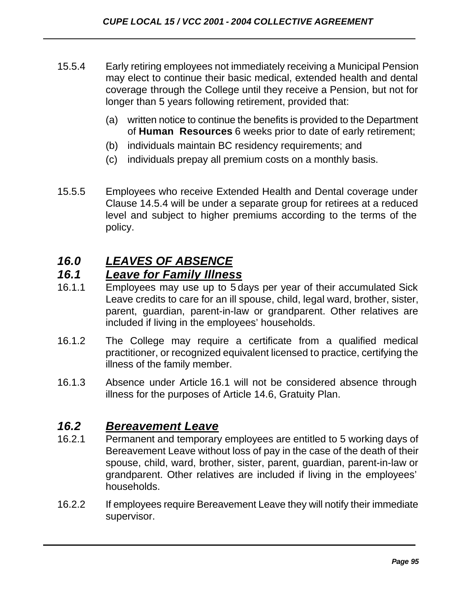- 15.5.4 Early retiring employees not immediately receiving a Municipal Pension may elect to continue their basic medical, extended health and dental coverage through the College until they receive a Pension, but not for longer than 5 years following retirement, provided that:
	- (a) written notice to continue the benefits is provided to the Department of **Human Resources** 6 weeks prior to date of early retirement;
	- (b) individuals maintain BC residency requirements; and
	- (c) individuals prepay all premium costs on a monthly basis.
- 15.5.5 Employees who receive Extended Health and Dental coverage under Clause 14.5.4 will be under a separate group for retirees at a reduced level and subject to higher premiums according to the terms of the policy.

# *16.0 LEAVES OF ABSENCE*

# *16.1 Leave for Family Illness*

- 16.1.1 Employees may use up to 5 days per year of their accumulated Sick Leave credits to care for an ill spouse, child, legal ward, brother, sister, parent, guardian, parent-in-law or grandparent. Other relatives are included if living in the employees' households.
- 16.1.2 The College may require a certificate from a qualified medical practitioner, or recognized equivalent licensed to practice, certifying the illness of the family member.
- 16.1.3 Absence under Article 16.1 will not be considered absence through illness for the purposes of Article 14.6, Gratuity Plan.

# *16.2 Bereavement Leave*

- 16.2.1 Permanent and temporary employees are entitled to 5 working days of Bereavement Leave without loss of pay in the case of the death of their spouse, child, ward, brother, sister, parent, guardian, parent-in-law or grandparent. Other relatives are included if living in the employees' households.
- 16.2.2 If employees require Bereavement Leave they will notify their immediate supervisor.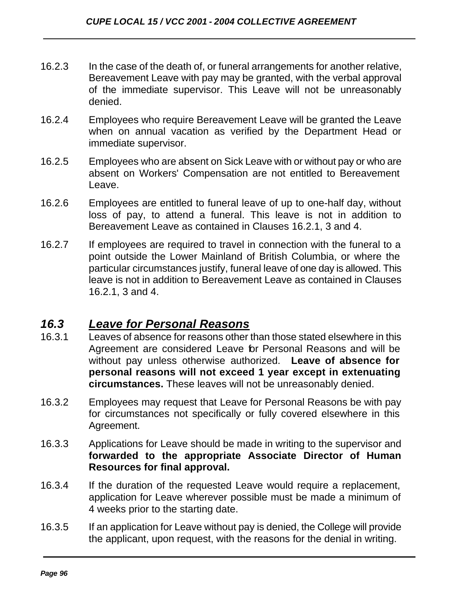- 16.2.3 In the case of the death of, or funeral arrangements for another relative, Bereavement Leave with pay may be granted, with the verbal approval of the immediate supervisor. This Leave will not be unreasonably denied.
- 16.2.4 Employees who require Bereavement Leave will be granted the Leave when on annual vacation as verified by the Department Head or immediate supervisor.
- 16.2.5 Employees who are absent on Sick Leave with or without pay or who are absent on Workers' Compensation are not entitled to Bereavement Leave.
- 16.2.6 Employees are entitled to funeral leave of up to one-half day, without loss of pay, to attend a funeral. This leave is not in addition to Bereavement Leave as contained in Clauses 16.2.1, 3 and 4.
- 16.2.7 If employees are required to travel in connection with the funeral to a point outside the Lower Mainland of British Columbia, or where the particular circumstances justify, funeral leave of one day is allowed. This leave is not in addition to Bereavement Leave as contained in Clauses 16.2.1, 3 and 4.

# *16.3 Leave for Personal Reasons*

- 16.3.1 Leaves of absence for reasons other than those stated elsewhere in this Agreement are considered Leave for Personal Reasons and will be without pay unless otherwise authorized. **Leave of absence for personal reasons will not exceed 1 year except in extenuating circumstances.** These leaves will not be unreasonably denied.
- 16.3.2 Employees may request that Leave for Personal Reasons be with pay for circumstances not specifically or fully covered elsewhere in this Agreement.
- 16.3.3 Applications for Leave should be made in writing to the supervisor and **forwarded to the appropriate Associate Director of Human Resources for final approval.**
- 16.3.4 If the duration of the requested Leave would require a replacement, application for Leave wherever possible must be made a minimum of 4 weeks prior to the starting date.
- 16.3.5 If an application for Leave without pay is denied, the College will provide the applicant, upon request, with the reasons for the denial in writing.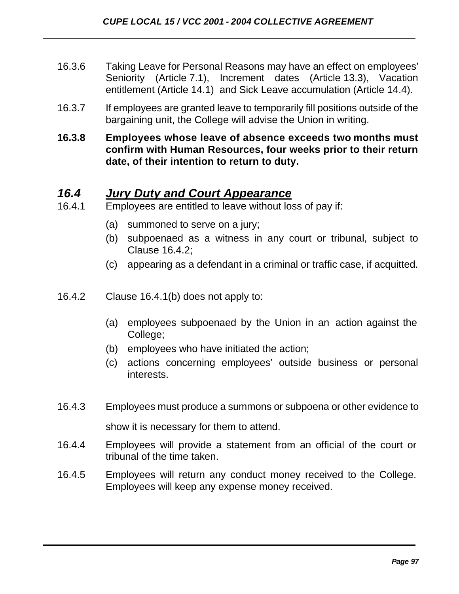- 16.3.6 Taking Leave for Personal Reasons may have an effect on employees' Seniority (Article 7.1), Increment dates (Article 13.3), Vacation entitlement (Article 14.1) and Sick Leave accumulation (Article 14.4).
- 16.3.7 If employees are granted leave to temporarily fill positions outside of the bargaining unit, the College will advise the Union in writing.
- **16.3.8 Employees whose leave of absence exceeds two months must confirm with Human Resources, four weeks prior to their return date, of their intention to return to duty.**

# *16.4 Jury Duty and Court Appearance*

- 16.4.1 Employees are entitled to leave without loss of pay if:
	- (a) summoned to serve on a jury;
	- (b) subpoenaed as a witness in any court or tribunal, subject to Clause 16.4.2;
	- (c) appearing as a defendant in a criminal or traffic case, if acquitted.
- 16.4.2 Clause 16.4.1(b) does not apply to:
	- (a) employees subpoenaed by the Union in an action against the College;
	- (b) employees who have initiated the action;
	- (c) actions concerning employees' outside business or personal interests.
- 16.4.3 Employees must produce a summons or subpoena or other evidence to show it is necessary for them to attend.
- 16.4.4 Employees will provide a statement from an official of the court or tribunal of the time taken.
- 16.4.5 Employees will return any conduct money received to the College. Employees will keep any expense money received.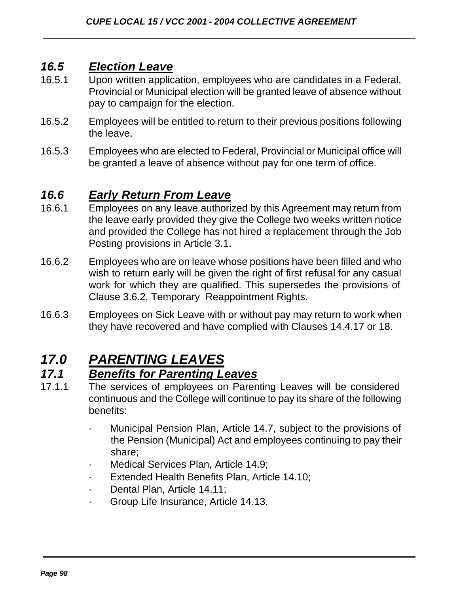# *16.5 Election Leave*

- 16.5.1 Upon written application, employees who are candidates in a Federal, Provincial or Municipal election will be granted leave of absence without pay to campaign for the election.
- 16.5.2 Employees will be entitled to return to their previous positions following the leave.
- 16.5.3 Employees who are elected to Federal, Provincial or Municipal office will be granted a leave of absence without pay for one term of office.

# *16.6 Early Return From Leave*

- 16.6.1 Employees on any leave authorized by this Agreement may return from the leave early provided they give the College two weeks written notice and provided the College has not hired a replacement through the Job Posting provisions in Article 3.1.
- 16.6.2 Employees who are on leave whose positions have been filled and who wish to return early will be given the right of first refusal for any casual work for which they are qualified. This supersedes the provisions of Clause 3.6.2, Temporary Reappointment Rights.
- 16.6.3 Employees on Sick Leave with or without pay may return to work when they have recovered and have complied with Clauses 14.4.17 or 18.

# *17.0 PARENTING LEAVES*

# *17.1 Benefits for Parenting Leaves*

- 17.1.1 The services of employees on Parenting Leaves will be considered continuous and the College will continue to pay its share of the following benefits:
	- Municipal Pension Plan, Article 14.7, subject to the provisions of the Pension (Municipal) Act and employees continuing to pay their share;
	- Medical Services Plan, Article 14.9;
	- Extended Health Benefits Plan, Article 14.10;
	- Dental Plan, Article 14.11;
	- · Group Life Insurance, Article 14.13.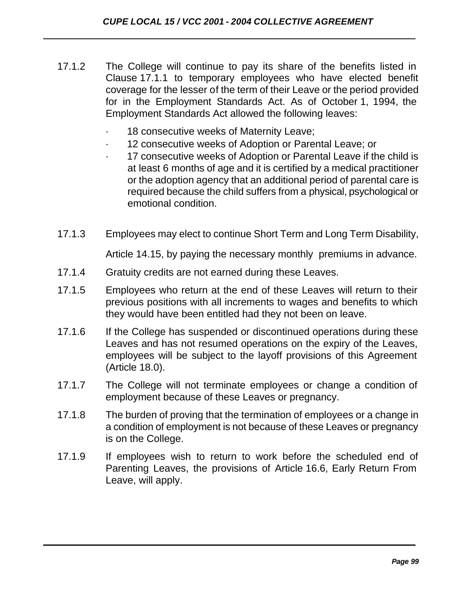- 17.1.2 The College will continue to pay its share of the benefits listed in Clause 17.1.1 to temporary employees who have elected benefit coverage for the lesser of the term of their Leave or the period provided for in the Employment Standards Act. As of October 1, 1994, the Employment Standards Act allowed the following leaves:
	- · 18 consecutive weeks of Maternity Leave;
	- 12 consecutive weeks of Adoption or Parental Leave; or
	- · 17 consecutive weeks of Adoption or Parental Leave if the child is at least 6 months of age and it is certified by a medical practitioner or the adoption agency that an additional period of parental care is required because the child suffers from a physical, psychological or emotional condition.
- 17.1.3 Employees may elect to continue Short Term and Long Term Disability,

Article 14.15, by paying the necessary monthly premiums in advance.

- 17.1.4 Gratuity credits are not earned during these Leaves.
- 17.1.5 Employees who return at the end of these Leaves will return to their previous positions with all increments to wages and benefits to which they would have been entitled had they not been on leave.
- 17.1.6 If the College has suspended or discontinued operations during these Leaves and has not resumed operations on the expiry of the Leaves, employees will be subject to the layoff provisions of this Agreement (Article 18.0).
- 17.1.7 The College will not terminate employees or change a condition of employment because of these Leaves or pregnancy.
- 17.1.8 The burden of proving that the termination of employees or a change in a condition of employment is not because of these Leaves or pregnancy is on the College.
- 17.1.9 If employees wish to return to work before the scheduled end of Parenting Leaves, the provisions of Article 16.6, Early Return From Leave, will apply.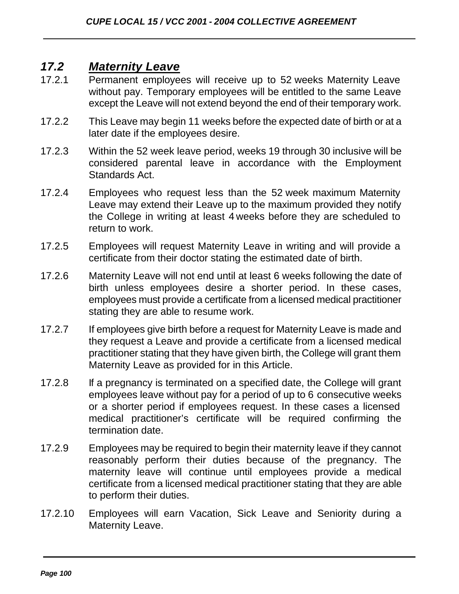#### *17.2 Maternity Leave*

- 17.2.1 Permanent employees will receive up to 52 weeks Maternity Leave without pay. Temporary employees will be entitled to the same Leave except the Leave will not extend beyond the end of their temporary work.
- 17.2.2 This Leave may begin 11 weeks before the expected date of birth or at a later date if the employees desire.
- 17.2.3 Within the 52 week leave period, weeks 19 through 30 inclusive will be considered parental leave in accordance with the Employment Standards Act.
- 17.2.4 Employees who request less than the 52 week maximum Maternity Leave may extend their Leave up to the maximum provided they notify the College in writing at least 4 weeks before they are scheduled to return to work.
- 17.2.5 Employees will request Maternity Leave in writing and will provide a certificate from their doctor stating the estimated date of birth.
- 17.2.6 Maternity Leave will not end until at least 6 weeks following the date of birth unless employees desire a shorter period. In these cases, employees must provide a certificate from a licensed medical practitioner stating they are able to resume work.
- 17.2.7 If employees give birth before a request for Maternity Leave is made and they request a Leave and provide a certificate from a licensed medical practitioner stating that they have given birth, the College will grant them Maternity Leave as provided for in this Article.
- 17.2.8 If a pregnancy is terminated on a specified date, the College will grant employees leave without pay for a period of up to 6 consecutive weeks or a shorter period if employees request. In these cases a licensed medical practitioner's certificate will be required confirming the termination date.
- 17.2.9 Employees may be required to begin their maternity leave if they cannot reasonably perform their duties because of the pregnancy. The maternity leave will continue until employees provide a medical certificate from a licensed medical practitioner stating that they are able to perform their duties.
- 17.2.10 Employees will earn Vacation, Sick Leave and Seniority during a Maternity Leave.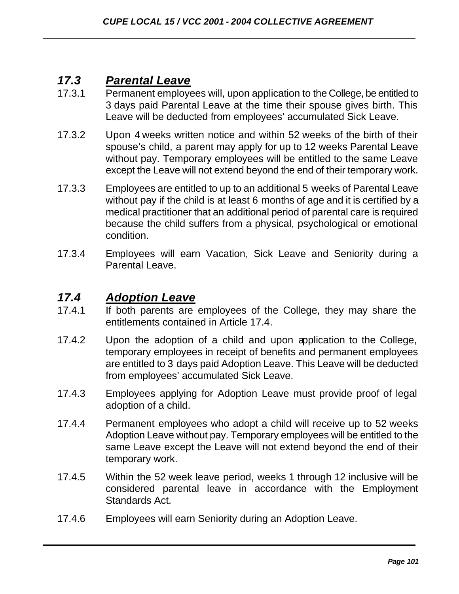# *17.3 Parental Leave*

- 17.3.1 Permanent employees will, upon application to the College, be entitled to 3 days paid Parental Leave at the time their spouse gives birth. This Leave will be deducted from employees' accumulated Sick Leave.
- 17.3.2 Upon 4 weeks written notice and within 52 weeks of the birth of their spouse's child, a parent may apply for up to 12 weeks Parental Leave without pay. Temporary employees will be entitled to the same Leave except the Leave will not extend beyond the end of their temporary work.
- 17.3.3 Employees are entitled to up to an additional 5 weeks of Parental Leave without pay if the child is at least 6 months of age and it is certified by a medical practitioner that an additional period of parental care is required because the child suffers from a physical, psychological or emotional condition.
- 17.3.4 Employees will earn Vacation, Sick Leave and Seniority during a Parental Leave.

# *17.4 Adoption Leave*

- 17.4.1 If both parents are employees of the College, they may share the entitlements contained in Article 17.4.
- 17.4.2 Upon the adoption of a child and upon application to the College, temporary employees in receipt of benefits and permanent employees are entitled to 3 days paid Adoption Leave. This Leave will be deducted from employees' accumulated Sick Leave.
- 17.4.3 Employees applying for Adoption Leave must provide proof of legal adoption of a child.
- 17.4.4 Permanent employees who adopt a child will receive up to 52 weeks Adoption Leave without pay. Temporary employees will be entitled to the same Leave except the Leave will not extend beyond the end of their temporary work.
- 17.4.5 Within the 52 week leave period, weeks 1 through 12 inclusive will be considered parental leave in accordance with the Employment Standards Act.
- 17.4.6 Employees will earn Seniority during an Adoption Leave.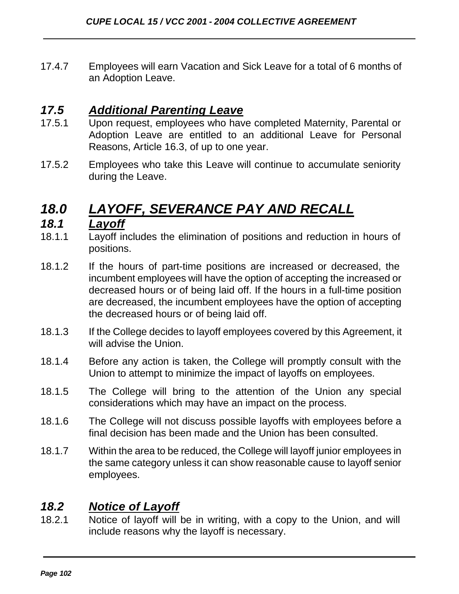17.4.7 Employees will earn Vacation and Sick Leave for a total of 6 months of an Adoption Leave.

### *17.5 Additional Parenting Leave*

- 17.5.1 Upon request, employees who have completed Maternity, Parental or Adoption Leave are entitled to an additional Leave for Personal Reasons, Article 16.3, of up to one year.
- 17.5.2 Employees who take this Leave will continue to accumulate seniority during the Leave.

# *18.0 LAYOFF, SEVERANCE PAY AND RECALL*

#### *18.1 Layoff*

- 18.1.1 Layoff includes the elimination of positions and reduction in hours of positions.
- 18.1.2 If the hours of part-time positions are increased or decreased, the incumbent employees will have the option of accepting the increased or decreased hours or of being laid off. If the hours in a full-time position are decreased, the incumbent employees have the option of accepting the decreased hours or of being laid off.
- 18.1.3 If the College decides to layoff employees covered by this Agreement, it will advise the Union.
- 18.1.4 Before any action is taken, the College will promptly consult with the Union to attempt to minimize the impact of layoffs on employees.
- 18.1.5 The College will bring to the attention of the Union any special considerations which may have an impact on the process.
- 18.1.6 The College will not discuss possible layoffs with employees before a final decision has been made and the Union has been consulted.
- 18.1.7 Within the area to be reduced, the College will layoff junior employees in the same category unless it can show reasonable cause to layoff senior employees.

#### *18.2 Notice of Layoff*

18.2.1 Notice of layoff will be in writing, with a copy to the Union, and will include reasons why the layoff is necessary.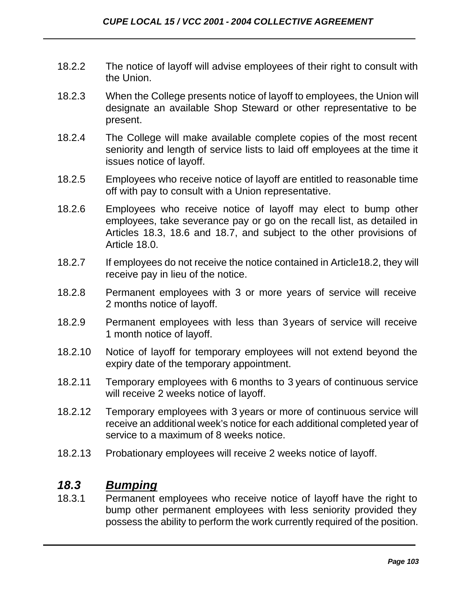- 18.2.2 The notice of layoff will advise employees of their right to consult with the Union.
- 18.2.3 When the College presents notice of layoff to employees, the Union will designate an available Shop Steward or other representative to be present.
- 18.2.4 The College will make available complete copies of the most recent seniority and length of service lists to laid off employees at the time it issues notice of layoff.
- 18.2.5 Employees who receive notice of layoff are entitled to reasonable time off with pay to consult with a Union representative.
- 18.2.6 Employees who receive notice of layoff may elect to bump other employees, take severance pay or go on the recall list, as detailed in Articles 18.3, 18.6 and 18.7, and subject to the other provisions of Article 18.0.
- 18.2.7 If employees do not receive the notice contained in Article18.2, they will receive pay in lieu of the notice.
- 18.2.8 Permanent employees with 3 or more years of service will receive 2 months notice of layoff.
- 18.2.9 Permanent employees with less than 3years of service will receive 1 month notice of layoff.
- 18.2.10 Notice of layoff for temporary employees will not extend beyond the expiry date of the temporary appointment.
- 18.2.11 Temporary employees with 6 months to 3 years of continuous service will receive 2 weeks notice of layoff.
- 18.2.12 Temporary employees with 3 years or more of continuous service will receive an additional week's notice for each additional completed year of service to a maximum of 8 weeks notice.
- 18.2.13 Probationary employees will receive 2 weeks notice of layoff.

#### *18.3 Bumping*

18.3.1 Permanent employees who receive notice of layoff have the right to bump other permanent employees with less seniority provided they possess the ability to perform the work currently required of the position.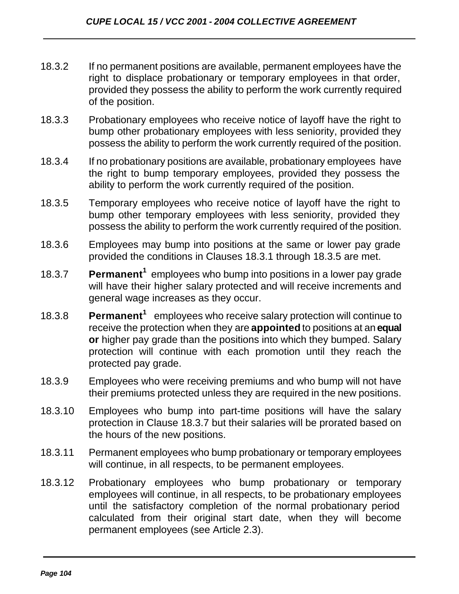- 18.3.2 If no permanent positions are available, permanent employees have the right to displace probationary or temporary employees in that order, provided they possess the ability to perform the work currently required of the position.
- 18.3.3 Probationary employees who receive notice of layoff have the right to bump other probationary employees with less seniority, provided they possess the ability to perform the work currently required of the position.
- 18.3.4 If no probationary positions are available, probationary employees have the right to bump temporary employees, provided they possess the ability to perform the work currently required of the position.
- 18.3.5 Temporary employees who receive notice of layoff have the right to bump other temporary employees with less seniority, provided they possess the ability to perform the work currently required of the position.
- 18.3.6 Employees may bump into positions at the same or lower pay grade provided the conditions in Clauses 18.3.1 through 18.3.5 are met.
- 18.3.7 **Permanent<sup>1</sup>**employees who bump into positions in a lower pay grade will have their higher salary protected and will receive increments and general wage increases as they occur.
- 18.3.8 Permanent<sup>1</sup> employees who receive salary protection will continue to receive the protection when they are **appointed** to positions at an **equal or** higher pay grade than the positions into which they bumped. Salary protection will continue with each promotion until they reach the protected pay grade.
- 18.3.9 Employees who were receiving premiums and who bump will not have their premiums protected unless they are required in the new positions.
- 18.3.10 Employees who bump into part-time positions will have the salary protection in Clause 18.3.7 but their salaries will be prorated based on the hours of the new positions.
- 18.3.11 Permanent employees who bump probationary or temporary employees will continue, in all respects, to be permanent employees.
- 18.3.12 Probationary employees who bump probationary or temporary employees will continue, in all respects, to be probationary employees until the satisfactory completion of the normal probationary period calculated from their original start date, when they will become permanent employees (see Article 2.3).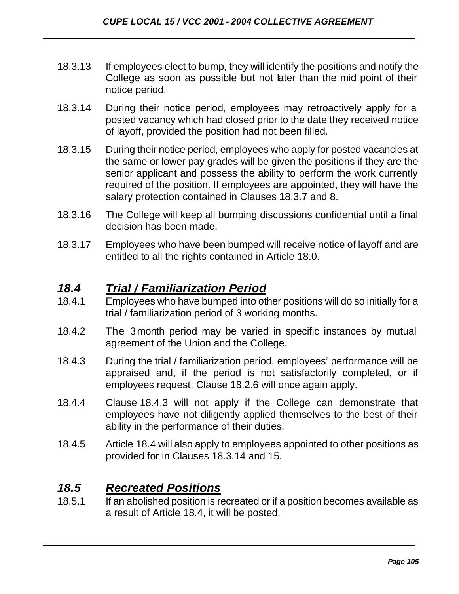- 18.3.13 If employees elect to bump, they will identify the positions and notify the College as soon as possible but not later than the mid point of their notice period.
- 18.3.14 During their notice period, employees may retroactively apply for a posted vacancy which had closed prior to the date they received notice of layoff, provided the position had not been filled.
- 18.3.15 During their notice period, employees who apply for posted vacancies at the same or lower pay grades will be given the positions if they are the senior applicant and possess the ability to perform the work currently required of the position. If employees are appointed, they will have the salary protection contained in Clauses 18.3.7 and 8.
- 18.3.16 The College will keep all bumping discussions confidential until a final decision has been made.
- 18.3.17 Employees who have been bumped will receive notice of layoff and are entitled to all the rights contained in Article 18.0.

# *18.4 Trial / Familiarization Period*

- 18.4.1 Employees who have bumped into other positions will do so initially for a trial / familiarization period of 3 working months.
- 18.4.2 The 3month period may be varied in specific instances by mutual agreement of the Union and the College.
- 18.4.3 During the trial / familiarization period, employees' performance will be appraised and, if the period is not satisfactorily completed, or if employees request, Clause 18.2.6 will once again apply.
- 18.4.4 Clause 18.4.3 will not apply if the College can demonstrate that employees have not diligently applied themselves to the best of their ability in the performance of their duties.
- 18.4.5 Article 18.4 will also apply to employees appointed to other positions as provided for in Clauses 18.3.14 and 15.

#### *18.5 Recreated Positions*

18.5.1 If an abolished position is recreated or if a position becomes available as a result of Article 18.4, it will be posted.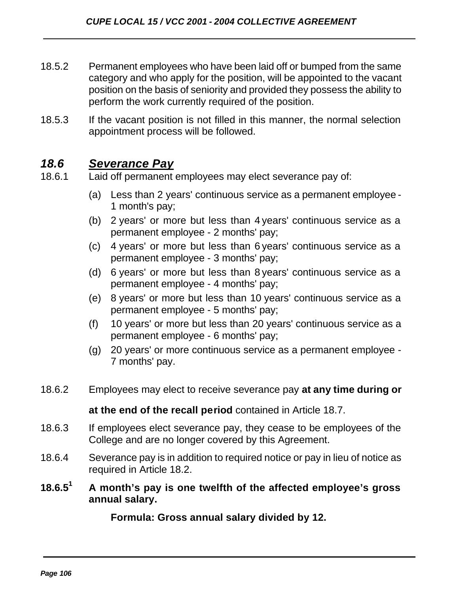- 18.5.2 Permanent employees who have been laid off or bumped from the same category and who apply for the position, will be appointed to the vacant position on the basis of seniority and provided they possess the ability to perform the work currently required of the position.
- 18.5.3 If the vacant position is not filled in this manner, the normal selection appointment process will be followed.

### *18.6 Severance Pay*

- 18.6.1 Laid off permanent employees may elect severance pay of:
	- (a) Less than 2 years' continuous service as a permanent employee 1 month's pay;
	- (b) 2 years' or more but less than 4 years' continuous service as a permanent employee - 2 months' pay;
	- (c) 4 years' or more but less than 6 years' continuous service as a permanent employee - 3 months' pay;
	- (d) 6 years' or more but less than 8 years' continuous service as a permanent employee - 4 months' pay;
	- (e) 8 years' or more but less than 10 years' continuous service as a permanent employee - 5 months' pay;
	- (f) 10 years' or more but less than 20 years' continuous service as a permanent employee - 6 months' pay;
	- (g) 20 years' or more continuous service as a permanent employee 7 months' pay.
- 18.6.2 Employees may elect to receive severance pay **at any time during or**

#### **at the end of the recall period** contained in Article 18.7.

- 18.6.3 If employees elect severance pay, they cease to be employees of the College and are no longer covered by this Agreement.
- 18.6.4 Severance pay is in addition to required notice or pay in lieu of notice as required in Article 18.2.
- **18.6.5<sup>1</sup> A month's pay is one twelfth of the affected employee's gross annual salary.**

#### **Formula: Gross annual salary divided by 12.**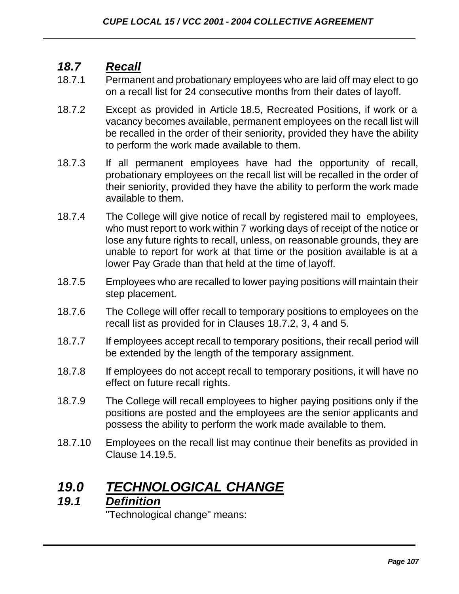# *18.7 Recall*

- 18.7.1 Permanent and probationary employees who are laid off may elect to go on a recall list for 24 consecutive months from their dates of layoff.
- 18.7.2 Except as provided in Article 18.5, Recreated Positions, if work or a vacancy becomes available, permanent employees on the recall list will be recalled in the order of their seniority, provided they have the ability to perform the work made available to them.
- 18.7.3 If all permanent employees have had the opportunity of recall, probationary employees on the recall list will be recalled in the order of their seniority, provided they have the ability to perform the work made available to them.
- 18.7.4 The College will give notice of recall by registered mail to employees, who must report to work within 7 working days of receipt of the notice or lose any future rights to recall, unless, on reasonable grounds, they are unable to report for work at that time or the position available is at a lower Pay Grade than that held at the time of layoff.
- 18.7.5 Employees who are recalled to lower paying positions will maintain their step placement.
- 18.7.6 The College will offer recall to temporary positions to employees on the recall list as provided for in Clauses 18.7.2, 3, 4 and 5.
- 18.7.7 If employees accept recall to temporary positions, their recall period will be extended by the length of the temporary assignment.
- 18.7.8 If employees do not accept recall to temporary positions, it will have no effect on future recall rights.
- 18.7.9 The College will recall employees to higher paying positions only if the positions are posted and the employees are the senior applicants and possess the ability to perform the work made available to them.
- 18.7.10 Employees on the recall list may continue their benefits as provided in Clause 14.19.5.

# *19.0 TECHNOLOGICAL CHANGE*

# *19.1 Definition*

"Technological change" means: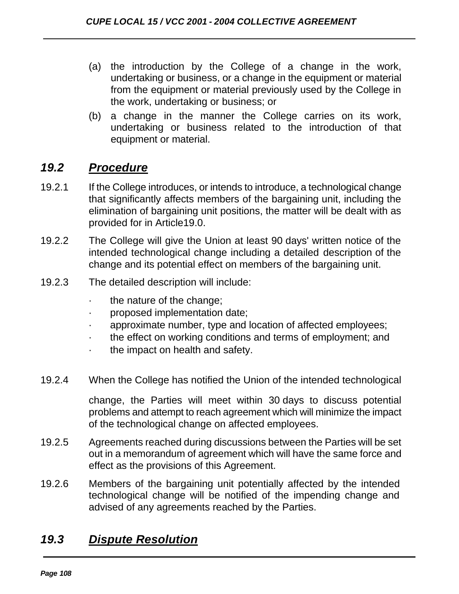- (a) the introduction by the College of a change in the work, undertaking or business, or a change in the equipment or material from the equipment or material previously used by the College in the work, undertaking or business; or
- (b) a change in the manner the College carries on its work, undertaking or business related to the introduction of that equipment or material.

### *19.2 Procedure*

- 19.2.1 If the College introduces, or intends to introduce, a technological change that significantly affects members of the bargaining unit, including the elimination of bargaining unit positions, the matter will be dealt with as provided for in Article19.0.
- 19.2.2 The College will give the Union at least 90 days' written notice of the intended technological change including a detailed description of the change and its potential effect on members of the bargaining unit.
- 19.2.3 The detailed description will include:
	- · the nature of the change;
	- · proposed implementation date;
	- approximate number, type and location of affected employees;
	- the effect on working conditions and terms of employment; and
	- the impact on health and safety.
- 19.2.4 When the College has notified the Union of the intended technological

change, the Parties will meet within 30 days to discuss potential problems and attempt to reach agreement which will minimize the impact of the technological change on affected employees.

- 19.2.5 Agreements reached during discussions between the Parties will be set out in a memorandum of agreement which will have the same force and effect as the provisions of this Agreement.
- 19.2.6 Members of the bargaining unit potentially affected by the intended technological change will be notified of the impending change and advised of any agreements reached by the Parties.

# *19.3 Dispute Resolution*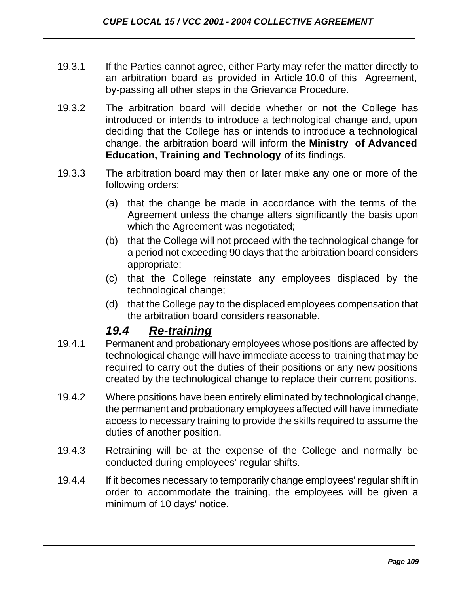- 19.3.1 If the Parties cannot agree, either Party may refer the matter directly to an arbitration board as provided in Article 10.0 of this Agreement, by-passing all other steps in the Grievance Procedure.
- 19.3.2 The arbitration board will decide whether or not the College has introduced or intends to introduce a technological change and, upon deciding that the College has or intends to introduce a technological change, the arbitration board will inform the **Ministry of Advanced Education, Training and Technology** of its findings.
- 19.3.3 The arbitration board may then or later make any one or more of the following orders:
	- (a) that the change be made in accordance with the terms of the Agreement unless the change alters significantly the basis upon which the Agreement was negotiated;
	- (b) that the College will not proceed with the technological change for a period not exceeding 90 days that the arbitration board considers appropriate;
	- (c) that the College reinstate any employees displaced by the technological change;
	- (d) that the College pay to the displaced employees compensation that the arbitration board considers reasonable.

# *19.4 Re-training*

- 19.4.1 Permanent and probationary employees whose positions are affected by technological change will have immediate access to training that may be required to carry out the duties of their positions or any new positions created by the technological change to replace their current positions.
- 19.4.2 Where positions have been entirely eliminated by technological change, the permanent and probationary employees affected will have immediate access to necessary training to provide the skills required to assume the duties of another position.
- 19.4.3 Retraining will be at the expense of the College and normally be conducted during employees' regular shifts.
- 19.4.4 If it becomes necessary to temporarily change employees' regular shift in order to accommodate the training, the employees will be given a minimum of 10 days' notice.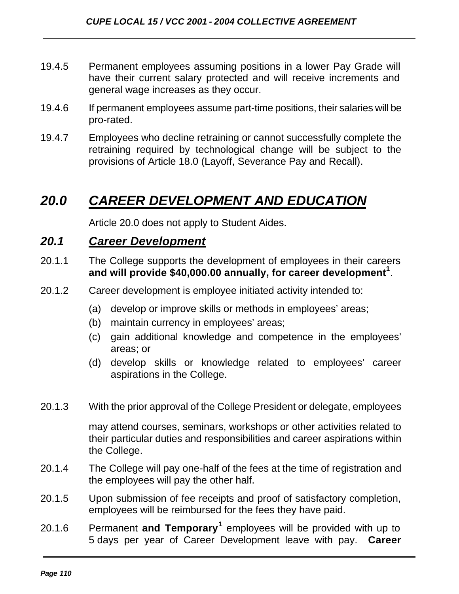- 19.4.5 Permanent employees assuming positions in a lower Pay Grade will have their current salary protected and will receive increments and general wage increases as they occur.
- 19.4.6 If permanent employees assume part-time positions, their salaries will be pro-rated.
- 19.4.7 Employees who decline retraining or cannot successfully complete the retraining required by technological change will be subject to the provisions of Article 18.0 (Layoff, Severance Pay and Recall).

# *20.0 CAREER DEVELOPMENT AND EDUCATION*

Article 20.0 does not apply to Student Aides.

### *20.1 Career Development*

- 20.1.1 The College supports the development of employees in their careers **and will provide \$40,000.00 annually, for career development<sup>1</sup>** .
- 20.1.2 Career development is employee initiated activity intended to:
	- (a) develop or improve skills or methods in employees' areas;
	- (b) maintain currency in employees' areas;
	- (c) gain additional knowledge and competence in the employees' areas; or
	- (d) develop skills or knowledge related to employees' career aspirations in the College.
- 20.1.3 With the prior approval of the College President or delegate, employees

may attend courses, seminars, workshops or other activities related to their particular duties and responsibilities and career aspirations within the College.

- 20.1.4 The College will pay one-half of the fees at the time of registration and the employees will pay the other half.
- 20.1.5 Upon submission of fee receipts and proof of satisfactory completion, employees will be reimbursed for the fees they have paid.
- 20.1.6 Permanent and Temporary<sup>1</sup> employees will be provided with up to 5 days per year of Career Development leave with pay. **Career**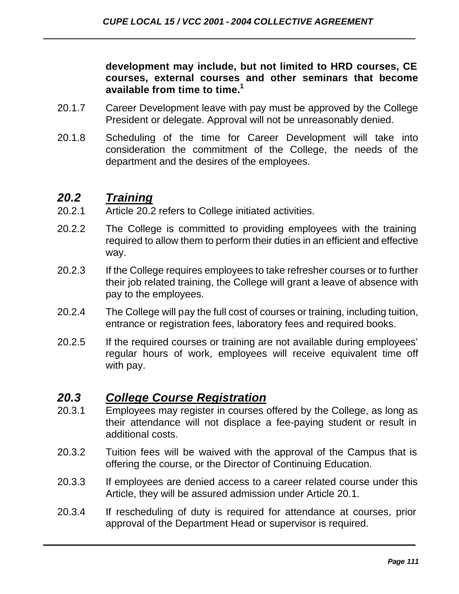#### **development may include, but not limited to HRD courses, CE courses, external courses and other seminars that become available from time to time.<sup>1</sup>**

- 20.1.7 Career Development leave with pay must be approved by the College President or delegate. Approval will not be unreasonably denied.
- 20.1.8 Scheduling of the time for Career Development will take into consideration the commitment of the College, the needs of the department and the desires of the employees.

## *20.2 Training*

- 20.2.1 Article 20.2 refers to College initiated activities.
- 20.2.2 The College is committed to providing employees with the training required to allow them to perform their duties in an efficient and effective way.
- 20.2.3 If the College requires employees to take refresher courses or to further their job related training, the College will grant a leave of absence with pay to the employees.
- 20.2.4 The College will pay the full cost of courses or training, including tuition, entrance or registration fees, laboratory fees and required books.
- 20.2.5 If the required courses or training are not available during employees' regular hours of work, employees will receive equivalent time off with pay.

### *20.3 College Course Registration*

- 20.3.1 Employees may register in courses offered by the College, as long as their attendance will not displace a fee-paying student or result in additional costs.
- 20.3.2 Tuition fees will be waived with the approval of the Campus that is offering the course, or the Director of Continuing Education.
- 20.3.3 If employees are denied access to a career related course under this Article, they will be assured admission under Article 20.1.
- 20.3.4 If rescheduling of duty is required for attendance at courses, prior approval of the Department Head or supervisor is required.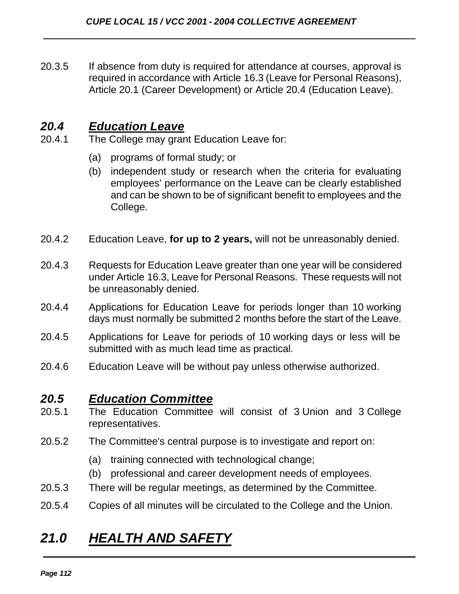20.3.5 If absence from duty is required for attendance at courses, approval is required in accordance with Article 16.3 (Leave for Personal Reasons), Article 20.1 (Career Development) or Article 20.4 (Education Leave).

## *20.4 Education Leave*

- 20.4.1 The College may grant Education Leave for:
	- (a) programs of formal study; or
	- (b) independent study or research when the criteria for evaluating employees' performance on the Leave can be clearly established and can be shown to be of significant benefit to employees and the College.
- 20.4.2 Education Leave, **for up to 2 years,** will not be unreasonably denied.
- 20.4.3 Requests for Education Leave greater than one year will be considered under Article 16.3, Leave for Personal Reasons. These requests will not be unreasonably denied.
- 20.4.4 Applications for Education Leave for periods longer than 10 working days must normally be submitted 2 months before the start of the Leave.
- 20.4.5 Applications for Leave for periods of 10 working days or less will be submitted with as much lead time as practical.
- 20.4.6 Education Leave will be without pay unless otherwise authorized.

### *20.5 Education Committee*

- 20.5.1 The Education Committee will consist of 3 Union and 3 College representatives.
- 20.5.2 The Committee's central purpose is to investigate and report on:
	- (a) training connected with technological change;
	- (b) professional and career development needs of employees.
- 20.5.3 There will be regular meetings, as determined by the Committee.
- 20.5.4 Copies of all minutes will be circulated to the College and the Union.

# *21.0 HEALTH AND SAFETY*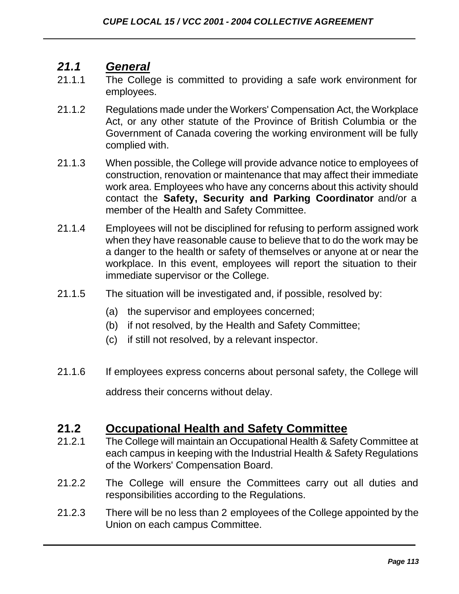# *21.1 General*

- 21.1.1 The College is committed to providing a safe work environment for employees.
- 21.1.2 Regulations made under the Workers' Compensation Act, the Workplace Act, or any other statute of the Province of British Columbia or the Government of Canada covering the working environment will be fully complied with.
- 21.1.3 When possible, the College will provide advance notice to employees of construction, renovation or maintenance that may affect their immediate work area. Employees who have any concerns about this activity should contact the **Safety, Security and Parking Coordinator** and/or a member of the Health and Safety Committee.
- 21.1.4 Employees will not be disciplined for refusing to perform assigned work when they have reasonable cause to believe that to do the work may be a danger to the health or safety of themselves or anyone at or near the workplace. In this event, employees will report the situation to their immediate supervisor or the College.
- 21.1.5 The situation will be investigated and, if possible, resolved by:
	- (a) the supervisor and employees concerned;
	- (b) if not resolved, by the Health and Safety Committee;
	- (c) if still not resolved, by a relevant inspector.
- 21.1.6 If employees express concerns about personal safety, the College will address their concerns without delay.

# **21.2 Occupational Health and Safety Committee**

- 21.2.1 The College will maintain an Occupational Health & Safety Committee at each campus in keeping with the Industrial Health & Safety Regulations of the Workers' Compensation Board.
- 21.2.2 The College will ensure the Committees carry out all duties and responsibilities according to the Regulations.
- 21.2.3 There will be no less than 2 employees of the College appointed by the Union on each campus Committee.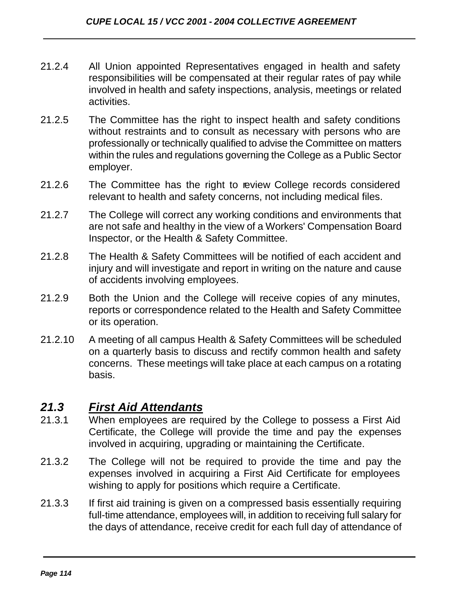- 21.2.4 All Union appointed Representatives engaged in health and safety responsibilities will be compensated at their regular rates of pay while involved in health and safety inspections, analysis, meetings or related activities.
- 21.2.5 The Committee has the right to inspect health and safety conditions without restraints and to consult as necessary with persons who are professionally or technically qualified to advise the Committee on matters within the rules and regulations governing the College as a Public Sector employer.
- 21.2.6 The Committee has the right to review College records considered relevant to health and safety concerns, not including medical files.
- 21.2.7 The College will correct any working conditions and environments that are not safe and healthy in the view of a Workers' Compensation Board Inspector, or the Health & Safety Committee.
- 21.2.8 The Health & Safety Committees will be notified of each accident and injury and will investigate and report in writing on the nature and cause of accidents involving employees.
- 21.2.9 Both the Union and the College will receive copies of any minutes, reports or correspondence related to the Health and Safety Committee or its operation.
- 21.2.10 A meeting of all campus Health & Safety Committees will be scheduled on a quarterly basis to discuss and rectify common health and safety concerns. These meetings will take place at each campus on a rotating basis.

# *21.3 First Aid Attendants*

- 21.3.1 When employees are required by the College to possess a First Aid Certificate, the College will provide the time and pay the expenses involved in acquiring, upgrading or maintaining the Certificate.
- 21.3.2 The College will not be required to provide the time and pay the expenses involved in acquiring a First Aid Certificate for employees wishing to apply for positions which require a Certificate.
- 21.3.3 If first aid training is given on a compressed basis essentially requiring full-time attendance, employees will, in addition to receiving full salary for the days of attendance, receive credit for each full day of attendance of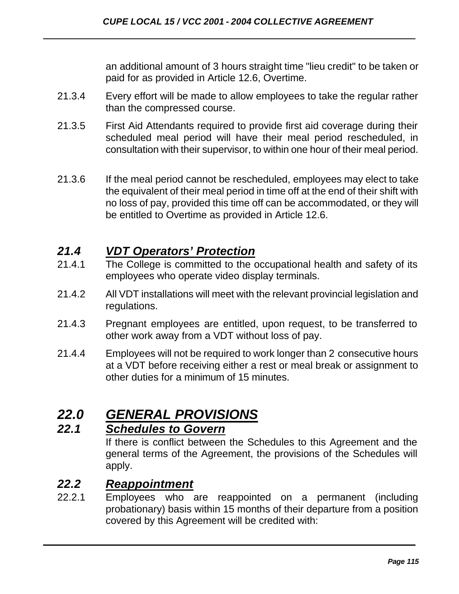an additional amount of 3 hours straight time "lieu credit" to be taken or paid for as provided in Article 12.6, Overtime.

- 21.3.4 Every effort will be made to allow employees to take the regular rather than the compressed course.
- 21.3.5 First Aid Attendants required to provide first aid coverage during their scheduled meal period will have their meal period rescheduled, in consultation with their supervisor, to within one hour of their meal period.
- 21.3.6 If the meal period cannot be rescheduled, employees may elect to take the equivalent of their meal period in time off at the end of their shift with no loss of pay, provided this time off can be accommodated, or they will be entitled to Overtime as provided in Article 12.6.

## *21.4 VDT Operators' Protection*

- 21.4.1 The College is committed to the occupational health and safety of its employees who operate video display terminals.
- 21.4.2 All VDT installations will meet with the relevant provincial legislation and regulations.
- 21.4.3 Pregnant employees are entitled, upon request, to be transferred to other work away from a VDT without loss of pay.
- 21.4.4 Employees will not be required to work longer than 2 consecutive hours at a VDT before receiving either a rest or meal break or assignment to other duties for a minimum of 15 minutes.

# *22.0 GENERAL PROVISIONS*

### *22.1 Schedules to Govern*

If there is conflict between the Schedules to this Agreement and the general terms of the Agreement, the provisions of the Schedules will apply.

### *22.2 Reappointment*

22.2.1 Employees who are reappointed on a permanent (including probationary) basis within 15 months of their departure from a position covered by this Agreement will be credited with: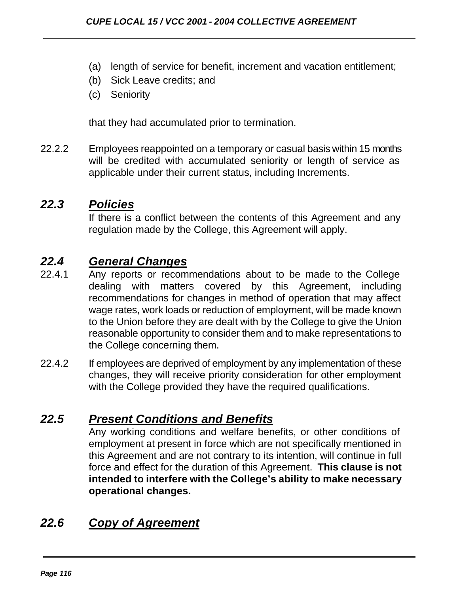- (a) length of service for benefit, increment and vacation entitlement;
- (b) Sick Leave credits; and
- (c) Seniority

that they had accumulated prior to termination.

22.2.2 Employees reappointed on a temporary or casual basis within 15 months will be credited with accumulated seniority or length of service as applicable under their current status, including Increments.

# *22.3 Policies*

If there is a conflict between the contents of this Agreement and any regulation made by the College, this Agreement will apply.

# *22.4 General Changes*

- 22.4.1 Any reports or recommendations about to be made to the College dealing with matters covered by this Agreement, including recommendations for changes in method of operation that may affect wage rates, work loads or reduction of employment, will be made known to the Union before they are dealt with by the College to give the Union reasonable opportunity to consider them and to make representations to the College concerning them.
- 22.4.2 If employees are deprived of employment by any implementation of these changes, they will receive priority consideration for other employment with the College provided they have the required qualifications.

# *22.5 Present Conditions and Benefits*

Any working conditions and welfare benefits, or other conditions of employment at present in force which are not specifically mentioned in this Agreement and are not contrary to its intention, will continue in full force and effect for the duration of this Agreement. **This clause is not intended to interfere with the College's ability to make necessary operational changes.**

# *22.6 Copy of Agreement*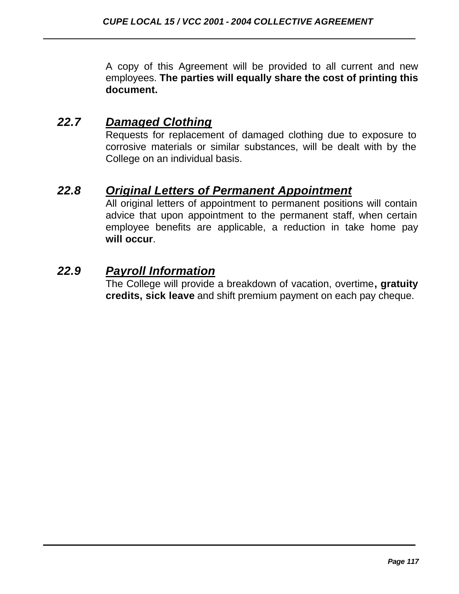A copy of this Agreement will be provided to all current and new employees. **The parties will equally share the cost of printing this document.**

# *22.7 Damaged Clothing*

Requests for replacement of damaged clothing due to exposure to corrosive materials or similar substances, will be dealt with by the College on an individual basis.

# *22.8 Original Letters of Permanent Appointment*

All original letters of appointment to permanent positions will contain advice that upon appointment to the permanent staff, when certain employee benefits are applicable, a reduction in take home pay **will occur**.

# *22.9 Payroll Information*

The College will provide a breakdown of vacation, overtime**, gratuity credits, sick leave** and shift premium payment on each pay cheque.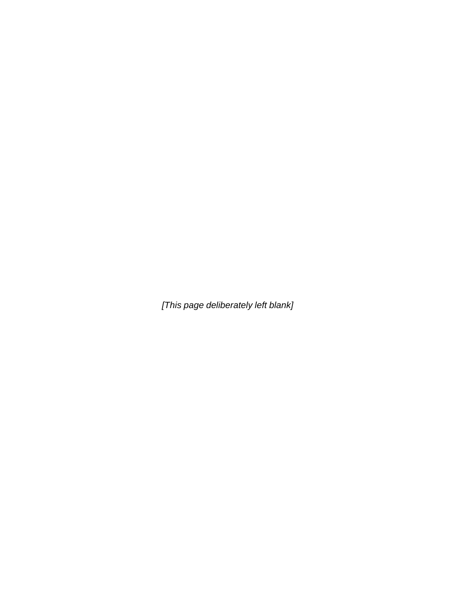*[This page deliberately left blank]*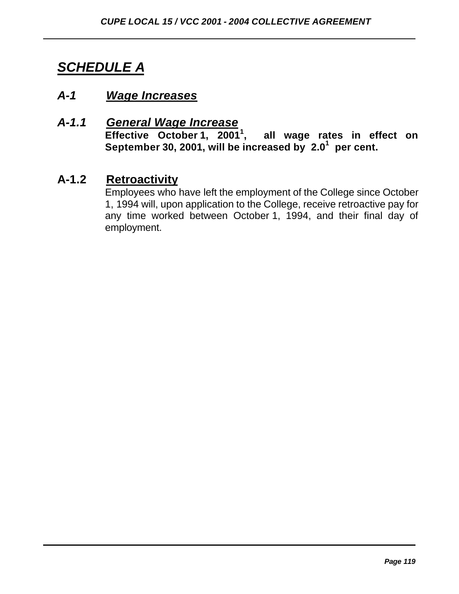# *SCHEDULE A*

## *A-1 Wage Increases*

#### *A-1.1 General Wage Increase* **Effective October 1, 2001<sup>1</sup> , all wage rates in effect on September 30, 2001, will be increased by 2.0<sup>1</sup> per cent.**

## **A-1.2 Retroactivity**

Employees who have left the employment of the College since October 1, 1994 will, upon application to the College, receive retroactive pay for any time worked between October 1, 1994, and their final day of employment.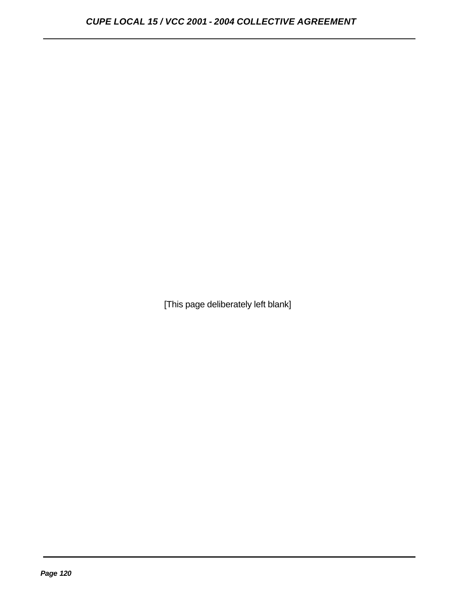[This page deliberately left blank]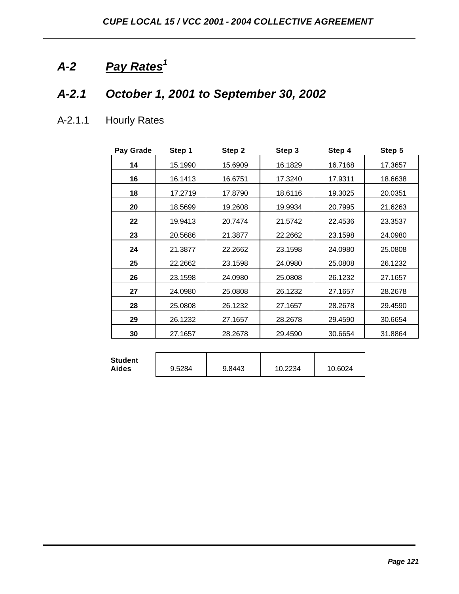# *A-2 Pay Rates<sup>1</sup>*

# *A-2.1 October 1, 2001 to September 30, 2002*

### A-2.1.1 Hourly Rates

| Pay Grade | Step 1  | Step 2  | Step 3  | Step 4  | Step 5  |
|-----------|---------|---------|---------|---------|---------|
| 14        | 15.1990 | 15.6909 | 16.1829 | 16.7168 | 17.3657 |
| 16        | 16.1413 | 16.6751 | 17.3240 | 17.9311 | 18.6638 |
| 18        | 17.2719 | 17.8790 | 18.6116 | 19.3025 | 20.0351 |
| 20        | 18.5699 | 19.2608 | 19.9934 | 20.7995 | 21.6263 |
| 22        | 19.9413 | 20.7474 | 21.5742 | 22.4536 | 23.3537 |
| 23        | 20.5686 | 21.3877 | 22.2662 | 23.1598 | 24.0980 |
| 24        | 21.3877 | 22.2662 | 23.1598 | 24.0980 | 25.0808 |
| 25        | 22.2662 | 23.1598 | 24.0980 | 25,0808 | 26.1232 |
| 26        | 23.1598 | 24.0980 | 25.0808 | 26.1232 | 27.1657 |
| 27        | 24.0980 | 25.0808 | 26.1232 | 27.1657 | 28.2678 |
| 28        | 25,0808 | 26.1232 | 27.1657 | 28.2678 | 29.4590 |
| 29        | 26.1232 | 27.1657 | 28.2678 | 29.4590 | 30.6654 |
| 30        | 27.1657 | 28.2678 | 29.4590 | 30.6654 | 31.8864 |

| <b>Student</b><br><b>Aides</b> | 9.5284 | 9.8443 | 10.2234 | 10.6024 |
|--------------------------------|--------|--------|---------|---------|
|                                |        |        |         |         |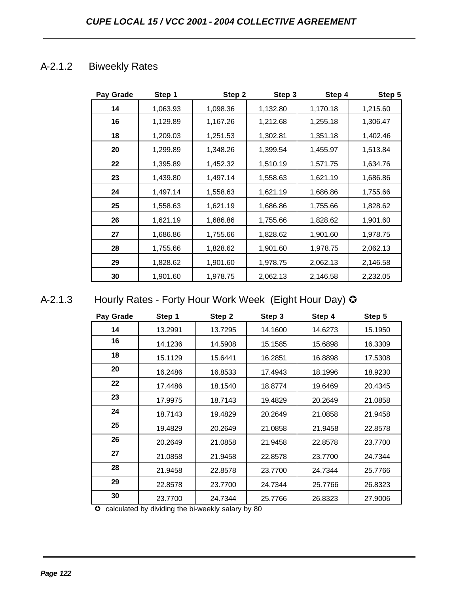#### A-2.1.2 Biweekly Rates

| Pay Grade | Step 1   | Step 2   | Step 3   | Step 4   | Step 5   |
|-----------|----------|----------|----------|----------|----------|
| 14        | 1,063.93 | 1,098.36 | 1,132.80 | 1,170.18 | 1,215.60 |
| 16        | 1,129.89 | 1,167.26 | 1,212.68 | 1,255.18 | 1,306.47 |
| 18        | 1,209.03 | 1,251.53 | 1,302.81 | 1,351.18 | 1,402.46 |
| 20        | 1,299.89 | 1,348.26 | 1,399.54 | 1,455.97 | 1,513.84 |
| 22        | 1,395.89 | 1,452.32 | 1,510.19 | 1,571.75 | 1,634.76 |
| 23        | 1,439.80 | 1,497.14 | 1,558.63 | 1,621.19 | 1,686.86 |
| 24        | 1,497.14 | 1,558.63 | 1,621.19 | 1,686.86 | 1,755.66 |
| 25        | 1,558.63 | 1,621.19 | 1,686.86 | 1,755.66 | 1,828.62 |
| 26        | 1,621.19 | 1,686.86 | 1,755.66 | 1,828.62 | 1,901.60 |
| 27        | 1,686.86 | 1,755.66 | 1,828.62 | 1,901.60 | 1,978.75 |
| 28        | 1,755.66 | 1,828.62 | 1,901.60 | 1,978.75 | 2,062.13 |
| 29        | 1,828.62 | 1,901.60 | 1,978.75 | 2,062.13 | 2,146.58 |
| 30        | 1,901.60 | 1,978.75 | 2,062.13 | 2,146.58 | 2,232.05 |

## A-2.1.3 Hourly Rates - Forty Hour Work Week (Eight Hour Day)  $\Omega$

| Pay Grade | Step 1  | Step 2  | Step 3  | Step 4  | Step 5  |
|-----------|---------|---------|---------|---------|---------|
| 14        | 13.2991 | 13.7295 | 14.1600 | 14.6273 | 15.1950 |
| 16        | 14.1236 | 14.5908 | 15.1585 | 15.6898 | 16.3309 |
| 18        | 15.1129 | 15.6441 | 16.2851 | 16.8898 | 17.5308 |
| 20        | 16.2486 | 16.8533 | 17.4943 | 18.1996 | 18.9230 |
| 22        | 17.4486 | 18.1540 | 18.8774 | 19.6469 | 20.4345 |
| 23        | 17.9975 | 18.7143 | 19.4829 | 20.2649 | 21.0858 |
| 24        | 18.7143 | 19.4829 | 20.2649 | 21.0858 | 21.9458 |
| 25        | 19.4829 | 20.2649 | 21.0858 | 21.9458 | 22,8578 |
| 26        | 20.2649 | 21.0858 | 21.9458 | 22.8578 | 23.7700 |
| 27        | 21.0858 | 21.9458 | 22.8578 | 23.7700 | 24.7344 |
| 28        | 21.9458 | 22.8578 | 23,7700 | 24.7344 | 25.7766 |
| 29        | 22.8578 | 23.7700 | 24.7344 | 25.7766 | 26.8323 |
| 30        | 23.7700 | 24.7344 | 25.7766 | 26.8323 | 27,9006 |

µ calculated by dividing the bi-weekly salary by 80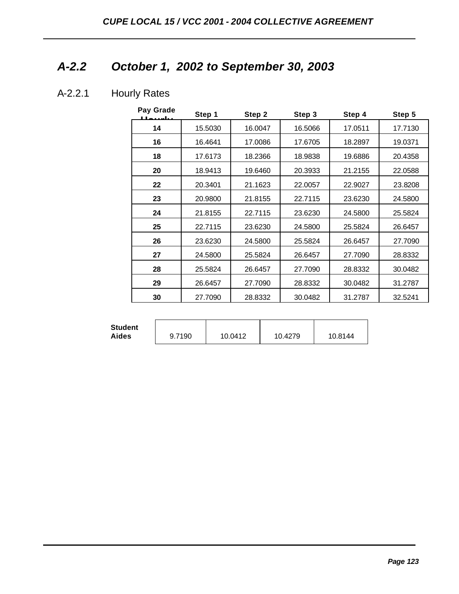# *A-2.2 October 1, 2002 to September 30, 2003*

## A-2.2.1 Hourly Rates

| Pay Grade | Step 1  | Step 2  | Step 3  | Step 4  | Step 5  |
|-----------|---------|---------|---------|---------|---------|
| 14        | 15.5030 | 16.0047 | 16.5066 | 17.0511 | 17.7130 |
| 16        | 16.4641 | 17.0086 | 17.6705 | 18.2897 | 19.0371 |
| 18        | 17.6173 | 18.2366 | 18.9838 | 19.6886 | 20.4358 |
| 20        | 18.9413 | 19.6460 | 20.3933 | 21.2155 | 22.0588 |
| 22        | 20.3401 | 21.1623 | 22.0057 | 22.9027 | 23.8208 |
| 23        | 20.9800 | 21.8155 | 22.7115 | 23.6230 | 24.5800 |
| 24        | 21.8155 | 22.7115 | 23.6230 | 24.5800 | 25.5824 |
| 25        | 22.7115 | 23.6230 | 24.5800 | 25.5824 | 26.6457 |
| 26        | 23.6230 | 24.5800 | 25.5824 | 26.6457 | 27.7090 |
| 27        | 24.5800 | 25.5824 | 26.6457 | 27.7090 | 28.8332 |
| 28        | 25.5824 | 26.6457 | 27.7090 | 28.8332 | 30.0482 |
| 29        | 26.6457 | 27.7090 | 28.8332 | 30.0482 | 31.2787 |
| 30        | 27.7090 | 28.8332 | 30.0482 | 31.2787 | 32.5241 |

| <b>Student</b><br>Aides | 9.7190 | 10.0412 | 10.4279 | 10.8144 |
|-------------------------|--------|---------|---------|---------|
|-------------------------|--------|---------|---------|---------|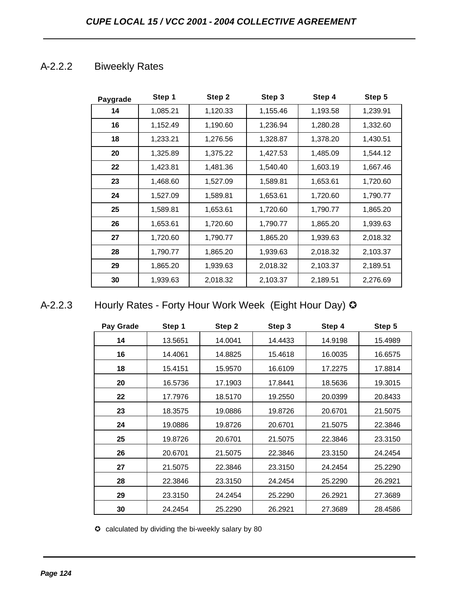#### A-2.2.2 Biweekly Rates

| Paygrade | Step 1   | Step 2   | Step 3   | Step 4   | Step 5   |
|----------|----------|----------|----------|----------|----------|
| 14       | 1,085.21 | 1,120.33 | 1,155.46 | 1,193.58 | 1,239.91 |
| 16       | 1,152.49 | 1,190.60 | 1,236.94 | 1,280.28 | 1,332.60 |
| 18       | 1,233.21 | 1,276.56 | 1,328.87 | 1,378.20 | 1,430.51 |
| 20       | 1,325.89 | 1,375.22 | 1,427.53 | 1,485.09 | 1,544.12 |
| 22       | 1,423.81 | 1,481.36 | 1,540.40 | 1,603.19 | 1,667.46 |
| 23       | 1,468.60 | 1,527.09 | 1,589.81 | 1,653.61 | 1,720.60 |
| 24       | 1,527.09 | 1,589.81 | 1,653.61 | 1,720.60 | 1,790.77 |
| 25       | 1,589.81 | 1,653.61 | 1,720.60 | 1,790.77 | 1,865.20 |
| 26       | 1,653.61 | 1,720.60 | 1,790.77 | 1,865.20 | 1,939.63 |
| 27       | 1,720.60 | 1,790.77 | 1,865.20 | 1,939.63 | 2,018.32 |
| 28       | 1,790.77 | 1,865.20 | 1,939.63 | 2,018.32 | 2,103.37 |
| 29       | 1,865.20 | 1,939.63 | 2,018.32 | 2,103.37 | 2,189.51 |
| 30       | 1,939.63 | 2,018.32 | 2,103.37 | 2,189.51 | 2,276.69 |

### A-2.2.3 Hourly Rates - Forty Hour Work Week (Eight Hour Day)  $\odot$

| Pay Grade | Step 1  | Step 2  | Step 3  | Step 4  | Step 5  |
|-----------|---------|---------|---------|---------|---------|
| 14        | 13.5651 | 14.0041 | 14.4433 | 14.9198 | 15.4989 |
| 16        | 14.4061 | 14.8825 | 15.4618 | 16.0035 | 16.6575 |
| 18        | 15.4151 | 15.9570 | 16.6109 | 17.2275 | 17.8814 |
| 20        | 16.5736 | 17.1903 | 17.8441 | 18.5636 | 19.3015 |
| 22        | 17.7976 | 18.5170 | 19.2550 | 20.0399 | 20.8433 |
| 23        | 18.3575 | 19.0886 | 19.8726 | 20.6701 | 21.5075 |
| 24        | 19.0886 | 19.8726 | 20.6701 | 21.5075 | 22.3846 |
| 25        | 19.8726 | 20.6701 | 21.5075 | 22.3846 | 23.3150 |
| 26        | 20.6701 | 21.5075 | 22.3846 | 23.3150 | 24.2454 |
| 27        | 21.5075 | 22.3846 | 23.3150 | 24.2454 | 25.2290 |
| 28        | 22.3846 | 23.3150 | 24.2454 | 25.2290 | 26.2921 |
| 29        | 23.3150 | 24.2454 | 25.2290 | 26.2921 | 27.3689 |
| 30        | 24.2454 | 25.2290 | 26.2921 | 27.3689 | 28.4586 |

µ calculated by dividing the bi-weekly salary by 80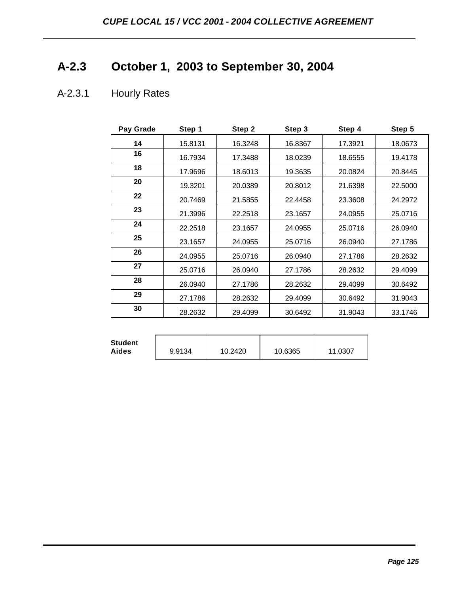# **A-2.3 October 1, 2003 to September 30, 2004**

# A-2.3.1 Hourly Rates

| Pay Grade | Step 1  | Step 2  | Step 3  | Step 4  | Step 5  |
|-----------|---------|---------|---------|---------|---------|
| 14        | 15.8131 | 16.3248 | 16.8367 | 17.3921 | 18.0673 |
| 16        | 16.7934 | 17.3488 | 18.0239 | 18.6555 | 19.4178 |
| 18        | 17.9696 | 18.6013 | 19.3635 | 20.0824 | 20.8445 |
| 20        | 19.3201 | 20.0389 | 20.8012 | 21.6398 | 22.5000 |
| 22        | 20.7469 | 21.5855 | 22.4458 | 23.3608 | 24.2972 |
| 23        | 21.3996 | 22.2518 | 23.1657 | 24.0955 | 25.0716 |
| 24        | 22.2518 | 23.1657 | 24.0955 | 25.0716 | 26.0940 |
| 25        | 23.1657 | 24.0955 | 25.0716 | 26.0940 | 27.1786 |
| 26        | 24.0955 | 25.0716 | 26.0940 | 27.1786 | 28.2632 |
| 27        | 25.0716 | 26.0940 | 27.1786 | 28.2632 | 29.4099 |
| 28        | 26.0940 | 27.1786 | 28.2632 | 29.4099 | 30.6492 |
| 29        | 27.1786 | 28.2632 | 29.4099 | 30.6492 | 31.9043 |
| 30        | 28.2632 | 29.4099 | 30.6492 | 31.9043 | 33.1746 |

| <b>Student</b><br>Aides | 9.9134 | 10.2420 | 10.6365 | 11.0307 |
|-------------------------|--------|---------|---------|---------|
|-------------------------|--------|---------|---------|---------|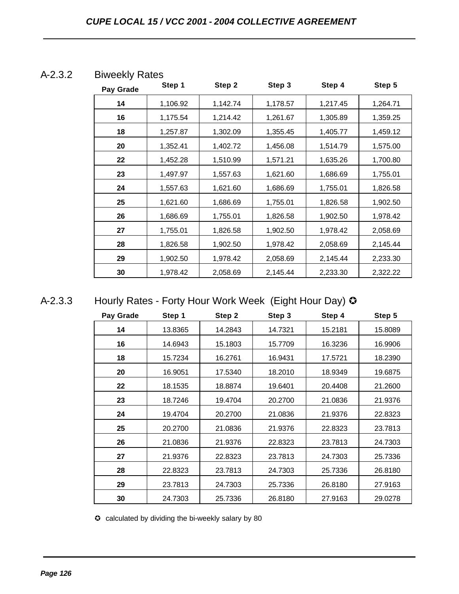#### A-2.3.2 Biweekly Rates

| Pay Grade | Step 1   | Step 2   | Step 3   | Step 4   | Step 5   |
|-----------|----------|----------|----------|----------|----------|
| 14        | 1,106.92 | 1,142.74 | 1,178.57 | 1,217.45 | 1,264.71 |
| 16        | 1,175.54 | 1,214.42 | 1,261.67 | 1,305.89 | 1,359.25 |
| 18        | 1,257.87 | 1,302.09 | 1,355.45 | 1,405.77 | 1,459.12 |
| 20        | 1,352.41 | 1,402.72 | 1,456.08 | 1,514.79 | 1,575.00 |
| 22        | 1,452.28 | 1,510.99 | 1,571.21 | 1,635.26 | 1,700.80 |
| 23        | 1,497.97 | 1,557.63 | 1,621.60 | 1,686.69 | 1,755.01 |
| 24        | 1,557.63 | 1,621.60 | 1,686.69 | 1,755.01 | 1,826.58 |
| 25        | 1,621.60 | 1,686.69 | 1,755.01 | 1,826.58 | 1,902.50 |
| 26        | 1,686.69 | 1,755.01 | 1,826.58 | 1,902.50 | 1,978.42 |
| 27        | 1,755.01 | 1,826.58 | 1,902.50 | 1,978.42 | 2,058.69 |
| 28        | 1,826.58 | 1,902.50 | 1,978.42 | 2,058.69 | 2,145.44 |
| 29        | 1,902.50 | 1,978.42 | 2,058.69 | 2,145.44 | 2,233.30 |
| 30        | 1,978.42 | 2,058.69 | 2,145.44 | 2,233.30 | 2,322.22 |

A-2.3.3 Hourly Rates - Forty Hour Work Week (Eight Hour Day)  $\odot$ 

| Pay Grade | Step 1  | Step 2  | Step 3  | Step 4  | Step 5  |
|-----------|---------|---------|---------|---------|---------|
| 14        | 13.8365 | 14.2843 | 14.7321 | 15.2181 | 15.8089 |
| 16        | 14.6943 | 15.1803 | 15.7709 | 16.3236 | 16.9906 |
| 18        | 15.7234 | 16.2761 | 16.9431 | 17.5721 | 18.2390 |
| 20        | 16.9051 | 17.5340 | 18.2010 | 18.9349 | 19.6875 |
| 22        | 18.1535 | 18.8874 | 19.6401 | 20.4408 | 21.2600 |
| 23        | 18.7246 | 19.4704 | 20.2700 | 21.0836 | 21.9376 |
| 24        | 19.4704 | 20.2700 | 21.0836 | 21.9376 | 22.8323 |
| 25        | 20,2700 | 21.0836 | 21.9376 | 22.8323 | 23.7813 |
| 26        | 21.0836 | 21.9376 | 22.8323 | 23.7813 | 24.7303 |
| 27        | 21.9376 | 22.8323 | 23.7813 | 24.7303 | 25.7336 |
| 28        | 22.8323 | 23.7813 | 24.7303 | 25.7336 | 26.8180 |
| 29        | 23.7813 | 24.7303 | 25.7336 | 26.8180 | 27.9163 |
| 30        | 24.7303 | 25.7336 | 26.8180 | 27.9163 | 29.0278 |

µ calculated by dividing the bi-weekly salary by 80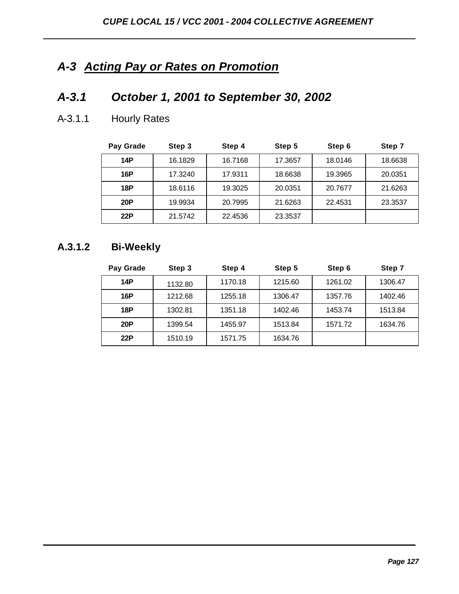# *A-3 Acting Pay or Rates on Promotion*

# *A-3.1 October 1, 2001 to September 30, 2002*

### A-3.1.1 Hourly Rates

| Pay Grade | Step 3  | Step 4  | Step 5  | Step 6  | Step 7  |
|-----------|---------|---------|---------|---------|---------|
| 14P       | 16.1829 | 16.7168 | 17.3657 | 18.0146 | 18.6638 |
| 16P       | 17.3240 | 17.9311 | 18.6638 | 19.3965 | 20.0351 |
| 18P       | 18.6116 | 19.3025 | 20.0351 | 20.7677 | 21.6263 |
| 20P       | 19.9934 | 20.7995 | 21.6263 | 22.4531 | 23.3537 |
| 22P       | 21.5742 | 22.4536 | 23.3537 |         |         |

### **A.3.1.2 Bi-Weekly**

| Pay Grade | Step 3  | Step 4  | Step 5  | Step 6  | Step 7  |
|-----------|---------|---------|---------|---------|---------|
| 14P       | 1132.80 | 1170.18 | 1215.60 | 1261.02 | 1306.47 |
| 16P       | 1212.68 | 1255.18 | 1306.47 | 1357.76 | 1402.46 |
| 18P       | 1302.81 | 1351.18 | 1402.46 | 1453.74 | 1513.84 |
| 20P       | 1399.54 | 1455.97 | 1513.84 | 1571.72 | 1634.76 |
| 22P       | 1510.19 | 1571.75 | 1634.76 |         |         |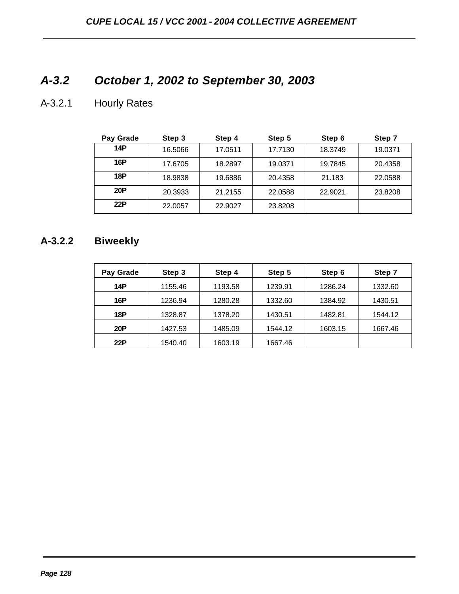# *A-3.2 October 1, 2002 to September 30, 2003*

## A-3.2.1 Hourly Rates

| <b>Pay Grade</b> | Step 3  | Step 4  | Step 5  | Step 6  | Step 7  |
|------------------|---------|---------|---------|---------|---------|
| 14P              | 16.5066 | 17.0511 | 17.7130 | 18.3749 | 19.0371 |
| 16P              | 17.6705 | 18.2897 | 19.0371 | 19.7845 | 20.4358 |
| 18P              | 18.9838 | 19.6886 | 20.4358 | 21.183  | 22.0588 |
| 20P              | 20.3933 | 21.2155 | 22.0588 | 22.9021 | 23.8208 |
| 22P              | 22.0057 | 22.9027 | 23.8208 |         |         |

# **A-3.2.2 Biweekly**

| Pay Grade | Step 3  | Step 4  | Step 5  | Step 6  | Step 7  |
|-----------|---------|---------|---------|---------|---------|
| 14P       | 1155.46 | 1193.58 | 1239.91 | 1286.24 | 1332.60 |
| 16P       | 1236.94 | 1280.28 | 1332.60 | 1384.92 | 1430.51 |
| 18P       | 1328.87 | 1378.20 | 1430.51 | 1482.81 | 1544.12 |
| 20P       | 1427.53 | 1485.09 | 1544.12 | 1603.15 | 1667.46 |
| 22P       | 1540.40 | 1603.19 | 1667.46 |         |         |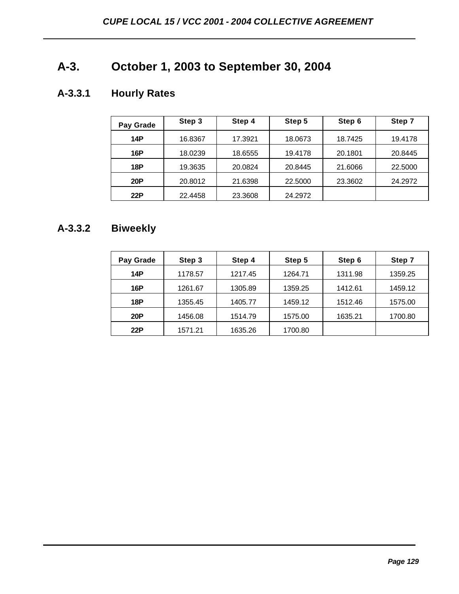# **A-3. October 1, 2003 to September 30, 2004**

# **A-3.3.1 Hourly Rates**

| Pay Grade  | Step 3  | Step 4  | Step 5  | Step 6  | Step 7  |
|------------|---------|---------|---------|---------|---------|
| 14P        | 16.8367 | 17.3921 | 18.0673 | 18.7425 | 19.4178 |
| 16P        | 18.0239 | 18.6555 | 19.4178 | 20.1801 | 20.8445 |
| 18P        | 19.3635 | 20.0824 | 20.8445 | 21.6066 | 22.5000 |
| <b>20P</b> | 20.8012 | 21.6398 | 22,5000 | 23.3602 | 24.2972 |
| 22P        | 22.4458 | 23.3608 | 24.2972 |         |         |

# **A-3.3.2 Biweekly**

| Pay Grade | Step 3  | Step 4  | Step 5  | Step 6  | Step 7  |
|-----------|---------|---------|---------|---------|---------|
| 14P       | 1178.57 | 1217.45 | 1264.71 | 1311.98 | 1359.25 |
| 16P       | 1261.67 | 1305.89 | 1359.25 | 1412.61 | 1459.12 |
| 18P       | 1355.45 | 1405.77 | 1459.12 | 1512.46 | 1575.00 |
| 20P       | 1456.08 | 1514.79 | 1575.00 | 1635.21 | 1700.80 |
| 22P       | 1571.21 | 1635.26 | 1700.80 |         |         |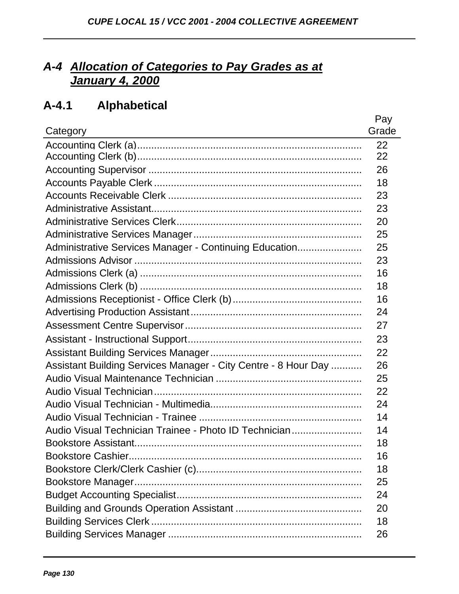# *A-4 Allocation of Categories to Pay Grades as at January 4, 2000*

# **A-4.1 Alphabetical**

|                                                                | Pay   |
|----------------------------------------------------------------|-------|
| Category                                                       | Grade |
|                                                                | 22    |
|                                                                | 22    |
|                                                                | 26    |
|                                                                | 18    |
|                                                                | 23    |
|                                                                | 23    |
|                                                                | 20    |
|                                                                | 25    |
| Administrative Services Manager - Continuing Education         | 25    |
|                                                                | 23    |
|                                                                | 16    |
|                                                                | 18    |
|                                                                | 16    |
|                                                                | 24    |
|                                                                | 27    |
|                                                                | 23    |
|                                                                | 22    |
| Assistant Building Services Manager - City Centre - 8 Hour Day | 26    |
|                                                                | 25    |
|                                                                | 22    |
|                                                                | 24    |
|                                                                | 14    |
| Audio Visual Technician Trainee - Photo ID Technician          | 14    |
|                                                                | 18    |
|                                                                | 16    |
|                                                                | 18    |
|                                                                | 25    |
|                                                                | 24    |
|                                                                | 20    |
|                                                                | 18    |
|                                                                | 26    |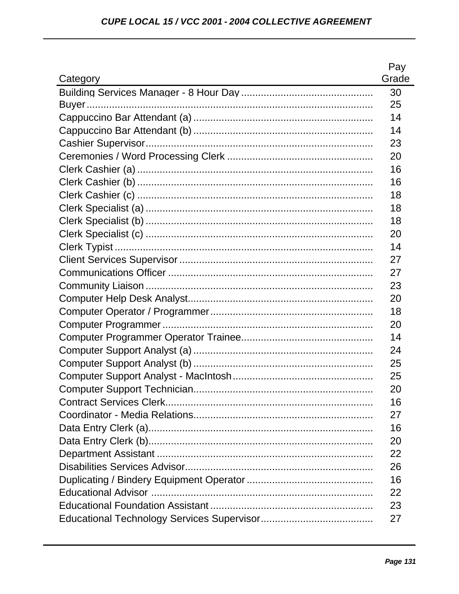|          | Pay   |
|----------|-------|
| Category | Grade |
|          | 30    |
|          | 25    |
|          | 14    |
|          | 14    |
|          | 23    |
|          | 20    |
|          | 16    |
|          | 16    |
|          | 18    |
|          | 18    |
|          | 18    |
|          | 20    |
|          | 14    |
|          | 27    |
|          | 27    |
|          | 23    |
|          | 20    |
|          | 18    |
|          | 20    |
|          | 14    |
|          | 24    |
|          | 25    |
|          | 25    |
|          | 20    |
|          | 16    |
|          | 27    |
|          | 16    |
|          | 20    |
|          | 22    |
|          | 26    |
|          | 16    |
|          | 22    |
|          | 23    |
|          | 27    |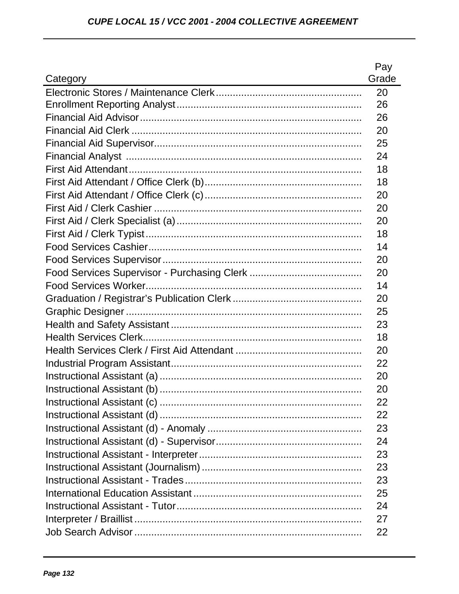|          | Pay   |
|----------|-------|
| Category | Grade |
|          | 20    |
|          | 26    |
|          | 26    |
|          | 20    |
|          | 25    |
|          | 24    |
|          | 18    |
|          | 18    |
|          | 20    |
|          | 20    |
|          | 20    |
|          | 18    |
|          | 14    |
|          | 20    |
|          | 20    |
|          | 14    |
|          | 20    |
|          | 25    |
|          | 23    |
|          | 18    |
|          | 20    |
|          | 22    |
|          | 20    |
|          | 20    |
|          | 22    |
|          | 22    |
|          | 23    |
|          | 24    |
|          | 23    |
|          | 23    |
|          | 23    |
|          | 25    |
|          | 24    |
|          | 27    |
|          | 22    |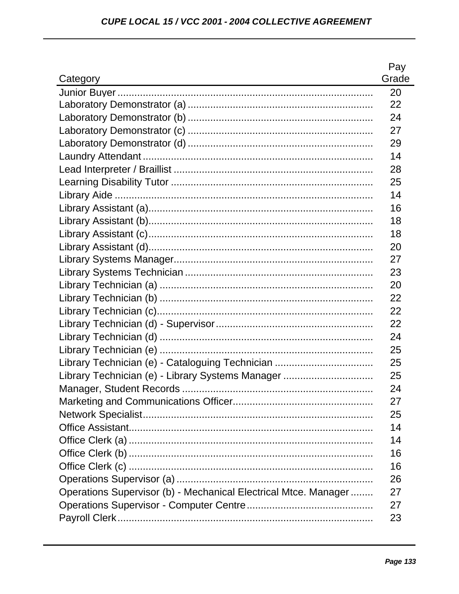|                                                                                                                                  | Pay   |
|----------------------------------------------------------------------------------------------------------------------------------|-------|
| Category<br><u> 1980 - Johann Barbara, martxa alemaniar argametar a contra a contra a contra a contra a contra a contra a co</u> | Grade |
|                                                                                                                                  | 20    |
|                                                                                                                                  | 22    |
|                                                                                                                                  | 24    |
|                                                                                                                                  | 27    |
|                                                                                                                                  | 29    |
|                                                                                                                                  | 14    |
|                                                                                                                                  | 28    |
|                                                                                                                                  | 25    |
|                                                                                                                                  | 14    |
|                                                                                                                                  | 16    |
|                                                                                                                                  | 18    |
|                                                                                                                                  | 18    |
|                                                                                                                                  | 20    |
|                                                                                                                                  | 27    |
|                                                                                                                                  | 23    |
|                                                                                                                                  | 20    |
|                                                                                                                                  | 22    |
|                                                                                                                                  | 22    |
|                                                                                                                                  | 22    |
|                                                                                                                                  | 24    |
|                                                                                                                                  | 25    |
|                                                                                                                                  | 25    |
| Library Technician (e) - Library Systems Manager                                                                                 | 25    |
|                                                                                                                                  | 24    |
|                                                                                                                                  | 27    |
|                                                                                                                                  | 25    |
|                                                                                                                                  | 14    |
|                                                                                                                                  | 14    |
|                                                                                                                                  | 16    |
|                                                                                                                                  | 16    |
|                                                                                                                                  | 26    |
| Operations Supervisor (b) - Mechanical Electrical Mtce. Manager                                                                  | 27    |
|                                                                                                                                  | 27    |
|                                                                                                                                  | 23    |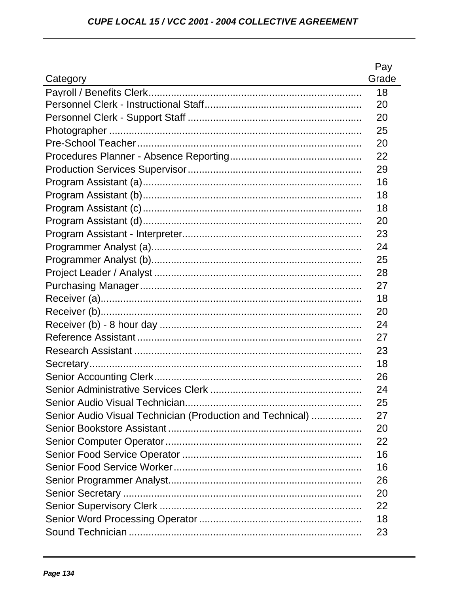|                                                           | Pay   |
|-----------------------------------------------------------|-------|
| Category                                                  | Grade |
|                                                           | 18    |
|                                                           | 20    |
|                                                           | 20    |
|                                                           | 25    |
|                                                           | 20    |
|                                                           | 22    |
|                                                           | 29    |
|                                                           | 16    |
|                                                           | 18    |
|                                                           | 18    |
|                                                           | 20    |
|                                                           | 23    |
|                                                           | 24    |
|                                                           | 25    |
|                                                           | 28    |
|                                                           | 27    |
|                                                           | 18    |
|                                                           | 20    |
|                                                           | 24    |
|                                                           | 27    |
|                                                           | 23    |
|                                                           | 18    |
|                                                           | 26    |
|                                                           | 24    |
|                                                           | 25    |
| Senior Audio Visual Technician (Production and Technical) | 27    |
|                                                           | 20    |
|                                                           | 22    |
|                                                           | 16    |
|                                                           | 16    |
|                                                           | 26    |
|                                                           | 20    |
|                                                           | 22    |
|                                                           | 18    |
|                                                           | 23    |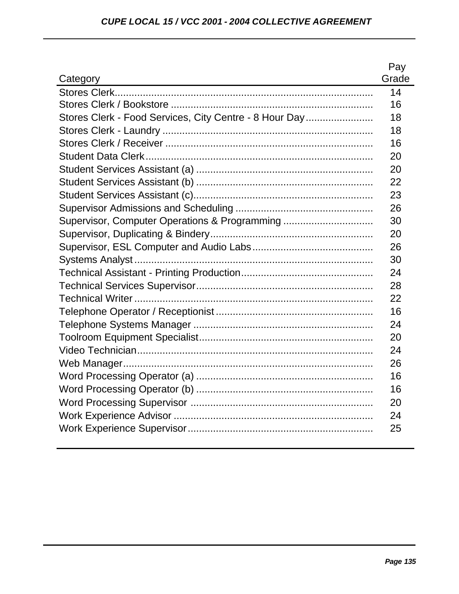#### *CUPE LOCAL 15 / VCC 2001 - 2004 COLLECTIVE AGREEMENT*

|                                                        | Pay   |
|--------------------------------------------------------|-------|
| Category                                               | Grade |
|                                                        | 14    |
|                                                        | 16    |
| Stores Clerk - Food Services, City Centre - 8 Hour Day | 18    |
|                                                        | 18    |
|                                                        | 16    |
|                                                        | 20    |
|                                                        | 20    |
|                                                        | 22    |
|                                                        | 23    |
|                                                        | 26    |
|                                                        | 30    |
|                                                        | 20    |
|                                                        | 26    |
|                                                        | 30    |
|                                                        | 24    |
|                                                        | 28    |
|                                                        | 22    |
|                                                        | 16    |
|                                                        | 24    |
|                                                        | 20    |
|                                                        | 24    |
|                                                        | 26    |
|                                                        | 16    |
|                                                        | 16    |
|                                                        | 20    |
|                                                        | 24    |
|                                                        | 25    |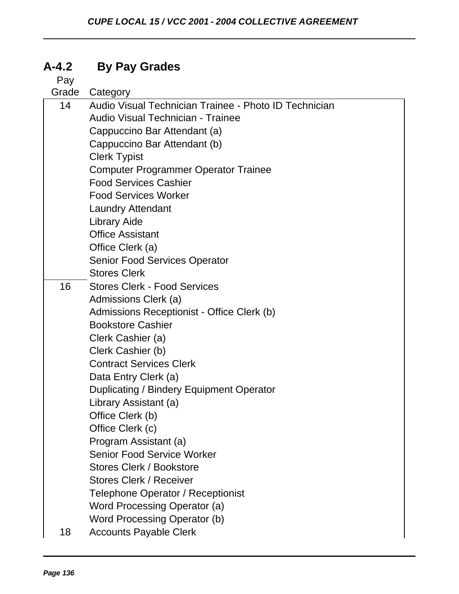# **A-4.2 By Pay Grades**

Pay

Grade Category

| 14 | Audio Visual Technician Trainee - Photo ID Technician |
|----|-------------------------------------------------------|
|    | Audio Visual Technician - Trainee                     |
|    | Cappuccino Bar Attendant (a)                          |
|    | Cappuccino Bar Attendant (b)                          |
|    | <b>Clerk Typist</b>                                   |
|    | <b>Computer Programmer Operator Trainee</b>           |
|    | <b>Food Services Cashier</b>                          |
|    | <b>Food Services Worker</b>                           |
|    | <b>Laundry Attendant</b>                              |
|    | <b>Library Aide</b>                                   |
|    | <b>Office Assistant</b>                               |
|    | Office Clerk (a)                                      |
|    | <b>Senior Food Services Operator</b>                  |
|    | <b>Stores Clerk</b>                                   |
| 16 | <b>Stores Clerk - Food Services</b>                   |
|    | Admissions Clerk (a)                                  |
|    | Admissions Receptionist - Office Clerk (b)            |
|    | <b>Bookstore Cashier</b>                              |
|    | Clerk Cashier (a)                                     |
|    | Clerk Cashier (b)                                     |
|    | <b>Contract Services Clerk</b>                        |
|    | Data Entry Clerk (a)                                  |
|    | Duplicating / Bindery Equipment Operator              |
|    | Library Assistant (a)                                 |
|    | Office Clerk (b)                                      |
|    | Office Clerk (c)                                      |
|    | Program Assistant (a)                                 |
|    | <b>Senior Food Service Worker</b>                     |
|    | Stores Clerk / Bookstore                              |
|    | Stores Clerk / Receiver                               |
|    | Telephone Operator / Receptionist                     |
|    | Word Processing Operator (a)                          |
|    | Word Processing Operator (b)                          |
| 18 | <b>Accounts Payable Clerk</b>                         |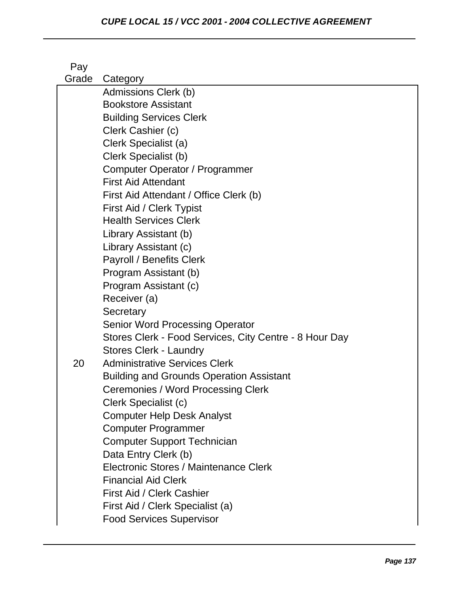| Pay   |                                                        |
|-------|--------------------------------------------------------|
| Grade | Category                                               |
|       | Admissions Clerk (b)                                   |
|       | <b>Bookstore Assistant</b>                             |
|       | <b>Building Services Clerk</b>                         |
|       | Clerk Cashier (c)                                      |
|       | Clerk Specialist (a)                                   |
|       | Clerk Specialist (b)                                   |
|       | Computer Operator / Programmer                         |
|       | <b>First Aid Attendant</b>                             |
|       | First Aid Attendant / Office Clerk (b)                 |
|       | First Aid / Clerk Typist                               |
|       | <b>Health Services Clerk</b>                           |
|       | Library Assistant (b)                                  |
|       | Library Assistant (c)                                  |
|       | <b>Payroll / Benefits Clerk</b>                        |
|       | Program Assistant (b)                                  |
|       | Program Assistant (c)                                  |
|       | Receiver (a)                                           |
|       | Secretary                                              |
|       | <b>Senior Word Processing Operator</b>                 |
|       | Stores Clerk - Food Services, City Centre - 8 Hour Day |
|       | <b>Stores Clerk - Laundry</b>                          |
| 20    | <b>Administrative Services Clerk</b>                   |
|       | <b>Building and Grounds Operation Assistant</b>        |
|       | <b>Ceremonies / Word Processing Clerk</b>              |
|       | Clerk Specialist (c)                                   |
|       | <b>Computer Help Desk Analyst</b>                      |
|       | <b>Computer Programmer</b>                             |
|       | <b>Computer Support Technician</b>                     |
|       | Data Entry Clerk (b)                                   |
|       | Electronic Stores / Maintenance Clerk                  |
|       | <b>Financial Aid Clerk</b>                             |
|       | First Aid / Clerk Cashier                              |
|       | First Aid / Clerk Specialist (a)                       |
|       | <b>Food Services Supervisor</b>                        |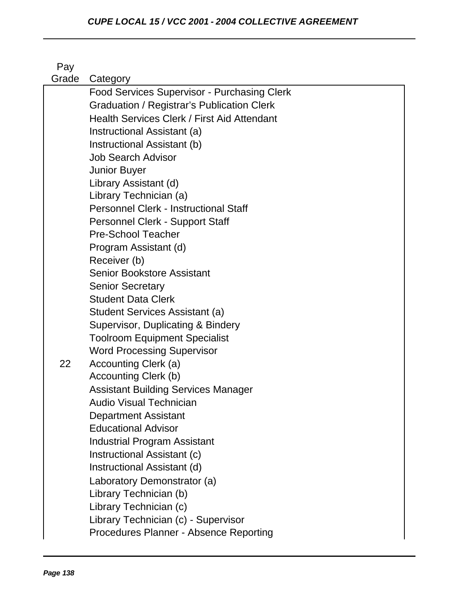| Pay   |                                                    |
|-------|----------------------------------------------------|
| Grade | Category                                           |
|       | <b>Food Services Supervisor - Purchasing Clerk</b> |
|       | <b>Graduation / Registrar's Publication Clerk</b>  |
|       | Health Services Clerk / First Aid Attendant        |
|       | Instructional Assistant (a)                        |
|       | Instructional Assistant (b)                        |
|       | <b>Job Search Advisor</b>                          |
|       | <b>Junior Buyer</b>                                |
|       | Library Assistant (d)                              |
|       | Library Technician (a)                             |
|       | <b>Personnel Clerk - Instructional Staff</b>       |
|       | <b>Personnel Clerk - Support Staff</b>             |
|       | <b>Pre-School Teacher</b>                          |
|       | Program Assistant (d)                              |
|       | Receiver (b)                                       |
|       | <b>Senior Bookstore Assistant</b>                  |
|       | <b>Senior Secretary</b>                            |
|       | <b>Student Data Clerk</b>                          |
|       | Student Services Assistant (a)                     |
|       | Supervisor, Duplicating & Bindery                  |
|       | <b>Toolroom Equipment Specialist</b>               |
|       | <b>Word Processing Supervisor</b>                  |
| 22    | Accounting Clerk (a)                               |
|       | Accounting Clerk (b)                               |
|       | <b>Assistant Building Services Manager</b>         |
|       | <b>Audio Visual Technician</b>                     |
|       | <b>Department Assistant</b>                        |
|       | <b>Educational Advisor</b>                         |
|       | <b>Industrial Program Assistant</b>                |
|       | Instructional Assistant (c)                        |
|       | Instructional Assistant (d)                        |
|       | Laboratory Demonstrator (a)                        |
|       | Library Technician (b)                             |
|       | Library Technician (c)                             |
|       | Library Technician (c) - Supervisor                |
|       | Procedures Planner - Absence Reporting             |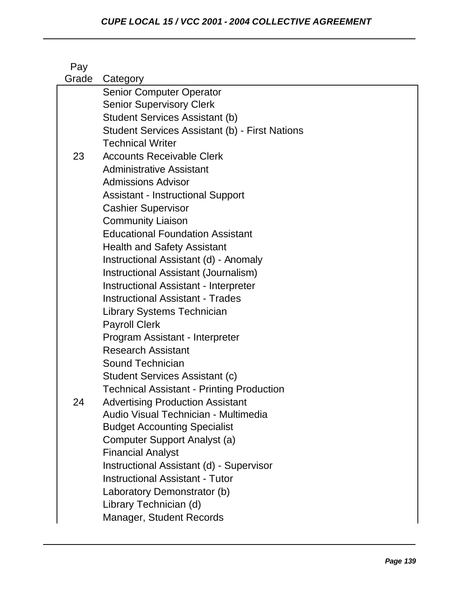| Pay   |                                                  |
|-------|--------------------------------------------------|
| Grade | Category                                         |
|       | <b>Senior Computer Operator</b>                  |
|       | <b>Senior Supervisory Clerk</b>                  |
|       | Student Services Assistant (b)                   |
|       | Student Services Assistant (b) - First Nations   |
|       | <b>Technical Writer</b>                          |
| 23    | <b>Accounts Receivable Clerk</b>                 |
|       | <b>Administrative Assistant</b>                  |
|       | <b>Admissions Advisor</b>                        |
|       | <b>Assistant - Instructional Support</b>         |
|       | <b>Cashier Supervisor</b>                        |
|       | <b>Community Liaison</b>                         |
|       | <b>Educational Foundation Assistant</b>          |
|       | <b>Health and Safety Assistant</b>               |
|       | Instructional Assistant (d) - Anomaly            |
|       | Instructional Assistant (Journalism)             |
|       | <b>Instructional Assistant - Interpreter</b>     |
|       | <b>Instructional Assistant - Trades</b>          |
|       | <b>Library Systems Technician</b>                |
|       | <b>Payroll Clerk</b>                             |
|       | Program Assistant - Interpreter                  |
|       | <b>Research Assistant</b>                        |
|       | Sound Technician                                 |
|       | Student Services Assistant (c)                   |
|       | <b>Technical Assistant - Printing Production</b> |
| 24    | <b>Advertising Production Assistant</b>          |
|       | Audio Visual Technician - Multimedia             |
|       | <b>Budget Accounting Specialist</b>              |
|       | Computer Support Analyst (a)                     |
|       | <b>Financial Analyst</b>                         |
|       | Instructional Assistant (d) - Supervisor         |
|       | <b>Instructional Assistant - Tutor</b>           |
|       | Laboratory Demonstrator (b)                      |
|       | Library Technician (d)                           |
|       | Manager, Student Records                         |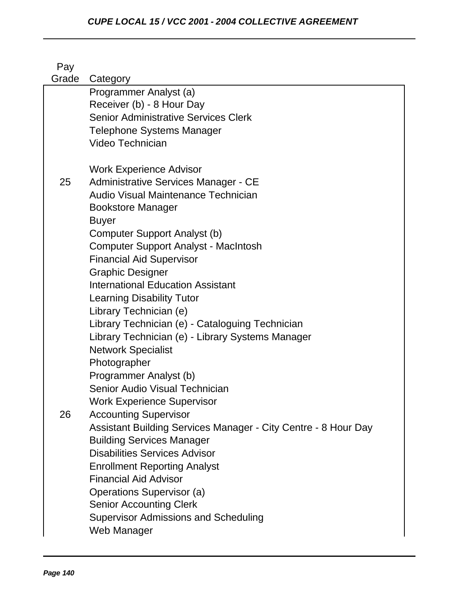| Pay   |                                                                |
|-------|----------------------------------------------------------------|
| Grade | Category                                                       |
|       | Programmer Analyst (a)                                         |
|       | Receiver (b) - 8 Hour Day                                      |
|       | <b>Senior Administrative Services Clerk</b>                    |
|       | <b>Telephone Systems Manager</b>                               |
|       | Video Technician                                               |
|       | <b>Work Experience Advisor</b>                                 |
| 25    | Administrative Services Manager - CE                           |
|       | Audio Visual Maintenance Technician                            |
|       | <b>Bookstore Manager</b>                                       |
|       | <b>Buyer</b>                                                   |
|       | Computer Support Analyst (b)                                   |
|       | <b>Computer Support Analyst - MacIntosh</b>                    |
|       | <b>Financial Aid Supervisor</b>                                |
|       | <b>Graphic Designer</b>                                        |
|       | <b>International Education Assistant</b>                       |
|       | <b>Learning Disability Tutor</b>                               |
|       | Library Technician (e)                                         |
|       | Library Technician (e) - Cataloguing Technician                |
|       | Library Technician (e) - Library Systems Manager               |
|       | <b>Network Specialist</b>                                      |
|       | Photographer                                                   |
|       | Programmer Analyst (b)                                         |
|       | Senior Audio Visual Technician                                 |
|       | <b>Work Experience Supervisor</b>                              |
| 26    | <b>Accounting Supervisor</b>                                   |
|       | Assistant Building Services Manager - City Centre - 8 Hour Day |
|       | <b>Building Services Manager</b>                               |
|       | <b>Disabilities Services Advisor</b>                           |
|       | <b>Enrollment Reporting Analyst</b>                            |
|       | <b>Financial Aid Advisor</b>                                   |
|       | Operations Supervisor (a)                                      |
|       | <b>Senior Accounting Clerk</b>                                 |
|       | <b>Supervisor Admissions and Scheduling</b>                    |
|       | Web Manager                                                    |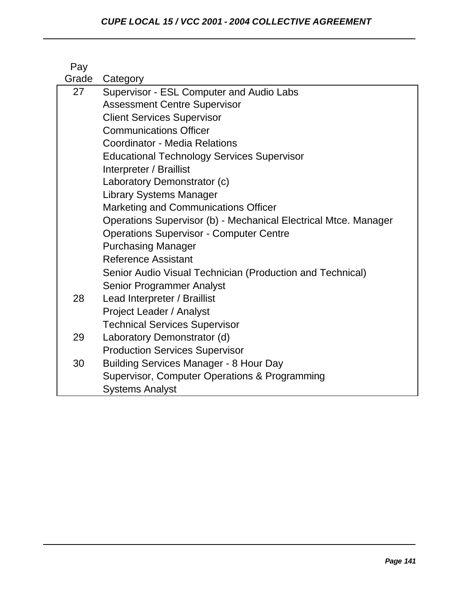| Pay   |                                                                 |
|-------|-----------------------------------------------------------------|
| Grade | Category                                                        |
| 27    | Supervisor - ESL Computer and Audio Labs                        |
|       | <b>Assessment Centre Supervisor</b>                             |
|       | <b>Client Services Supervisor</b>                               |
|       | <b>Communications Officer</b>                                   |
|       | Coordinator - Media Relations                                   |
|       | <b>Educational Technology Services Supervisor</b>               |
|       | Interpreter / Braillist                                         |
|       | Laboratory Demonstrator (c)                                     |
|       | <b>Library Systems Manager</b>                                  |
|       | Marketing and Communications Officer                            |
|       | Operations Supervisor (b) - Mechanical Electrical Mtce. Manager |
|       | <b>Operations Supervisor - Computer Centre</b>                  |
|       | <b>Purchasing Manager</b>                                       |
|       | <b>Reference Assistant</b>                                      |
|       | Senior Audio Visual Technician (Production and Technical)       |
|       | <b>Senior Programmer Analyst</b>                                |
| 28    | Lead Interpreter / Braillist                                    |
|       | <b>Project Leader / Analyst</b>                                 |
|       | <b>Technical Services Supervisor</b>                            |
| 29    | Laboratory Demonstrator (d)                                     |
|       | <b>Production Services Supervisor</b>                           |
| 30    | <b>Building Services Manager - 8 Hour Day</b>                   |
|       | Supervisor, Computer Operations & Programming                   |
|       | <b>Systems Analyst</b>                                          |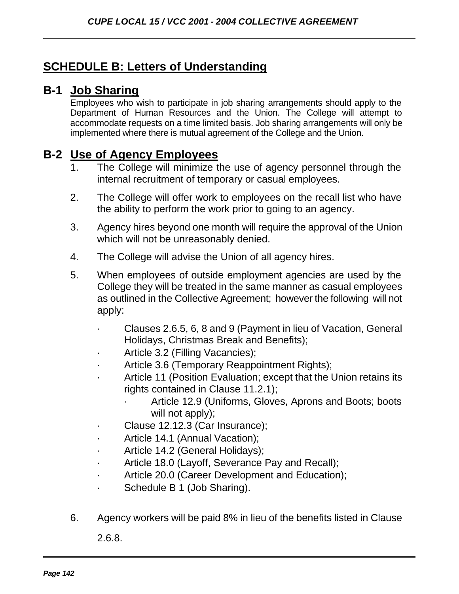# **SCHEDULE B: Letters of Understanding**

## **B-1 Job Sharing**

Employees who wish to participate in job sharing arrangements should apply to the Department of Human Resources and the Union. The College will attempt to accommodate requests on a time limited basis. Job sharing arrangements will only be implemented where there is mutual agreement of the College and the Union.

# **B-2 Use of Agency Employees**

- 1. The College will minimize the use of agency personnel through the internal recruitment of temporary or casual employees.
- 2. The College will offer work to employees on the recall list who have the ability to perform the work prior to going to an agency.
- 3. Agency hires beyond one month will require the approval of the Union which will not be unreasonably denied.
- 4. The College will advise the Union of all agency hires.
- 5. When employees of outside employment agencies are used by the College they will be treated in the same manner as casual employees as outlined in the Collective Agreement; however the following will not apply:
	- · Clauses 2.6.5, 6, 8 and 9 (Payment in lieu of Vacation, General Holidays, Christmas Break and Benefits);
	- Article 3.2 (Filling Vacancies);
	- Article 3.6 (Temporary Reappointment Rights);
	- Article 11 (Position Evaluation; except that the Union retains its rights contained in Clause 11.2.1);
		- Article 12.9 (Uniforms, Gloves, Aprons and Boots; boots will not apply);
	- · Clause 12.12.3 (Car Insurance);
	- Article 14.1 (Annual Vacation);
	- Article 14.2 (General Holidays);
	- Article 18.0 (Layoff, Severance Pay and Recall);
	- Article 20.0 (Career Development and Education);
	- · Schedule B 1 (Job Sharing).
- 6. Agency workers will be paid 8% in lieu of the benefits listed in Clause

2.6.8.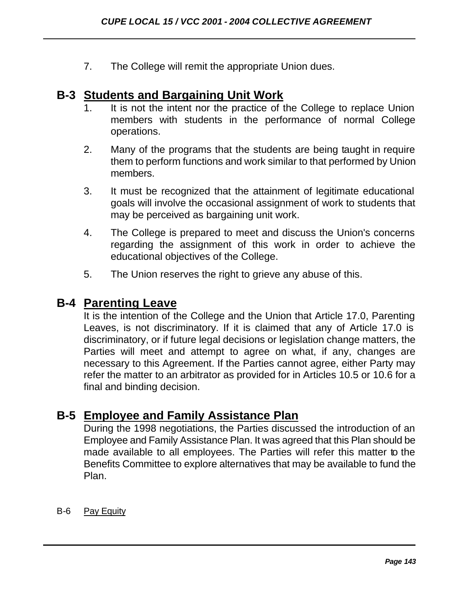7. The College will remit the appropriate Union dues.

# **B-3 Students and Bargaining Unit Work**

- 1. It is not the intent nor the practice of the College to replace Union members with students in the performance of normal College operations.
- 2. Many of the programs that the students are being taught in require them to perform functions and work similar to that performed by Union members.
- 3. It must be recognized that the attainment of legitimate educational goals will involve the occasional assignment of work to students that may be perceived as bargaining unit work.
- 4. The College is prepared to meet and discuss the Union's concerns regarding the assignment of this work in order to achieve the educational objectives of the College.
- 5. The Union reserves the right to grieve any abuse of this.

# **B-4 Parenting Leave**

It is the intention of the College and the Union that Article 17.0, Parenting Leaves, is not discriminatory. If it is claimed that any of Article 17.0 is discriminatory, or if future legal decisions or legislation change matters, the Parties will meet and attempt to agree on what, if any, changes are necessary to this Agreement. If the Parties cannot agree, either Party may refer the matter to an arbitrator as provided for in Articles 10.5 or 10.6 for a final and binding decision.

# **B-5 Employee and Family Assistance Plan**

During the 1998 negotiations, the Parties discussed the introduction of an Employee and Family Assistance Plan. It was agreed that this Plan should be made available to all employees. The Parties will refer this matter to the Benefits Committee to explore alternatives that may be available to fund the Plan.

#### B-6 Pay Equity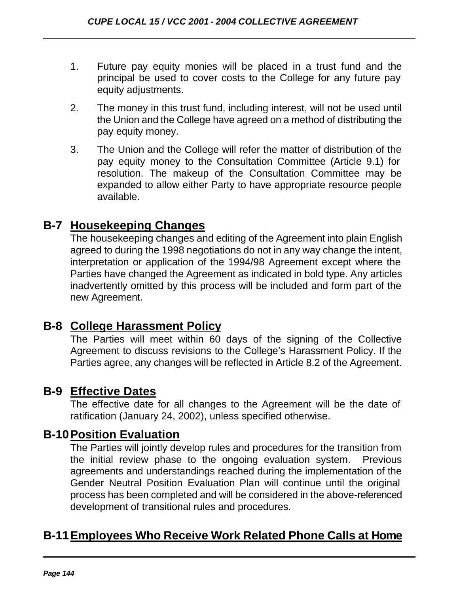- 1. Future pay equity monies will be placed in a trust fund and the principal be used to cover costs to the College for any future pay equity adjustments.
- 2. The money in this trust fund, including interest, will not be used until the Union and the College have agreed on a method of distributing the pay equity money.
- 3. The Union and the College will refer the matter of distribution of the pay equity money to the Consultation Committee (Article 9.1) for resolution. The makeup of the Consultation Committee may be expanded to allow either Party to have appropriate resource people available.

# **B-7 Housekeeping Changes**

The housekeeping changes and editing of the Agreement into plain English agreed to during the 1998 negotiations do not in any way change the intent, interpretation or application of the 1994/98 Agreement except where the Parties have changed the Agreement as indicated in bold type. Any articles inadvertently omitted by this process will be included and form part of the new Agreement.

# **B-8 College Harassment Policy**

The Parties will meet within 60 days of the signing of the Collective Agreement to discuss revisions to the College's Harassment Policy. If the Parties agree, any changes will be reflected in Article 8.2 of the Agreement.

# **B-9 Effective Dates**

The effective date for all changes to the Agreement will be the date of ratification (January 24, 2002), unless specified otherwise.

# **B-10Position Evaluation**

The Parties will jointly develop rules and procedures for the transition from the initial review phase to the ongoing evaluation system. Previous agreements and understandings reached during the implementation of the Gender Neutral Position Evaluation Plan will continue until the original process has been completed and will be considered in the above-referenced development of transitional rules and procedures.

# **B-11Employees Who Receive Work Related Phone Calls at Home**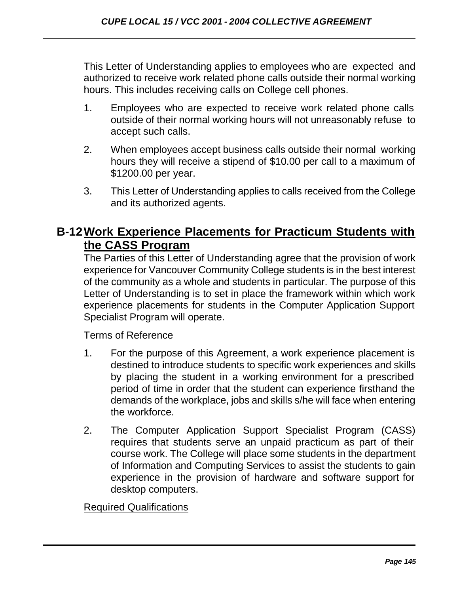This Letter of Understanding applies to employees who are expected and authorized to receive work related phone calls outside their normal working hours. This includes receiving calls on College cell phones.

- 1. Employees who are expected to receive work related phone calls outside of their normal working hours will not unreasonably refuse to accept such calls.
- 2. When employees accept business calls outside their normal working hours they will receive a stipend of \$10.00 per call to a maximum of \$1200.00 per year.
- 3. This Letter of Understanding applies to calls received from the College and its authorized agents.

# **B-12Work Experience Placements for Practicum Students with the CASS Program**

The Parties of this Letter of Understanding agree that the provision of work experience for Vancouver Community College students is in the best interest of the community as a whole and students in particular. The purpose of this Letter of Understanding is to set in place the framework within which work experience placements for students in the Computer Application Support Specialist Program will operate.

### Terms of Reference

- 1. For the purpose of this Agreement, a work experience placement is destined to introduce students to specific work experiences and skills by placing the student in a working environment for a prescribed period of time in order that the student can experience firsthand the demands of the workplace, jobs and skills s/he will face when entering the workforce.
- 2. The Computer Application Support Specialist Program (CASS) requires that students serve an unpaid practicum as part of their course work. The College will place some students in the department of Information and Computing Services to assist the students to gain experience in the provision of hardware and software support for desktop computers.

### Required Qualifications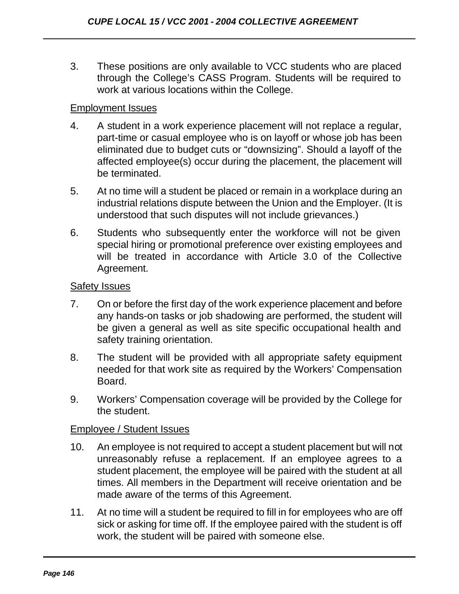3. These positions are only available to VCC students who are placed through the College's CASS Program. Students will be required to work at various locations within the College.

### Employment Issues

- 4. A student in a work experience placement will not replace a regular, part-time or casual employee who is on layoff or whose job has been eliminated due to budget cuts or "downsizing". Should a layoff of the affected employee(s) occur during the placement, the placement will be terminated.
- 5. At no time will a student be placed or remain in a workplace during an industrial relations dispute between the Union and the Employer. (It is understood that such disputes will not include grievances.)
- 6. Students who subsequently enter the workforce will not be given special hiring or promotional preference over existing employees and will be treated in accordance with Article 3.0 of the Collective Agreement.

### Safety Issues

- 7. On or before the first day of the work experience placement and before any hands-on tasks or job shadowing are performed, the student will be given a general as well as site specific occupational health and safety training orientation.
- 8. The student will be provided with all appropriate safety equipment needed for that work site as required by the Workers' Compensation Board.
- 9. Workers' Compensation coverage will be provided by the College for the student.

### Employee / Student Issues

- 10. An employee is not required to accept a student placement but will not unreasonably refuse a replacement. If an employee agrees to a student placement, the employee will be paired with the student at all times. All members in the Department will receive orientation and be made aware of the terms of this Agreement.
- 11. At no time will a student be required to fill in for employees who are off sick or asking for time off. If the employee paired with the student is off work, the student will be paired with someone else.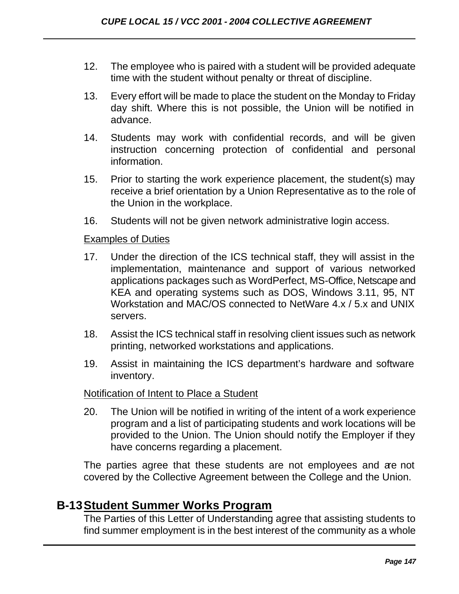- 12. The employee who is paired with a student will be provided adequate time with the student without penalty or threat of discipline.
- 13. Every effort will be made to place the student on the Monday to Friday day shift. Where this is not possible, the Union will be notified in advance.
- 14. Students may work with confidential records, and will be given instruction concerning protection of confidential and personal information.
- 15. Prior to starting the work experience placement, the student(s) may receive a brief orientation by a Union Representative as to the role of the Union in the workplace.
- 16. Students will not be given network administrative login access.

### Examples of Duties

- 17. Under the direction of the ICS technical staff, they will assist in the implementation, maintenance and support of various networked applications packages such as WordPerfect, MS-Office, Netscape and KEA and operating systems such as DOS, Windows 3.11, 95, NT Workstation and MAC/OS connected to NetWare 4.x / 5.x and UNIX servers.
- 18. Assist the ICS technical staff in resolving client issues such as network printing, networked workstations and applications.
- 19. Assist in maintaining the ICS department's hardware and software inventory.

### Notification of Intent to Place a Student

20. The Union will be notified in writing of the intent of a work experience program and a list of participating students and work locations will be provided to the Union. The Union should notify the Employer if they have concerns regarding a placement.

The parties agree that these students are not employees and are not covered by the Collective Agreement between the College and the Union.

# **B-13Student Summer Works Program**

The Parties of this Letter of Understanding agree that assisting students to find summer employment is in the best interest of the community as a whole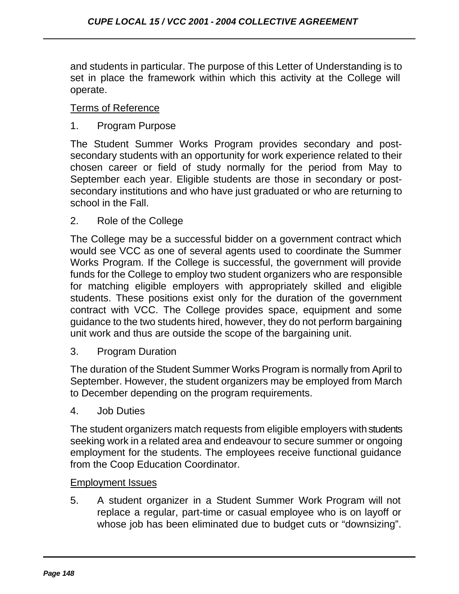and students in particular. The purpose of this Letter of Understanding is to set in place the framework within which this activity at the College will operate.

### Terms of Reference

1. Program Purpose

The Student Summer Works Program provides secondary and postsecondary students with an opportunity for work experience related to their chosen career or field of study normally for the period from May to September each year. Eligible students are those in secondary or postsecondary institutions and who have just graduated or who are returning to school in the Fall.

2. Role of the College

The College may be a successful bidder on a government contract which would see VCC as one of several agents used to coordinate the Summer Works Program. If the College is successful, the government will provide funds for the College to employ two student organizers who are responsible for matching eligible employers with appropriately skilled and eligible students. These positions exist only for the duration of the government contract with VCC. The College provides space, equipment and some guidance to the two students hired, however, they do not perform bargaining unit work and thus are outside the scope of the bargaining unit.

3. Program Duration

The duration of the Student Summer Works Program is normally from April to September. However, the student organizers may be employed from March to December depending on the program requirements.

4. Job Duties

The student organizers match requests from eligible employers with students seeking work in a related area and endeavour to secure summer or ongoing employment for the students. The employees receive functional guidance from the Coop Education Coordinator.

### Employment Issues

5. A student organizer in a Student Summer Work Program will not replace a regular, part-time or casual employee who is on layoff or whose job has been eliminated due to budget cuts or "downsizing".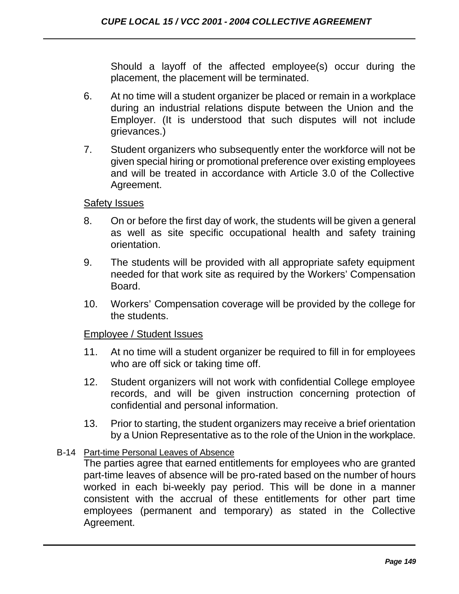Should a layoff of the affected employee(s) occur during the placement, the placement will be terminated.

- 6. At no time will a student organizer be placed or remain in a workplace during an industrial relations dispute between the Union and the Employer. (It is understood that such disputes will not include grievances.)
- 7. Student organizers who subsequently enter the workforce will not be given special hiring or promotional preference over existing employees and will be treated in accordance with Article 3.0 of the Collective Agreement.

### Safety Issues

- 8. On or before the first day of work, the students will be given a general as well as site specific occupational health and safety training orientation.
- 9. The students will be provided with all appropriate safety equipment needed for that work site as required by the Workers' Compensation Board.
- 10. Workers' Compensation coverage will be provided by the college for the students.

### Employee / Student Issues

- 11. At no time will a student organizer be required to fill in for employees who are off sick or taking time off.
- 12. Student organizers will not work with confidential College employee records, and will be given instruction concerning protection of confidential and personal information.
- 13. Prior to starting, the student organizers may receive a brief orientation by a Union Representative as to the role of the Union in the workplace.

### B-14 Part-time Personal Leaves of Absence

The parties agree that earned entitlements for employees who are granted part-time leaves of absence will be pro-rated based on the number of hours worked in each bi-weekly pay period. This will be done in a manner consistent with the accrual of these entitlements for other part time employees (permanent and temporary) as stated in the Collective Agreement.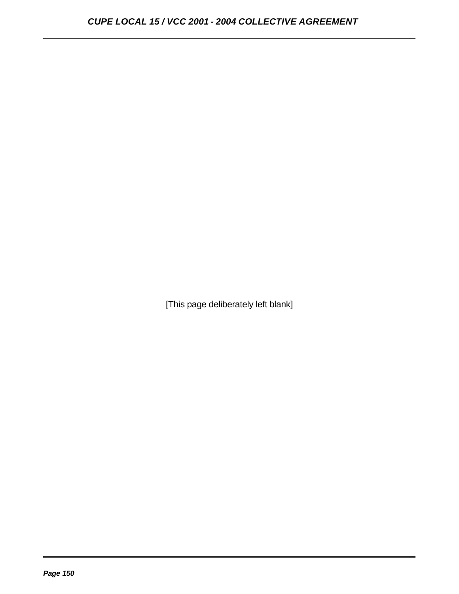[This page deliberately left blank]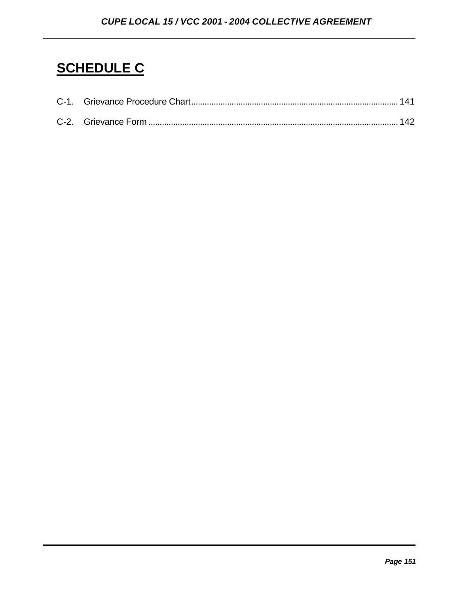# **SCHEDULE C**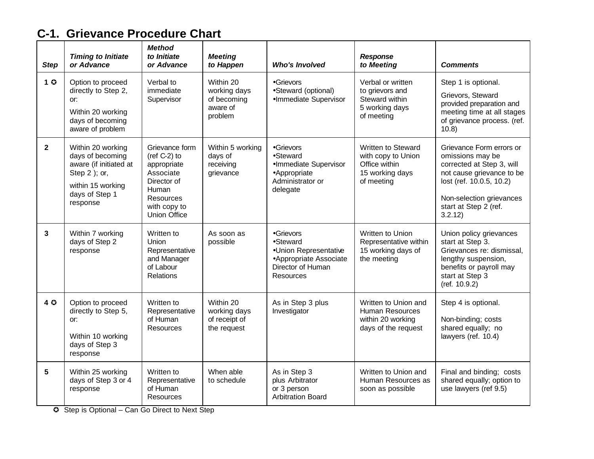# **C-1. Grievance Procedure Chart**

| <b>Step</b>    | <b>Timing to Initiate</b><br>or Advance                                                                                             | <b>Method</b><br>to Initiate<br>or Advance                                                                                               | <b>Meeting</b><br>to Happen                                     | <b>Who's Involved</b>                                                                                      | <b>Response</b><br>to Meeting                                                              | <b>Comments</b>                                                                                                                                                                                   |
|----------------|-------------------------------------------------------------------------------------------------------------------------------------|------------------------------------------------------------------------------------------------------------------------------------------|-----------------------------------------------------------------|------------------------------------------------------------------------------------------------------------|--------------------------------------------------------------------------------------------|---------------------------------------------------------------------------------------------------------------------------------------------------------------------------------------------------|
| 1 <sup>°</sup> | Option to proceed<br>directly to Step 2,<br>or:<br>Within 20 working<br>days of becoming<br>aware of problem                        | Verbal to<br>immediate<br>Supervisor                                                                                                     | Within 20<br>working days<br>of becoming<br>aware of<br>problem | •Grievors<br>•Steward (optional)<br>·Immediate Supervisor                                                  | Verbal or written<br>to grievors and<br>Steward within<br>5 working days<br>of meeting     | Step 1 is optional.<br>Grievors, Steward<br>provided preparation and<br>meeting time at all stages<br>of grievance process. (ref.<br>10.8                                                         |
| $\mathbf{2}$   | Within 20 working<br>days of becoming<br>aware (if initiated at<br>Step 2 ); or,<br>within 15 working<br>days of Step 1<br>response | Grievance form<br>$(ref C-2) to$<br>appropriate<br>Associate<br>Director of<br>Human<br>Resources<br>with copy to<br><b>Union Office</b> | Within 5 working<br>days of<br>receiving<br>grievance           | •Grievors<br>•Steward<br>·Immediate Supervisor<br>•Appropriate<br>Administrator or<br>delegate             | Written to Steward<br>with copy to Union<br>Office within<br>15 working days<br>of meeting | Grievance Form errors or<br>omissions may be<br>corrected at Step 3, will<br>not cause grievance to be<br>lost (ref. 10.0.5, 10.2)<br>Non-selection grievances<br>start at Step 2 (ref.<br>3.2.12 |
| 3              | Within 7 working<br>days of Step 2<br>response                                                                                      | Written to<br><b>Union</b><br>Representative<br>and Manager<br>of Labour<br><b>Relations</b>                                             | As soon as<br>possible                                          | •Grievors<br>•Steward<br>•Union Representative<br>•Appropriate Associate<br>Director of Human<br>Resources | Written to Union<br>Representative within<br>15 working days of<br>the meeting             | Union policy grievances<br>start at Step 3.<br>Grievances re: dismissal,<br>lengthy suspension,<br>benefits or payroll may<br>start at Step 3<br>(ref. 10.9.2)                                    |
| 4O             | Option to proceed<br>directly to Step 5,<br>or:<br>Within 10 working<br>days of Step 3<br>response                                  | Written to<br>Representative<br>of Human<br><b>Resources</b>                                                                             | Within 20<br>working days<br>of receipt of<br>the request       | As in Step 3 plus<br>Investigator                                                                          | Written to Union and<br><b>Human Resources</b><br>within 20 working<br>days of the request | Step 4 is optional.<br>Non-binding; costs<br>shared equally; no<br>lawyers (ref. 10.4)                                                                                                            |
| $5\phantom{1}$ | Within 25 working<br>days of Step 3 or 4<br>response                                                                                | Written to<br>Representative<br>of Human<br>Resources                                                                                    | When able<br>to schedule                                        | As in Step 3<br>plus Arbitrator<br>or 3 person<br><b>Arbitration Board</b>                                 | Written to Union and<br>Human Resources as<br>soon as possible                             | Final and binding; costs<br>shared equally; option to<br>use lawyers (ref 9.5)                                                                                                                    |

µ Step is Optional – Can Go Direct to Next Step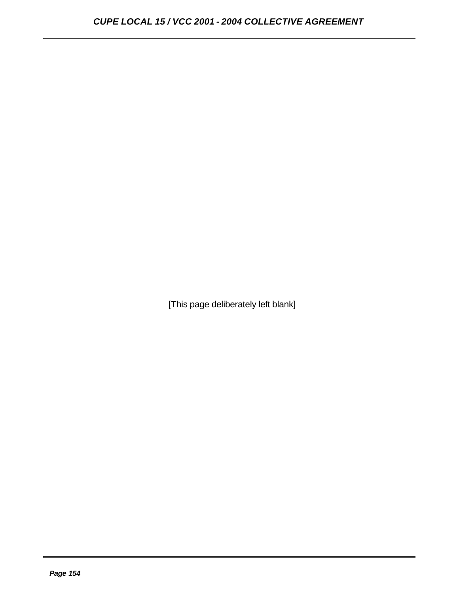[This page deliberately left blank]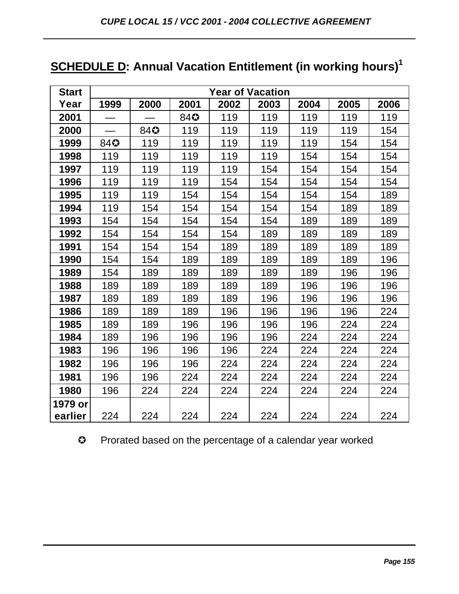| <b>Start</b> | <b>Year of Vacation</b> |      |      |      |      |      |      |      |
|--------------|-------------------------|------|------|------|------|------|------|------|
| Year         | 1999                    | 2000 | 2001 | 2002 | 2003 | 2004 | 2005 | 2006 |
| 2001         |                         |      | 84〇  | 119  | 119  | 119  | 119  | 119  |
| 2000         |                         | 84O  | 119  | 119  | 119  | 119  | 119  | 154  |
| 1999         | 84O                     | 119  | 119  | 119  | 119  | 119  | 154  | 154  |
| 1998         | 119                     | 119  | 119  | 119  | 119  | 154  | 154  | 154  |
| 1997         | 119                     | 119  | 119  | 119  | 154  | 154  | 154  | 154  |
| 1996         | 119                     | 119  | 119  | 154  | 154  | 154  | 154  | 154  |
| 1995         | 119                     | 119  | 154  | 154  | 154  | 154  | 154  | 189  |
| 1994         | 119                     | 154  | 154  | 154  | 154  | 154  | 189  | 189  |
| 1993         | 154                     | 154  | 154  | 154  | 154  | 189  | 189  | 189  |
| 1992         | 154                     | 154  | 154  | 154  | 189  | 189  | 189  | 189  |
| 1991         | 154                     | 154  | 154  | 189  | 189  | 189  | 189  | 189  |
| 1990         | 154                     | 154  | 189  | 189  | 189  | 189  | 189  | 196  |
| 1989         | 154                     | 189  | 189  | 189  | 189  | 189  | 196  | 196  |
| 1988         | 189                     | 189  | 189  | 189  | 189  | 196  | 196  | 196  |
| 1987         | 189                     | 189  | 189  | 189  | 196  | 196  | 196  | 196  |
| 1986         | 189                     | 189  | 189  | 196  | 196  | 196  | 196  | 224  |
| 1985         | 189                     | 189  | 196  | 196  | 196  | 196  | 224  | 224  |
| 1984         | 189                     | 196  | 196  | 196  | 196  | 224  | 224  | 224  |
| 1983         | 196                     | 196  | 196  | 196  | 224  | 224  | 224  | 224  |
| 1982         | 196                     | 196  | 196  | 224  | 224  | 224  | 224  | 224  |
| 1981         | 196                     | 196  | 224  | 224  | 224  | 224  | 224  | 224  |
| 1980         | 196                     | 224  | 224  | 224  | 224  | 224  | 224  | 224  |
| 1979 or      |                         |      |      |      |      |      |      |      |
| earlier      | 224                     | 224  | 224  | 224  | 224  | 224  | 224  | 224  |

# **SCHEDULE D: Annual Vacation Entitlement (in working hours)<sup>1</sup>**

# µ Prorated based on the percentage of a calendar year worked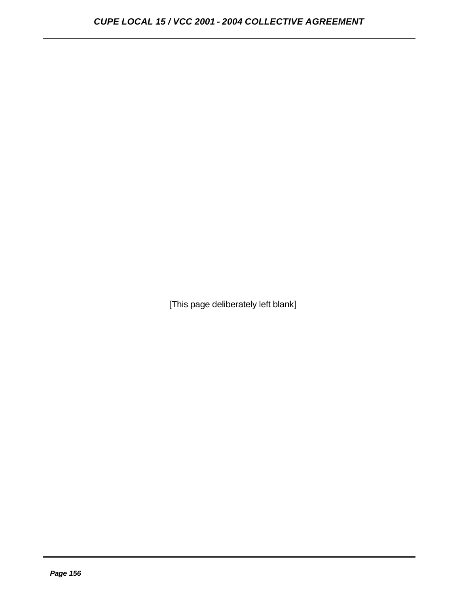[This page deliberately left blank]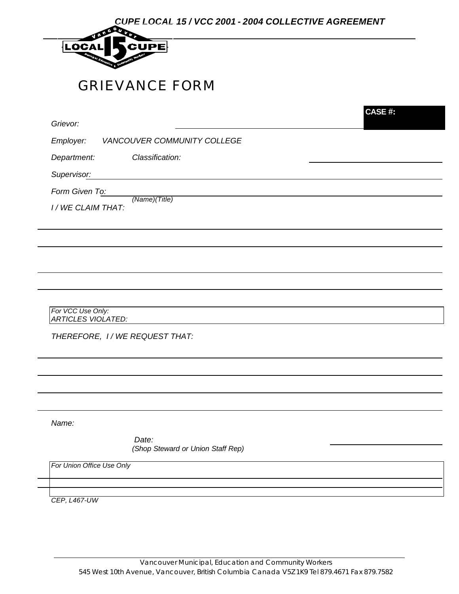| CUPE LOCAL 15 / VCC 2001 - 2004 COLLECTIVE AGREEMENT |        |
|------------------------------------------------------|--------|
| $\mathbf{z}_i$<br>CUTE<br>LOCAL                      |        |
| <b>GRIEVANCE FORM</b>                                |        |
| Grievor:                                             | CASE#: |
| Employer:<br>VANCOUVER COMMUNITY COLLEGE             |        |
| Classification:                                      |        |
| Department:                                          |        |
| Supervisor:                                          |        |
| Form Given To:<br>(Name)(Title)                      |        |
| I / WE CLAIM THAT:                                   |        |
|                                                      |        |
|                                                      |        |
|                                                      |        |
|                                                      |        |
|                                                      |        |
| For VCC Use Only:                                    |        |
| <b>ARTICLES VIOLATED:</b>                            |        |
| THEREFORE, I/WE REQUEST THAT:                        |        |
|                                                      |        |
|                                                      |        |
|                                                      |        |
|                                                      |        |
| Name:                                                |        |
| Date:                                                |        |
| (Shop Steward or Union Staff Rep)                    |        |
| For Union Office Use Only                            |        |

*CEP, L467-UW*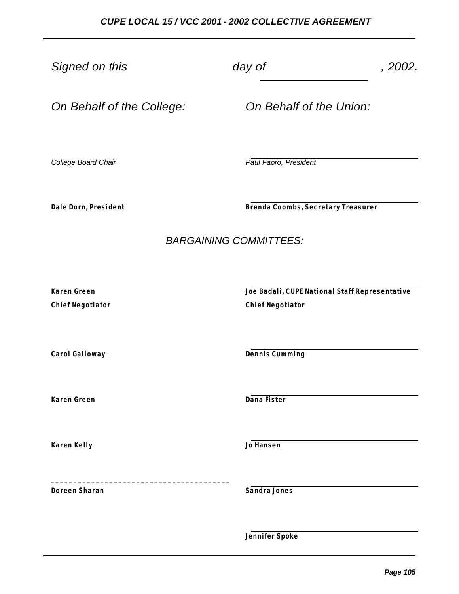| Signed on this                         | day of                                                                    | , 2002. |
|----------------------------------------|---------------------------------------------------------------------------|---------|
| On Behalf of the College:              | On Behalf of the Union:                                                   |         |
| College Board Chair                    | Paul Faoro, President                                                     |         |
| Dale Dorn, President                   | <b>Brenda Coombs, Secretary Treasurer</b>                                 |         |
|                                        | <b>BARGAINING COMMITTEES:</b>                                             |         |
| Karen Green<br><b>Chief Negotiator</b> | Joe Badali, CUPE National Staff Representative<br><b>Chief Negotiator</b> |         |
| Carol Galloway                         | <b>Dennis Cumming</b>                                                     |         |
| Karen Green                            | Dana Fister                                                               |         |
| Karen Kelly                            | Jo Hansen                                                                 |         |
| Doreen Sharan                          | Sandra Jones                                                              |         |
|                                        | Jennifer Spoke                                                            |         |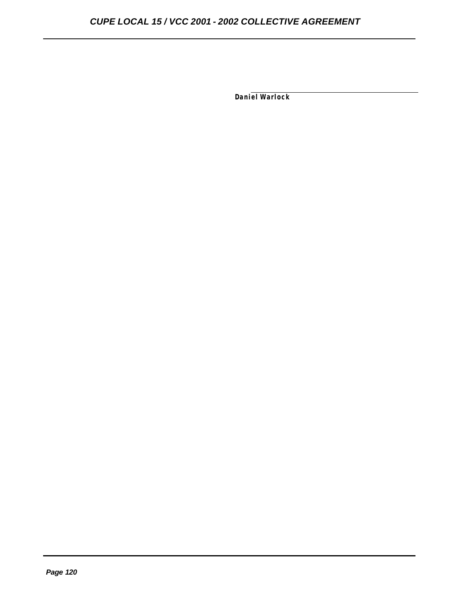*Daniel Warlock*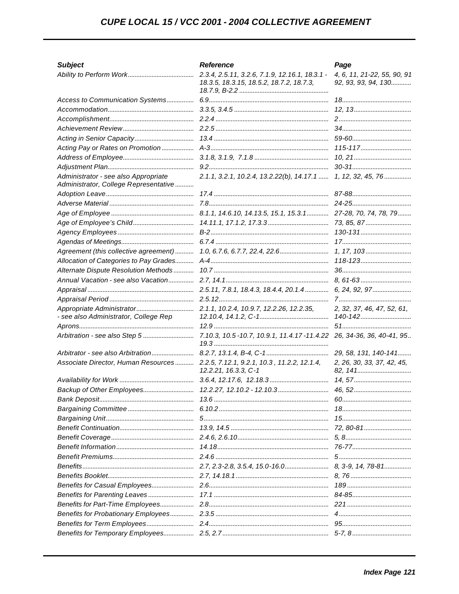| <b>Subject</b>                                                                | Reference                                                                                  | Page                                               |
|-------------------------------------------------------------------------------|--------------------------------------------------------------------------------------------|----------------------------------------------------|
|                                                                               | 2.3.4, 2.5.11, 3.2.6, 7.1.9, 12.16.1, 18.3.1 -<br>18.3.5, 18.3.15, 18.5.2, 18.7.2, 18.7.3, | 4, 6, 11, 21-22, 55, 90, 91<br>92, 93, 93, 94, 130 |
| Access to Communication Systems                                               |                                                                                            |                                                    |
|                                                                               |                                                                                            |                                                    |
|                                                                               |                                                                                            |                                                    |
|                                                                               |                                                                                            |                                                    |
|                                                                               |                                                                                            |                                                    |
| Acting Pay or Rates on Promotion                                              |                                                                                            | 115-117                                            |
|                                                                               |                                                                                            |                                                    |
|                                                                               |                                                                                            |                                                    |
| Administrator - see also Appropriate<br>Administrator, College Representative | 2.1.1, 3.2.1, 10.2.4, 13.2.22(b), 14.17.1  1, 12, 32, 45, 76                               |                                                    |
|                                                                               |                                                                                            |                                                    |
|                                                                               |                                                                                            |                                                    |
|                                                                               | 8.1.1, 14.6.10, 14.13.5, 15.1, 15.3.1 27-28, 70, 74, 78, 79                                |                                                    |
|                                                                               |                                                                                            |                                                    |
|                                                                               |                                                                                            |                                                    |
|                                                                               |                                                                                            |                                                    |
| Agreement (this collective agreement)                                         |                                                                                            |                                                    |
| Allocation of Categories to Pay Grades                                        |                                                                                            | 118-123                                            |
| Alternate Dispute Resolution Methods                                          |                                                                                            |                                                    |
| Annual Vacation - see also Vacation                                           |                                                                                            |                                                    |
|                                                                               | 2.5.11, 7.8.1, 18.4.3, 18.4.4, 20.1.4                                                      |                                                    |
|                                                                               |                                                                                            |                                                    |
| - see also Administrator, College Rep                                         | 2.1.1, 10.2.4, 10.9.7, 12.2.26, 12.2.35,                                                   | 2, 32, 37, 46, 47, 52, 61,<br>140-142              |
|                                                                               |                                                                                            |                                                    |
| Arbitration - see also Step 5                                                 | 7.10.3, 10.5 - 10.7, 10.9.1, 11.4.17 - 11.4.22                                             | 26, 34-36, 36, 40-41, 95                           |
|                                                                               |                                                                                            | 29, 58, 131, 140-141                               |
| Associate Director, Human Resources                                           | 2.2.5, 7.12.1, 9.2.1, 10.3, 11.2.2, 12.1.4,<br>12.2.21, 16.3.3, C-1                        | 2, 26, 30, 33, 37, 42, 45,                         |
|                                                                               |                                                                                            |                                                    |
| Backup of Other Employees                                                     |                                                                                            |                                                    |
|                                                                               |                                                                                            |                                                    |
|                                                                               |                                                                                            |                                                    |
|                                                                               |                                                                                            |                                                    |
|                                                                               |                                                                                            |                                                    |
|                                                                               |                                                                                            |                                                    |
|                                                                               |                                                                                            |                                                    |
|                                                                               |                                                                                            |                                                    |
|                                                                               |                                                                                            | 8, 3-9, 14, 78-81                                  |
|                                                                               |                                                                                            |                                                    |
|                                                                               |                                                                                            |                                                    |
|                                                                               |                                                                                            |                                                    |
|                                                                               |                                                                                            |                                                    |
|                                                                               |                                                                                            |                                                    |
|                                                                               |                                                                                            |                                                    |
|                                                                               |                                                                                            |                                                    |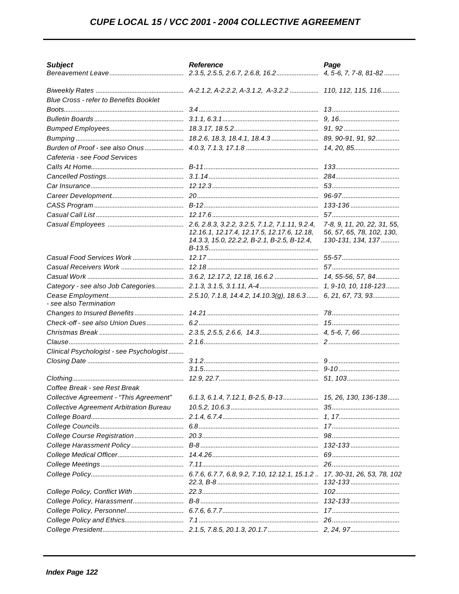| <b>Subject</b>                                 | <b>Reference</b>                                                                          | Page<br>4, 5-6, 7, 7-8, 81-82                                                 |
|------------------------------------------------|-------------------------------------------------------------------------------------------|-------------------------------------------------------------------------------|
| <b>Blue Cross - refer to Benefits Booklet</b>  |                                                                                           |                                                                               |
|                                                |                                                                                           |                                                                               |
|                                                |                                                                                           |                                                                               |
|                                                |                                                                                           |                                                                               |
|                                                |                                                                                           |                                                                               |
|                                                |                                                                                           |                                                                               |
| Cafeteria - see Food Services                  |                                                                                           |                                                                               |
|                                                |                                                                                           |                                                                               |
|                                                |                                                                                           |                                                                               |
|                                                |                                                                                           |                                                                               |
|                                                |                                                                                           |                                                                               |
|                                                |                                                                                           |                                                                               |
|                                                |                                                                                           |                                                                               |
|                                                |                                                                                           |                                                                               |
|                                                | 12.16.1, 12.17.4, 12.17.5, 12.17.6, 12.18,<br>14.3.3, 15.0, 22.2.2, B-2.1, B-2.5, B-12.4, | 7-8, 9, 11, 20, 22, 31, 55,<br>56, 57, 65, 78, 102, 130,<br>130-131, 134, 137 |
| Casual Food Services Work                      |                                                                                           |                                                                               |
|                                                |                                                                                           |                                                                               |
|                                                |                                                                                           | 14, 55-56, 57, 84                                                             |
| Category - see also Job Categories             |                                                                                           | 1, 9-10, 10, 118-123                                                          |
| - see also Termination                         |                                                                                           |                                                                               |
| Changes to Insured Benefits                    |                                                                                           |                                                                               |
| Check-off - see also Union Dues                |                                                                                           |                                                                               |
|                                                |                                                                                           |                                                                               |
|                                                |                                                                                           |                                                                               |
| Clinical Psychologist - see Psychologist       |                                                                                           |                                                                               |
|                                                |                                                                                           |                                                                               |
|                                                |                                                                                           |                                                                               |
| Coffee Break - see Rest Break                  |                                                                                           |                                                                               |
| Collective Agreement - "This Agreement"        |                                                                                           |                                                                               |
| <b>Collective Agreement Arbitration Bureau</b> |                                                                                           |                                                                               |
|                                                |                                                                                           |                                                                               |
|                                                |                                                                                           |                                                                               |
|                                                |                                                                                           |                                                                               |
|                                                |                                                                                           |                                                                               |
|                                                |                                                                                           |                                                                               |
|                                                |                                                                                           |                                                                               |
|                                                | 6.7.6, 6.7.7, 6.8, 9.2, 7.10, 12.12.1, 15.1.2  17, 30-31, 26, 53, 78, 102                 |                                                                               |
|                                                |                                                                                           |                                                                               |
|                                                |                                                                                           |                                                                               |
|                                                |                                                                                           |                                                                               |
|                                                |                                                                                           |                                                                               |
|                                                |                                                                                           |                                                                               |
|                                                |                                                                                           |                                                                               |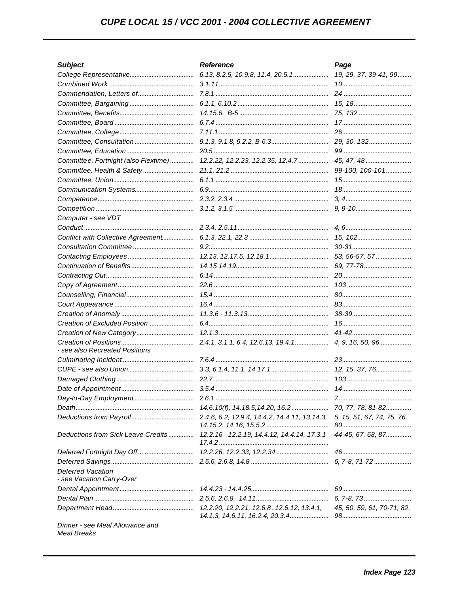| <b>Subject</b>                                        | <b>Reference</b>                            | Page                  |
|-------------------------------------------------------|---------------------------------------------|-----------------------|
|                                                       |                                             | 19, 29, 37, 39-41, 99 |
|                                                       |                                             |                       |
|                                                       |                                             |                       |
|                                                       |                                             |                       |
|                                                       |                                             |                       |
|                                                       |                                             |                       |
|                                                       |                                             |                       |
|                                                       |                                             |                       |
|                                                       |                                             |                       |
| Committee, Fortnight (also Flextime)                  |                                             |                       |
|                                                       |                                             |                       |
|                                                       |                                             |                       |
|                                                       |                                             |                       |
|                                                       |                                             |                       |
|                                                       |                                             |                       |
| Computer - see VDT                                    |                                             |                       |
|                                                       |                                             |                       |
| Conflict with Collective Agreement                    |                                             |                       |
|                                                       |                                             |                       |
|                                                       |                                             |                       |
|                                                       |                                             |                       |
|                                                       |                                             |                       |
|                                                       |                                             |                       |
|                                                       |                                             |                       |
|                                                       |                                             |                       |
|                                                       |                                             |                       |
| Creation of Excluded Position                         |                                             |                       |
|                                                       |                                             |                       |
| - see also Recreated Positions                        |                                             |                       |
|                                                       |                                             |                       |
|                                                       |                                             |                       |
|                                                       |                                             |                       |
|                                                       |                                             |                       |
|                                                       |                                             |                       |
|                                                       |                                             |                       |
|                                                       |                                             |                       |
| Deductions from Sick Leave Credits                    | 12.2.16 - 12.2.19, 14.4.12, 14.4.14, 17.3.1 | 44-45, 67, 68, 87     |
|                                                       |                                             |                       |
|                                                       |                                             |                       |
| <b>Deferred Vacation</b><br>- see Vacation Carry-Over |                                             |                       |
|                                                       |                                             |                       |
|                                                       |                                             |                       |
|                                                       |                                             |                       |
| Dinner - see Meal Allowance and<br><b>Meal Breaks</b> |                                             |                       |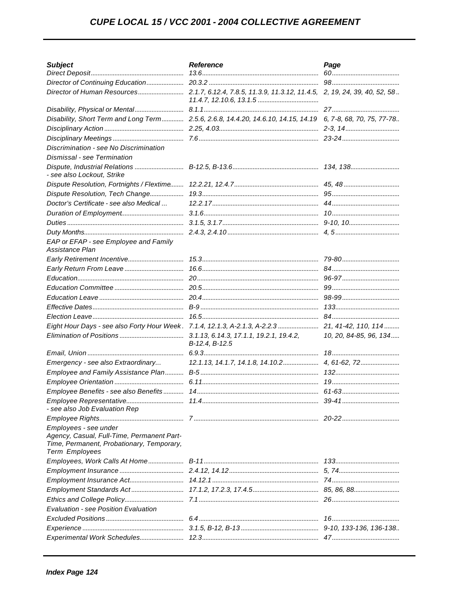| <b>Subject</b>                                                                                                                            | <b>Reference</b> | Page                   |
|-------------------------------------------------------------------------------------------------------------------------------------------|------------------|------------------------|
|                                                                                                                                           |                  |                        |
| Director of Human Resources 2.1.7, 6.12.4, 7.8.5, 11.3.9, 11.3.12, 11.4.5, 2, 19, 24, 39, 40, 52, 58                                      |                  |                        |
|                                                                                                                                           |                  |                        |
| Disability, Short Term and Long Term 2.5.6, 2.6.8, 14.4.20, 14.6.10, 14.15, 14.19 6, 7-8, 68, 70, 75, 77-78                               |                  |                        |
|                                                                                                                                           |                  |                        |
|                                                                                                                                           |                  |                        |
| Discrimination - see No Discrimination                                                                                                    |                  |                        |
| Dismissal - see Termination                                                                                                               |                  |                        |
| - see also Lockout, Strike                                                                                                                |                  |                        |
| Dispute Resolution, Fortnights / Flextime                                                                                                 |                  |                        |
| Dispute Resolution, Tech Change                                                                                                           |                  |                        |
| Doctor's Certificate - see also Medical                                                                                                   |                  |                        |
|                                                                                                                                           |                  |                        |
|                                                                                                                                           |                  |                        |
|                                                                                                                                           |                  |                        |
| EAP or EFAP - see Employee and Family<br>Assistance Plan                                                                                  |                  |                        |
|                                                                                                                                           |                  |                        |
|                                                                                                                                           |                  |                        |
|                                                                                                                                           |                  |                        |
|                                                                                                                                           |                  |                        |
|                                                                                                                                           |                  |                        |
|                                                                                                                                           |                  |                        |
|                                                                                                                                           |                  |                        |
| Eight Hour Days - see also Forty Hour Week. 7.1.4, 12.1.3, A-2.1.3, A-2.2.3  21, 41-42, 110, 114                                          |                  |                        |
|                                                                                                                                           | B-12.4, B-12.5   | 10, 20, 84-85, 96, 134 |
|                                                                                                                                           |                  |                        |
| Emergency - see also Extraordinary                                                                                                        |                  |                        |
|                                                                                                                                           |                  |                        |
|                                                                                                                                           |                  |                        |
|                                                                                                                                           |                  |                        |
| - see also Job Evaluation Rep                                                                                                             |                  |                        |
|                                                                                                                                           |                  |                        |
| Employees - see under<br>Agency, Casual, Full-Time, Permanent Part-<br>Time, Permanent, Probationary, Temporary,<br><b>Term Employees</b> |                  |                        |
|                                                                                                                                           |                  |                        |
|                                                                                                                                           |                  |                        |
|                                                                                                                                           |                  |                        |
|                                                                                                                                           |                  |                        |
|                                                                                                                                           |                  |                        |
| <b>Evaluation - see Position Evaluation</b>                                                                                               |                  |                        |
|                                                                                                                                           |                  |                        |
|                                                                                                                                           |                  |                        |
|                                                                                                                                           |                  |                        |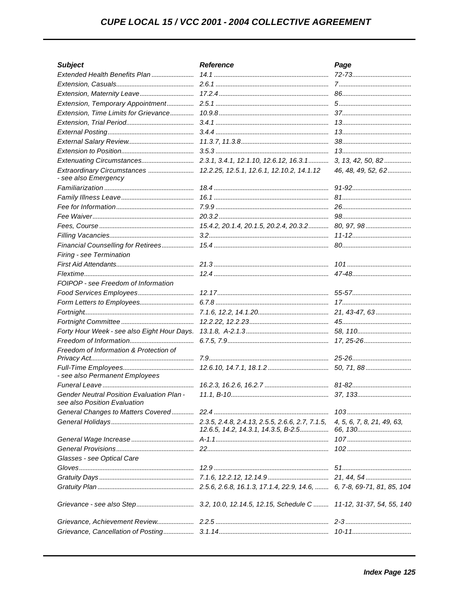| Extended Health Benefits Plan<br>Extension, Temporary Appointment<br>Extension, Time Limits for Grievance<br>2.3.1, 3.4.1, 12.1.10, 12.6.12, 16.3.1 3, 13, 42, 50, 82<br>12.2.25, 12.5.1, 12.6.1, 12.10.2, 14.1.12<br>46, 48, 49, 52, 62<br>Extraordinary Circumstances<br>- see also Emergency<br>15.4.2, 20.1.4, 20.1.5, 20.2.4, 20.3.2<br>Firing - see Termination<br>FOIPOP - see Freedom of Information<br>Forty Hour Week - see also Eight Hour Days.<br>Freedom of Information & Protection of<br>- see also Permanent Employees<br><b>Gender Neutral Position Evaluation Plan -</b><br>see also Position Evaluation<br>4, 5, 6, 7, 8, 21, 49, 63,<br>Glasses - see Optical Care | <b>Subject</b> | <b>Reference</b> | Page |
|-----------------------------------------------------------------------------------------------------------------------------------------------------------------------------------------------------------------------------------------------------------------------------------------------------------------------------------------------------------------------------------------------------------------------------------------------------------------------------------------------------------------------------------------------------------------------------------------------------------------------------------------------------------------------------------------|----------------|------------------|------|
|                                                                                                                                                                                                                                                                                                                                                                                                                                                                                                                                                                                                                                                                                         |                |                  |      |
|                                                                                                                                                                                                                                                                                                                                                                                                                                                                                                                                                                                                                                                                                         |                |                  |      |
|                                                                                                                                                                                                                                                                                                                                                                                                                                                                                                                                                                                                                                                                                         |                |                  |      |
|                                                                                                                                                                                                                                                                                                                                                                                                                                                                                                                                                                                                                                                                                         |                |                  |      |
|                                                                                                                                                                                                                                                                                                                                                                                                                                                                                                                                                                                                                                                                                         |                |                  |      |
|                                                                                                                                                                                                                                                                                                                                                                                                                                                                                                                                                                                                                                                                                         |                |                  |      |
|                                                                                                                                                                                                                                                                                                                                                                                                                                                                                                                                                                                                                                                                                         |                |                  |      |
|                                                                                                                                                                                                                                                                                                                                                                                                                                                                                                                                                                                                                                                                                         |                |                  |      |
|                                                                                                                                                                                                                                                                                                                                                                                                                                                                                                                                                                                                                                                                                         |                |                  |      |
|                                                                                                                                                                                                                                                                                                                                                                                                                                                                                                                                                                                                                                                                                         |                |                  |      |
|                                                                                                                                                                                                                                                                                                                                                                                                                                                                                                                                                                                                                                                                                         |                |                  |      |
|                                                                                                                                                                                                                                                                                                                                                                                                                                                                                                                                                                                                                                                                                         |                |                  |      |
|                                                                                                                                                                                                                                                                                                                                                                                                                                                                                                                                                                                                                                                                                         |                |                  |      |
|                                                                                                                                                                                                                                                                                                                                                                                                                                                                                                                                                                                                                                                                                         |                |                  |      |
|                                                                                                                                                                                                                                                                                                                                                                                                                                                                                                                                                                                                                                                                                         |                |                  |      |
|                                                                                                                                                                                                                                                                                                                                                                                                                                                                                                                                                                                                                                                                                         |                |                  |      |
|                                                                                                                                                                                                                                                                                                                                                                                                                                                                                                                                                                                                                                                                                         |                |                  |      |
|                                                                                                                                                                                                                                                                                                                                                                                                                                                                                                                                                                                                                                                                                         |                |                  |      |
|                                                                                                                                                                                                                                                                                                                                                                                                                                                                                                                                                                                                                                                                                         |                |                  |      |
|                                                                                                                                                                                                                                                                                                                                                                                                                                                                                                                                                                                                                                                                                         |                |                  |      |
|                                                                                                                                                                                                                                                                                                                                                                                                                                                                                                                                                                                                                                                                                         |                |                  |      |
|                                                                                                                                                                                                                                                                                                                                                                                                                                                                                                                                                                                                                                                                                         |                |                  |      |
|                                                                                                                                                                                                                                                                                                                                                                                                                                                                                                                                                                                                                                                                                         |                |                  |      |
|                                                                                                                                                                                                                                                                                                                                                                                                                                                                                                                                                                                                                                                                                         |                |                  |      |
|                                                                                                                                                                                                                                                                                                                                                                                                                                                                                                                                                                                                                                                                                         |                |                  |      |
|                                                                                                                                                                                                                                                                                                                                                                                                                                                                                                                                                                                                                                                                                         |                |                  |      |
|                                                                                                                                                                                                                                                                                                                                                                                                                                                                                                                                                                                                                                                                                         |                |                  |      |
|                                                                                                                                                                                                                                                                                                                                                                                                                                                                                                                                                                                                                                                                                         |                |                  |      |
|                                                                                                                                                                                                                                                                                                                                                                                                                                                                                                                                                                                                                                                                                         |                |                  |      |
|                                                                                                                                                                                                                                                                                                                                                                                                                                                                                                                                                                                                                                                                                         |                |                  |      |
|                                                                                                                                                                                                                                                                                                                                                                                                                                                                                                                                                                                                                                                                                         |                |                  |      |
|                                                                                                                                                                                                                                                                                                                                                                                                                                                                                                                                                                                                                                                                                         |                |                  |      |
|                                                                                                                                                                                                                                                                                                                                                                                                                                                                                                                                                                                                                                                                                         |                |                  |      |
|                                                                                                                                                                                                                                                                                                                                                                                                                                                                                                                                                                                                                                                                                         |                |                  |      |
|                                                                                                                                                                                                                                                                                                                                                                                                                                                                                                                                                                                                                                                                                         |                |                  |      |
|                                                                                                                                                                                                                                                                                                                                                                                                                                                                                                                                                                                                                                                                                         |                |                  |      |
|                                                                                                                                                                                                                                                                                                                                                                                                                                                                                                                                                                                                                                                                                         |                |                  |      |
|                                                                                                                                                                                                                                                                                                                                                                                                                                                                                                                                                                                                                                                                                         |                |                  |      |
|                                                                                                                                                                                                                                                                                                                                                                                                                                                                                                                                                                                                                                                                                         |                |                  |      |
|                                                                                                                                                                                                                                                                                                                                                                                                                                                                                                                                                                                                                                                                                         |                |                  |      |
|                                                                                                                                                                                                                                                                                                                                                                                                                                                                                                                                                                                                                                                                                         |                |                  |      |
|                                                                                                                                                                                                                                                                                                                                                                                                                                                                                                                                                                                                                                                                                         |                |                  |      |
|                                                                                                                                                                                                                                                                                                                                                                                                                                                                                                                                                                                                                                                                                         |                |                  |      |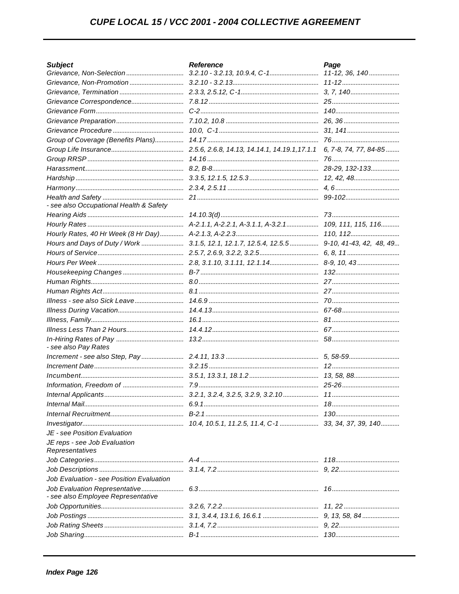| <b>Subject</b>                                  | <b>Reference</b> | Page                  |
|-------------------------------------------------|------------------|-----------------------|
|                                                 |                  | 11-12, 36, 140        |
|                                                 |                  |                       |
|                                                 |                  |                       |
|                                                 |                  |                       |
|                                                 |                  |                       |
|                                                 |                  |                       |
|                                                 |                  |                       |
|                                                 |                  |                       |
|                                                 |                  | 6, 7-8, 74, 77, 84-85 |
|                                                 |                  |                       |
|                                                 |                  |                       |
|                                                 |                  |                       |
|                                                 |                  |                       |
|                                                 |                  |                       |
| - see also Occupational Health & Safety         |                  |                       |
|                                                 |                  |                       |
|                                                 |                  |                       |
|                                                 |                  |                       |
|                                                 |                  |                       |
|                                                 |                  |                       |
|                                                 |                  |                       |
|                                                 |                  |                       |
|                                                 |                  |                       |
|                                                 |                  |                       |
|                                                 |                  |                       |
|                                                 |                  |                       |
|                                                 |                  |                       |
|                                                 |                  |                       |
| - see also Pay Rates                            |                  |                       |
|                                                 |                  |                       |
|                                                 |                  |                       |
|                                                 |                  |                       |
|                                                 |                  |                       |
|                                                 |                  |                       |
|                                                 |                  |                       |
|                                                 |                  |                       |
|                                                 |                  |                       |
| JE - see Position Evaluation                    |                  |                       |
| JE reps - see Job Evaluation<br>Representatives |                  |                       |
|                                                 |                  |                       |
|                                                 |                  |                       |
| Job Evaluation - see Position Evaluation        |                  |                       |
| - see also Employee Representative              |                  |                       |
|                                                 |                  |                       |
|                                                 |                  |                       |
|                                                 |                  |                       |
|                                                 |                  |                       |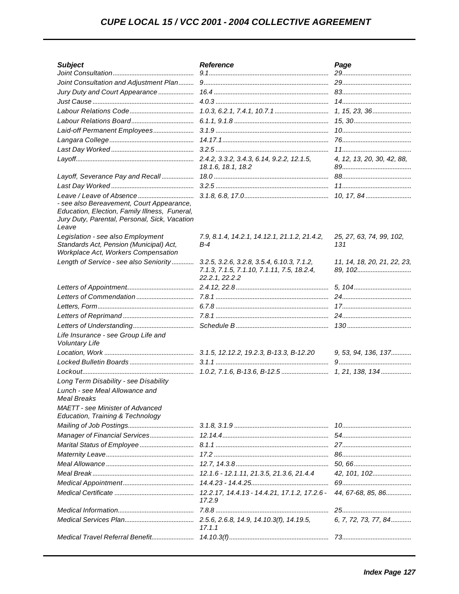| <b>Subject</b>                                                                                                                                       | <b>Reference</b>                                                                                           | Page                            |
|------------------------------------------------------------------------------------------------------------------------------------------------------|------------------------------------------------------------------------------------------------------------|---------------------------------|
| Joint Consultation and Adjustment Plan                                                                                                               |                                                                                                            |                                 |
| Jury Duty and Court Appearance                                                                                                                       |                                                                                                            |                                 |
|                                                                                                                                                      |                                                                                                            |                                 |
|                                                                                                                                                      |                                                                                                            |                                 |
|                                                                                                                                                      |                                                                                                            |                                 |
| Laid-off Permanent Employees                                                                                                                         |                                                                                                            |                                 |
|                                                                                                                                                      |                                                                                                            |                                 |
|                                                                                                                                                      |                                                                                                            |                                 |
|                                                                                                                                                      | 2.4.2, 3.3.2, 3.4.3, 6.14, 9.2.2, 12.1.5,<br>18.1.6, 18.1, 18.2                                            | 4, 12, 13, 20, 30, 42, 88,      |
| Layoff, Severance Pay and Recall                                                                                                                     |                                                                                                            |                                 |
|                                                                                                                                                      |                                                                                                            |                                 |
| - see also Bereavement, Court Appearance,<br>Education, Election, Family Illness, Funeral,<br>Jury Duty, Parental, Personal, Sick, Vacation<br>Leave |                                                                                                            |                                 |
| Legislation - see also Employment<br>Standards Act, Pension (Municipal) Act,<br>Workplace Act, Workers Compensation                                  | 7.9, 8.1.4, 14.2.1, 14.12.1, 21.1.2, 21.4.2,<br>B-4                                                        | 25, 27, 63, 74, 99, 102,<br>131 |
| Length of Service - see also Seniority                                                                                                               | 3.2.5, 3.2.6, 3.2.8, 3.5.4, 6.10.3, 7.1.2,<br>7.1.3, 7.1.5, 7.1.10, 7.1.11, 7.5, 18.2.4,<br>22.2.1, 22.2.2 | 11, 14, 18, 20, 21, 22, 23,     |
|                                                                                                                                                      |                                                                                                            |                                 |
|                                                                                                                                                      |                                                                                                            |                                 |
|                                                                                                                                                      |                                                                                                            |                                 |
|                                                                                                                                                      |                                                                                                            |                                 |
|                                                                                                                                                      |                                                                                                            |                                 |
| Life Insurance - see Group Life and<br><b>Voluntary Life</b>                                                                                         |                                                                                                            |                                 |
|                                                                                                                                                      |                                                                                                            | 9, 53, 94, 136, 137             |
|                                                                                                                                                      |                                                                                                            |                                 |
|                                                                                                                                                      |                                                                                                            |                                 |
| Long Term Disability - see Disability                                                                                                                |                                                                                                            |                                 |
| Lunch - see Meal Allowance and<br><b>Meal Breaks</b>                                                                                                 |                                                                                                            |                                 |
| <b>MAETT - see Minister of Advanced</b><br>Education, Training & Technology                                                                          |                                                                                                            |                                 |
|                                                                                                                                                      |                                                                                                            |                                 |
|                                                                                                                                                      |                                                                                                            |                                 |
|                                                                                                                                                      |                                                                                                            |                                 |
|                                                                                                                                                      |                                                                                                            |                                 |
|                                                                                                                                                      |                                                                                                            |                                 |
|                                                                                                                                                      | 12.1.6 - 12.1.11, 21.3.5, 21.3.6, 21.4.4                                                                   | 42, 101, 102                    |
|                                                                                                                                                      |                                                                                                            |                                 |
|                                                                                                                                                      | 12.2.17, 14.4.13 - 14.4.21, 17.1.2, 17.2.6 -<br>17.2.9                                                     | 44, 67-68, 85, 86               |
|                                                                                                                                                      |                                                                                                            |                                 |
|                                                                                                                                                      | 17.1.1                                                                                                     | 6, 7, 72, 73, 77, 84            |
| Medical Travel Referral Benefit                                                                                                                      |                                                                                                            |                                 |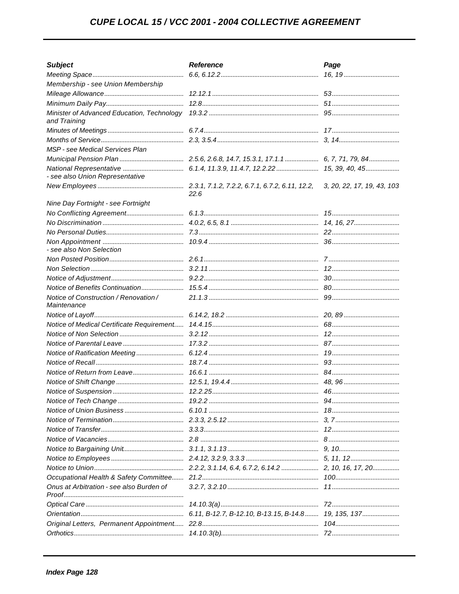| <b>Subject</b>                                             | <b>Reference</b> | Page                       |
|------------------------------------------------------------|------------------|----------------------------|
|                                                            |                  |                            |
| Membership - see Union Membership                          |                  |                            |
|                                                            |                  |                            |
|                                                            |                  |                            |
| Minister of Advanced Education, Technology<br>and Training |                  |                            |
|                                                            |                  |                            |
|                                                            |                  |                            |
| MSP - see Medical Services Plan                            |                  |                            |
|                                                            |                  |                            |
| - see also Union Representative                            |                  |                            |
|                                                            | 22.6             | 3, 20, 22, 17, 19, 43, 103 |
| Nine Day Fortnight - see Fortnight                         |                  |                            |
|                                                            |                  |                            |
|                                                            |                  |                            |
|                                                            |                  |                            |
| - see also Non Selection                                   |                  |                            |
|                                                            |                  |                            |
|                                                            |                  |                            |
|                                                            |                  |                            |
|                                                            |                  |                            |
| Notice of Construction / Renovation /<br>Maintenance       |                  |                            |
|                                                            |                  |                            |
|                                                            |                  |                            |
|                                                            |                  |                            |
|                                                            |                  |                            |
|                                                            |                  |                            |
|                                                            |                  |                            |
|                                                            |                  |                            |
|                                                            |                  |                            |
|                                                            |                  |                            |
|                                                            |                  |                            |
|                                                            |                  |                            |
|                                                            |                  |                            |
|                                                            |                  |                            |
|                                                            |                  |                            |
|                                                            |                  |                            |
|                                                            |                  |                            |
|                                                            |                  |                            |
|                                                            |                  |                            |
| Onus at Arbitration - see also Burden of                   |                  |                            |
|                                                            |                  |                            |
|                                                            |                  |                            |
|                                                            |                  |                            |
|                                                            |                  |                            |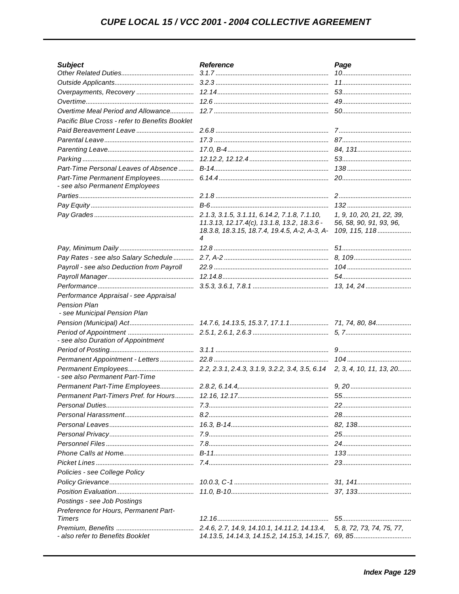| <b>Subject</b>                                                  | <b>Reference</b>                                                                                  | Page                                                                  |
|-----------------------------------------------------------------|---------------------------------------------------------------------------------------------------|-----------------------------------------------------------------------|
|                                                                 |                                                                                                   |                                                                       |
|                                                                 |                                                                                                   |                                                                       |
|                                                                 |                                                                                                   |                                                                       |
| Overtime Meal Period and Allowance                              |                                                                                                   |                                                                       |
| Pacific Blue Cross - refer to Benefits Booklet                  |                                                                                                   |                                                                       |
|                                                                 |                                                                                                   |                                                                       |
|                                                                 |                                                                                                   |                                                                       |
|                                                                 |                                                                                                   |                                                                       |
|                                                                 |                                                                                                   |                                                                       |
| Part-Time Personal Leaves of Absence                            |                                                                                                   |                                                                       |
| Part-Time Permanent Employees<br>- see also Permanent Employees |                                                                                                   |                                                                       |
|                                                                 |                                                                                                   |                                                                       |
|                                                                 |                                                                                                   |                                                                       |
|                                                                 | 11.3.13, 12.17.4(c), 13.1.8, 13.2, 18.3.6 -<br>18.3.8, 18.3.15, 18.7.4, 19.4.5, A-2, A-3, A-<br>4 | 1, 9, 10, 20, 21, 22, 39,<br>56, 58, 90, 91, 93, 96,<br>109, 115, 118 |
|                                                                 |                                                                                                   |                                                                       |
| Pay Rates - see also Salary Schedule                            |                                                                                                   |                                                                       |
| Payroll - see also Deduction from Payroll                       |                                                                                                   |                                                                       |
|                                                                 |                                                                                                   |                                                                       |
|                                                                 |                                                                                                   |                                                                       |
| Performance Appraisal - see Appraisal                           |                                                                                                   |                                                                       |
| <b>Pension Plan</b><br>- see Municipal Pension Plan             |                                                                                                   |                                                                       |
|                                                                 |                                                                                                   |                                                                       |
| - see also Duration of Appointment                              |                                                                                                   |                                                                       |
|                                                                 |                                                                                                   |                                                                       |
|                                                                 |                                                                                                   |                                                                       |
| - see also Permanent Part-Time                                  | 2.2, 2.3.1, 2.4.3, 3.1.9, 3.2.2, 3.4, 3.5, 6.14                                                   | 2, 3, 4, 10, 11, 13, 20                                               |
|                                                                 |                                                                                                   |                                                                       |
|                                                                 |                                                                                                   |                                                                       |
|                                                                 |                                                                                                   |                                                                       |
|                                                                 |                                                                                                   |                                                                       |
|                                                                 |                                                                                                   |                                                                       |
|                                                                 |                                                                                                   |                                                                       |
|                                                                 |                                                                                                   |                                                                       |
|                                                                 |                                                                                                   |                                                                       |
|                                                                 |                                                                                                   |                                                                       |
| Policies - see College Policy                                   |                                                                                                   |                                                                       |
|                                                                 |                                                                                                   |                                                                       |
|                                                                 |                                                                                                   |                                                                       |
| Postings - see Job Postings                                     |                                                                                                   |                                                                       |
| Preference for Hours, Permanent Part-                           |                                                                                                   |                                                                       |
| Timers                                                          |                                                                                                   |                                                                       |
| - also refer to Benefits Booklet                                | 2.4.6, 2.7, 14.9, 14.10.1, 14.11.2, 14.13.4, 5, 8, 72, 73, 74, 75, 77,                            |                                                                       |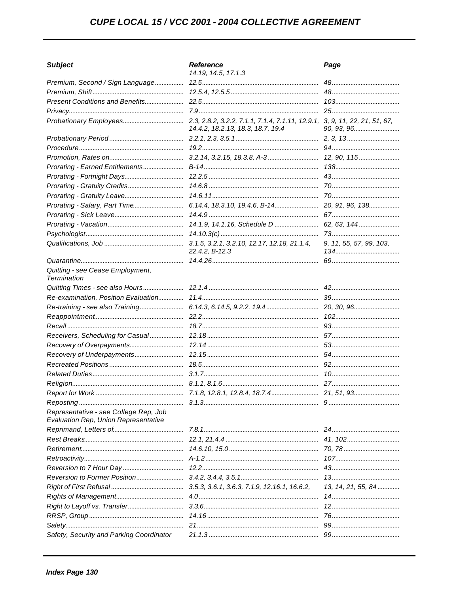| Premium, Second / Sign Language<br>14.4.2, 18.2.13, 18.3, 18.7, 19.4          |                         |
|-------------------------------------------------------------------------------|-------------------------|
|                                                                               |                         |
|                                                                               |                         |
|                                                                               |                         |
|                                                                               |                         |
|                                                                               |                         |
|                                                                               |                         |
|                                                                               |                         |
|                                                                               |                         |
|                                                                               |                         |
|                                                                               |                         |
|                                                                               |                         |
|                                                                               |                         |
| Prorating - Salary, Part Time                                                 |                         |
|                                                                               |                         |
|                                                                               |                         |
|                                                                               |                         |
|                                                                               | 9, 11, 55, 57, 99, 103, |
| 22.4.2, B-12.3                                                                |                         |
|                                                                               |                         |
| Quitting - see Cease Employment,<br><b>Termination</b>                        |                         |
|                                                                               |                         |
|                                                                               |                         |
| Re-training - see also Training                                               |                         |
|                                                                               |                         |
|                                                                               |                         |
|                                                                               |                         |
|                                                                               |                         |
|                                                                               |                         |
|                                                                               |                         |
|                                                                               |                         |
|                                                                               |                         |
|                                                                               |                         |
|                                                                               |                         |
| Representative - see College Rep, Job<br>Evaluation Rep, Union Representative |                         |
|                                                                               |                         |
|                                                                               |                         |
|                                                                               |                         |
|                                                                               |                         |
|                                                                               |                         |
|                                                                               |                         |
| 3.5.3, 3.6.1, 3.6.3, 7.1.9, 12.16.1, 16.6.2,                                  | 13, 14, 21, 55, 84      |
|                                                                               |                         |
|                                                                               |                         |
|                                                                               |                         |
|                                                                               |                         |
| Safety, Security and Parking Coordinator                                      |                         |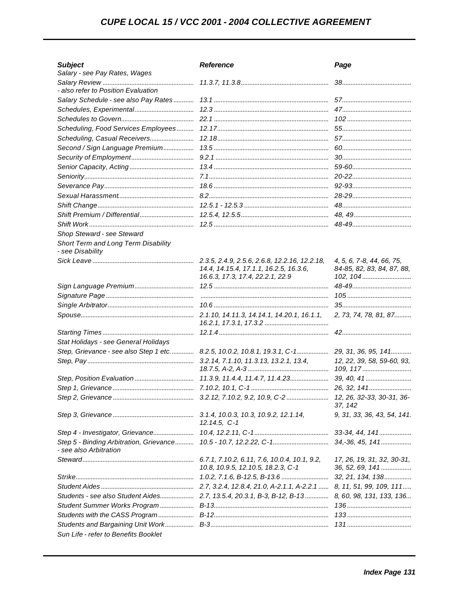| <b>Subject</b><br>Salary - see Pay Rates, Wages                                                 | <b>Reference</b>                                                                                                            | Page                                                    |
|-------------------------------------------------------------------------------------------------|-----------------------------------------------------------------------------------------------------------------------------|---------------------------------------------------------|
|                                                                                                 |                                                                                                                             |                                                         |
| - also refer to Position Evaluation                                                             |                                                                                                                             |                                                         |
| Salary Schedule - see also Pay Rates                                                            |                                                                                                                             |                                                         |
|                                                                                                 |                                                                                                                             |                                                         |
|                                                                                                 |                                                                                                                             |                                                         |
| Scheduling, Food Services Employees                                                             |                                                                                                                             |                                                         |
| Scheduling, Casual Receivers                                                                    |                                                                                                                             |                                                         |
| Second / Sign Language Premium                                                                  |                                                                                                                             |                                                         |
|                                                                                                 |                                                                                                                             |                                                         |
|                                                                                                 |                                                                                                                             |                                                         |
|                                                                                                 |                                                                                                                             |                                                         |
|                                                                                                 |                                                                                                                             |                                                         |
|                                                                                                 |                                                                                                                             |                                                         |
|                                                                                                 |                                                                                                                             |                                                         |
|                                                                                                 |                                                                                                                             |                                                         |
|                                                                                                 |                                                                                                                             |                                                         |
| Shop Steward - see Steward                                                                      |                                                                                                                             |                                                         |
| Short Term and Long Term Disability<br>- see Disability                                         |                                                                                                                             |                                                         |
|                                                                                                 | 2.3.5, 2.4.9, 2.5.6, 2.6.8, 12.2.16, 12.2.18,<br>14.4, 14.15.4, 17.1.1, 16.2.5, 16.3.6,<br>16.6.3, 17.3, 17.4, 22.2.1, 22.9 | 4, 5, 6, 7-8, 44, 66, 75,<br>84-85, 82, 83, 84, 87, 88, |
|                                                                                                 |                                                                                                                             |                                                         |
|                                                                                                 |                                                                                                                             |                                                         |
|                                                                                                 |                                                                                                                             |                                                         |
|                                                                                                 | 2.1.10, 14.11.3, 14.14.1, 14.20.1, 16.1.1,                                                                                  | 2, 73, 74, 78, 81, 87                                   |
|                                                                                                 |                                                                                                                             |                                                         |
| Stat Holidays - see General Holidays                                                            |                                                                                                                             |                                                         |
| Step, Grievance - see also Step 1 etc                                                           |                                                                                                                             |                                                         |
|                                                                                                 | 3.2.14, 7.1.10, 11.3.13, 13.2.1, 13.4,                                                                                      | 12, 22, 39, 58, 59-60, 93,                              |
|                                                                                                 |                                                                                                                             |                                                         |
|                                                                                                 |                                                                                                                             |                                                         |
|                                                                                                 |                                                                                                                             | 37, 142                                                 |
|                                                                                                 | 12.14.5, C-1                                                                                                                | 9, 31, 33, 36, 43, 54, 141.                             |
|                                                                                                 |                                                                                                                             |                                                         |
| - see also Arbitration                                                                          |                                                                                                                             |                                                         |
|                                                                                                 | 10.8, 10.9.5, 12.10.5, 18.2.3, C-1                                                                                          | 17, 26, 19, 31, 32, 30-31,<br>36, 52, 69, 141           |
|                                                                                                 |                                                                                                                             |                                                         |
|                                                                                                 |                                                                                                                             |                                                         |
| Students - see also Student Aides 2.7, 13.5.4, 20.3.1, B-3, B-12, B-13 8, 60, 98, 131, 133, 136 |                                                                                                                             |                                                         |
|                                                                                                 |                                                                                                                             |                                                         |
|                                                                                                 |                                                                                                                             |                                                         |
|                                                                                                 |                                                                                                                             |                                                         |
| Sun Life - refer to Benefits Booklet                                                            |                                                                                                                             |                                                         |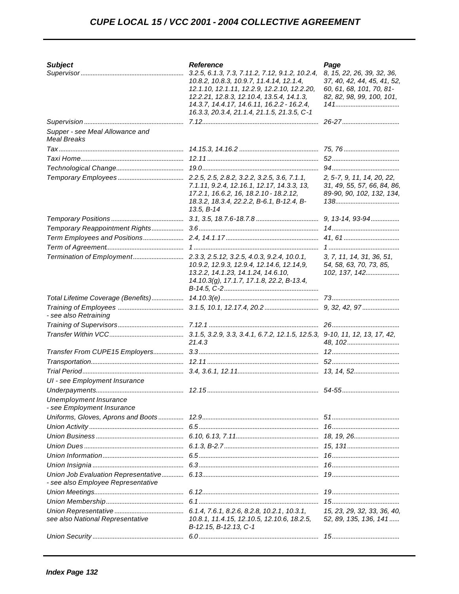| <b>Subject</b>                                        | <b>Reference</b><br>3.2.5, 6.1.3, 7.3, 7.11.2, 7.12, 9.1.2, 10.2.4,<br>10.8.2, 10.8.3, 10.9.7, 11.4.14, 12.1.4,<br>12.1.10, 12.1.11, 12.2.9, 12.2.10, 12.2.20,<br>12.2.21, 12.8.3, 12.10.4, 13.5.4, 14.1.3, | Page<br>8, 15, 22, 26, 39, 32, 36,<br>37, 40, 42, 44, 45, 41, 52,<br>60, 61, 68, 101, 70, 81-<br>82, 82, 98, 99, 100, 101, |
|-------------------------------------------------------|-------------------------------------------------------------------------------------------------------------------------------------------------------------------------------------------------------------|----------------------------------------------------------------------------------------------------------------------------|
|                                                       | 14.3.7, 14.4.17, 14.6.11, 16.2.2 - 16.2.4,<br>16.3.3, 20.3.4, 21.1.4, 21.1.5, 21.3.5, C-1                                                                                                                   |                                                                                                                            |
| Supper - see Meal Allowance and<br><b>Meal Breaks</b> |                                                                                                                                                                                                             |                                                                                                                            |
|                                                       |                                                                                                                                                                                                             |                                                                                                                            |
|                                                       |                                                                                                                                                                                                             |                                                                                                                            |
|                                                       |                                                                                                                                                                                                             |                                                                                                                            |
|                                                       | 7.1.11, 9.2.4, 12.16.1, 12.17, 14.3.3, 13,<br>17.2.1, 16.6.2, 16, 18.2.10 - 18.2.12,<br>18.3.2, 18.3.4, 22.2.2, B-6.1, B-12.4, B-<br>13.5, B-14                                                             | 2, 5-7, 9, 11, 14, 20, 22,<br>31, 49, 55, 57, 66, 84, 86,<br>89-90, 90, 102, 132, 134,                                     |
|                                                       |                                                                                                                                                                                                             |                                                                                                                            |
|                                                       |                                                                                                                                                                                                             |                                                                                                                            |
|                                                       |                                                                                                                                                                                                             |                                                                                                                            |
|                                                       |                                                                                                                                                                                                             |                                                                                                                            |
|                                                       | 10.9.2, 12.9.3, 12.9.4, 12.14.6, 12.14,9,<br>13.2.2, 14.1.23, 14.1.24, 14.6.10,<br>14.10.3(g), 17.1.7, 17.1.8, 22.2, B-13.4,                                                                                | 3, 7, 11, 14, 31, 36, 51,<br>54, 58, 63, 70, 73, 85,<br>102, 137, 142                                                      |
|                                                       |                                                                                                                                                                                                             |                                                                                                                            |
| - see also Retraining                                 |                                                                                                                                                                                                             |                                                                                                                            |
|                                                       |                                                                                                                                                                                                             |                                                                                                                            |
|                                                       | 21.4.3                                                                                                                                                                                                      |                                                                                                                            |
|                                                       |                                                                                                                                                                                                             |                                                                                                                            |
|                                                       |                                                                                                                                                                                                             |                                                                                                                            |
|                                                       |                                                                                                                                                                                                             |                                                                                                                            |
| UI - see Employment Insurance                         |                                                                                                                                                                                                             |                                                                                                                            |
|                                                       |                                                                                                                                                                                                             |                                                                                                                            |
| Unemployment Insurance<br>- see Employment Insurance  |                                                                                                                                                                                                             |                                                                                                                            |
|                                                       |                                                                                                                                                                                                             |                                                                                                                            |
|                                                       |                                                                                                                                                                                                             |                                                                                                                            |
|                                                       |                                                                                                                                                                                                             |                                                                                                                            |
|                                                       |                                                                                                                                                                                                             |                                                                                                                            |
|                                                       |                                                                                                                                                                                                             |                                                                                                                            |
|                                                       |                                                                                                                                                                                                             |                                                                                                                            |
| - see also Employee Representative                    |                                                                                                                                                                                                             |                                                                                                                            |
|                                                       |                                                                                                                                                                                                             |                                                                                                                            |
|                                                       |                                                                                                                                                                                                             |                                                                                                                            |
| see also National Representative                      | 10.8.1, 11.4.15, 12.10.5, 12.10.6, 18.2.5,<br>B-12.15, B-12.13, C-1                                                                                                                                         | 15, 23, 29, 32, 33, 36, 40,<br>52, 89, 135, 136, 141                                                                       |
|                                                       |                                                                                                                                                                                                             |                                                                                                                            |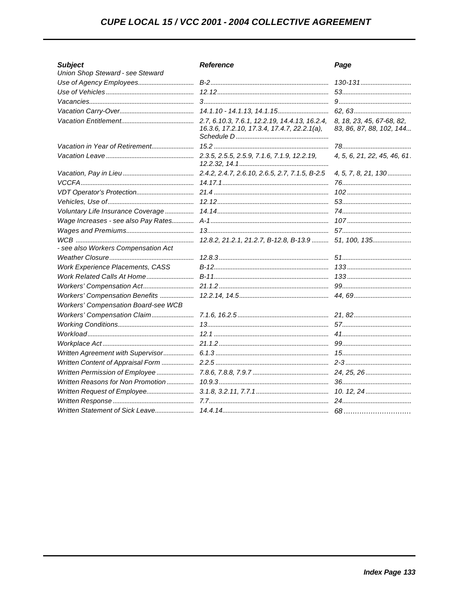| <b>Subject</b><br>Union Shop Steward - see Steward | <b>Reference</b>                                                                             | Page                                                  |
|----------------------------------------------------|----------------------------------------------------------------------------------------------|-------------------------------------------------------|
|                                                    |                                                                                              | $130 - 131$                                           |
|                                                    |                                                                                              |                                                       |
|                                                    |                                                                                              |                                                       |
|                                                    |                                                                                              |                                                       |
|                                                    | 2.7, 6.10.3, 7.6.1, 12.2.19, 14.4.13, 16.2.4,<br>16.3.6, 17.2.10, 17.3.4, 17.4.7, 22.2.1(a), | 8, 18, 23, 45, 67-68, 82,<br>83, 86, 87, 88, 102, 144 |
| Vacation in Year of Retirement                     |                                                                                              |                                                       |
|                                                    | 2.3.5, 2.5.5, 2.5.9, 7.1.6, 7.1.9, 12.2.19,                                                  | 4, 5, 6, 21, 22, 45, 46, 61.                          |
|                                                    | 2.4.2, 2.4.7, 2.6.10, 2.6.5, 2.7, 7.1.5, B-2.5                                               | 4, 5, 7, 8, 21, 130                                   |
|                                                    |                                                                                              |                                                       |
|                                                    |                                                                                              |                                                       |
|                                                    |                                                                                              |                                                       |
| Voluntary Life Insurance Coverage                  |                                                                                              |                                                       |
| Wage Increases - see also Pay Rates                |                                                                                              |                                                       |
|                                                    |                                                                                              |                                                       |
|                                                    | 12.8.2, 21.2.1, 21.2.7, B-12.8, B-13.9                                                       | 51, 100, 135                                          |
| - see also Workers Compensation Act                |                                                                                              |                                                       |
|                                                    |                                                                                              |                                                       |
| Work Experience Placements, CASS                   |                                                                                              |                                                       |
| Work Related Calls At Home                         |                                                                                              |                                                       |
| Workers' Compensation Act                          |                                                                                              |                                                       |
| Workers' Compensation Benefits                     |                                                                                              |                                                       |
| <b>Workers' Compensation Board-see WCB</b>         |                                                                                              |                                                       |
| Workers' Compensation Claim                        |                                                                                              |                                                       |
|                                                    |                                                                                              |                                                       |
|                                                    |                                                                                              |                                                       |
|                                                    |                                                                                              |                                                       |
| Written Agreement with Supervisor                  |                                                                                              |                                                       |
| Written Content of Appraisal Form                  |                                                                                              |                                                       |
| Written Permission of Employee                     |                                                                                              |                                                       |
| Written Reasons for Non Promotion                  |                                                                                              |                                                       |
| Written Request of Employee                        |                                                                                              |                                                       |
|                                                    |                                                                                              |                                                       |
| Written Statement of Sick Leave                    |                                                                                              |                                                       |